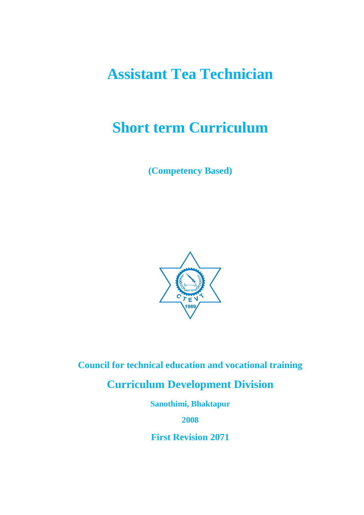# **Assistant Tea Technician**

# **Short term Curriculum**

**(Competency Based)** 



**Council for technical education and vocational training** 

**Curriculum Development Division** 

**Sanothimi, Bhaktapur** 

**2008** 

**First Revision 2071**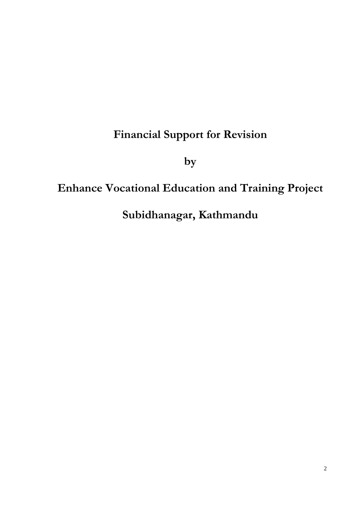## **Financial Support for Revision**

**by** 

## **Enhance Vocational Education and Training Project**

**Subidhanagar, Kathmandu**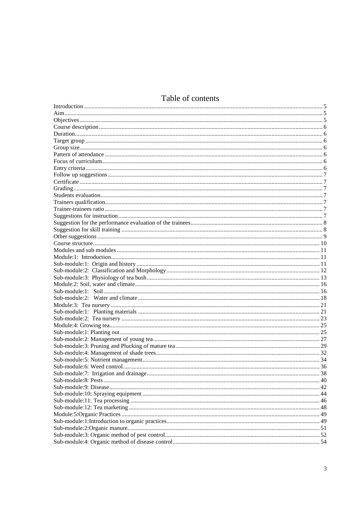## Table of contents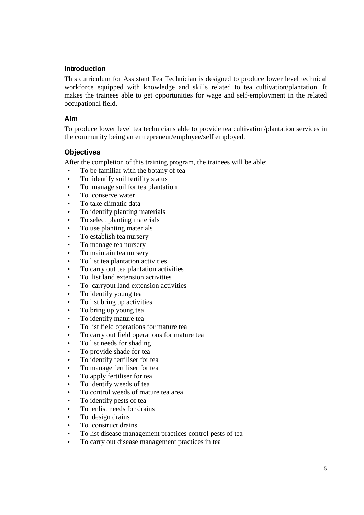#### **Introduction**

This curriculum for Assistant Tea Technician is designed to produce lower level technical workforce equipped with knowledge and skills related to tea cultivation/plantation. It makes the trainees able to get opportunities for wage and self-employment in the related occupational field.

#### **Aim**

To produce lower level tea technicians able to provide tea cultivation/plantation services in the community being an entrepreneur/employee/self employed.

#### **Objectives**

After the completion of this training program, the trainees will be able:

- To be familiar with the botany of tea
- To identify soil fertility status
- To manage soil for tea plantation
- To conserve water
- To take climatic data
- To identify planting materials
- To select planting materials
- To use planting materials
- To establish tea nursery
- To manage tea nursery
- To maintain tea nursery
- To list tea plantation activities
- To carry out tea plantation activities
- To list land extension activities
- To carryout land extension activities
- To identify young tea
- To list bring up activities
- To bring up young tea
- To identify mature tea
- To list field operations for mature tea
- To carry out field operations for mature tea
- To list needs for shading
- To provide shade for tea
- To identify fertiliser for tea
- To manage fertiliser for tea
- To apply fertiliser for tea
- To identify weeds of tea
- To control weeds of mature tea area
- To identify pests of tea
- To enlist needs for drains
- To design drains
- To construct drains
- To list disease management practices control pests of tea
- To carry out disease management practices in tea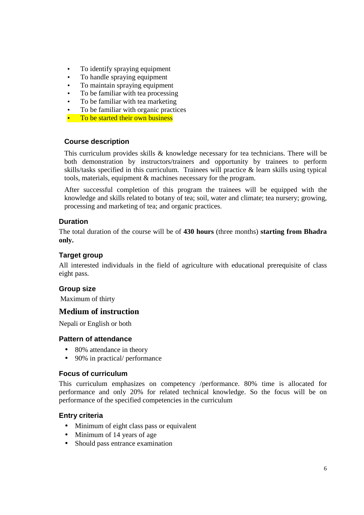- To identify spraying equipment
- To handle spraying equipment
- To maintain spraying equipment
- To be familiar with tea processing
- To be familiar with tea marketing
- To be familiar with organic practices
- To be started their own business

#### **Course description**

This curriculum provides skills & knowledge necessary for tea technicians. There will be both demonstration by instructors/trainers and opportunity by trainees to perform skills/tasks specified in this curriculum. Trainees will practice & learn skills using typical tools, materials, equipment & machines necessary for the program.

After successful completion of this program the trainees will be equipped with the knowledge and skills related to botany of tea; soil, water and climate; tea nursery; growing, processing and marketing of tea; and organic practices.

#### **Duration**

The total duration of the course will be of **430 hours** (three months) **starting from Bhadra only.** 

#### **Target group**

All interested individuals in the field of agriculture with educational prerequisite of class eight pass.

#### **Group size**

Maximum of thirty

#### **Medium of instruction**

Nepali or English or both

#### **Pattern of attendance**

- 80% attendance in theory
- 90% in practical/ performance

#### **Focus of curriculum**

This curriculum emphasizes on competency /performance. 80% time is allocated for performance and only 20% for related technical knowledge. So the focus will be on performance of the specified competencies in the curriculum

#### **Entry criteria**

- Minimum of eight class pass or equivalent
- Minimum of 14 years of age
- Should pass entrance examination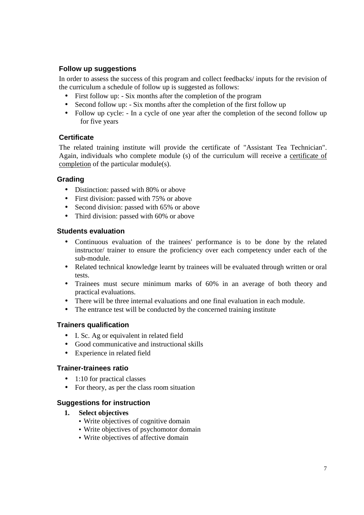#### **Follow up suggestions**

In order to assess the success of this program and collect feedbacks/ inputs for the revision of the curriculum a schedule of follow up is suggested as follows:

- First follow up: Six months after the completion of the program
- Second follow up: Six months after the completion of the first follow up
- Follow up cycle: In a cycle of one year after the completion of the second follow up for five years

#### **Certificate**

The related training institute will provide the certificate of "Assistant Tea Technician". Again, individuals who complete module (s) of the curriculum will receive a certificate of completion of the particular module(s).

#### **Grading**

- Distinction: passed with 80% or above
- First division: passed with 75% or above
- Second division: passed with 65% or above
- Third division: passed with 60% or above

#### **Students evaluation**

- Continuous evaluation of the trainees' performance is to be done by the related instructor/ trainer to ensure the proficiency over each competency under each of the sub-module.
- Related technical knowledge learnt by trainees will be evaluated through written or oral tests.
- Trainees must secure minimum marks of 60% in an average of both theory and practical evaluations.
- There will be three internal evaluations and one final evaluation in each module.
- The entrance test will be conducted by the concerned training institute

#### **Trainers qualification**

- I. Sc. Ag or equivalent in related field
- Good communicative and instructional skills
- Experience in related field

#### **Trainer-trainees ratio**

- 1:10 for practical classes
- For theory, as per the class room situation

#### **Suggestions for instruction**

- **1. Select objectives** 
	- Write objectives of cognitive domain
	- Write objectives of psychomotor domain
	- Write objectives of affective domain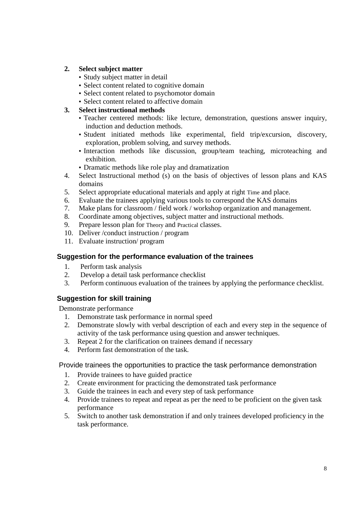#### **2. Select subject matter**

- Study subject matter in detail
- Select content related to cognitive domain
- Select content related to psychomotor domain
- Select content related to affective domain

#### **3. Select instructional methods**

- Teacher centered methods: like lecture, demonstration, questions answer inquiry, induction and deduction methods.
- Student initiated methods like experimental, field trip/excursion, discovery, exploration, problem solving, and survey methods.
- Interaction methods like discussion, group/team teaching, microteaching and exhibition.
- Dramatic methods like role play and dramatization
- 4. Select Instructional method (s) on the basis of objectives of lesson plans and KAS domains
- 5. Select appropriate educational materials and apply at right Time and place.
- 6. Evaluate the trainees applying various tools to correspond the KAS domains
- 7. Make plans for classroom / field work / workshop organization and management.
- 8. Coordinate among objectives, subject matter and instructional methods.
- 9. Prepare lesson plan for Theory and Practical classes.
- 10. Deliver /conduct instruction / program
- 11. Evaluate instruction/ program

#### **Suggestion for the performance evaluation of the trainees**

- 1. Perform task analysis
- 2. Develop a detail task performance checklist
- 3. Perform continuous evaluation of the trainees by applying the performance checklist.

#### **Suggestion for skill training**

Demonstrate performance

- 1. Demonstrate task performance in normal speed
- 2. Demonstrate slowly with verbal description of each and every step in the sequence of activity of the task performance using question and answer techniques.
- 3. Repeat 2 for the clarification on trainees demand if necessary
- 4. Perform fast demonstration of the task.

#### Provide trainees the opportunities to practice the task performance demonstration

- 1. Provide trainees to have guided practice
- 2. Create environment for practicing the demonstrated task performance
- 3. Guide the trainees in each and every step of task performance
- 4. Provide trainees to repeat and repeat as per the need to be proficient on the given task performance
- 5. Switch to another task demonstration if and only trainees developed proficiency in the task performance.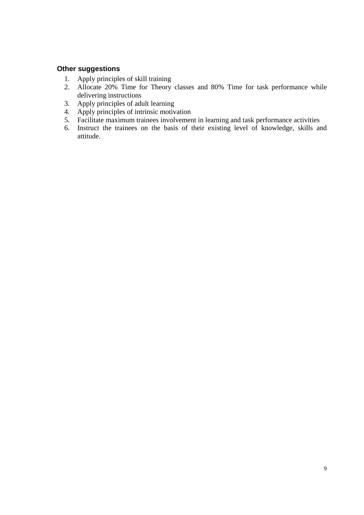#### **Other suggestions**

- 1. Apply principles of skill training
- 2. Allocate 20% Time for Theory classes and 80% Time for task performance while delivering instructions
- 3. Apply principles of adult learning
- 4. Apply principles of intrinsic motivation
- 5. Facilitate maximum trainees involvement in learning and task performance activities
- 6. Instruct the trainees on the basis of their existing level of knowledge, skills and attitude.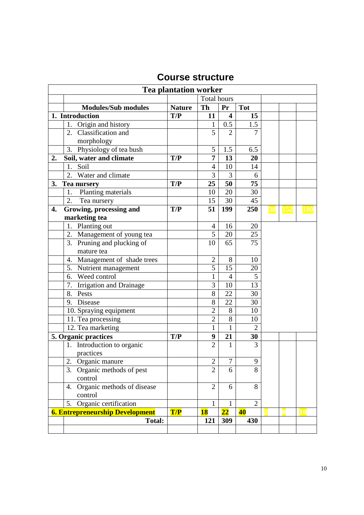|                               |                                        | <b>Tea plantation worker</b> |                    |                 |                 |          |            |
|-------------------------------|----------------------------------------|------------------------------|--------------------|-----------------|-----------------|----------|------------|
|                               |                                        |                              | <b>Total hours</b> |                 |                 |          |            |
|                               | <b>Modules/Sub modules</b>             | <b>Nature</b>                | Th                 | Pr              | <b>Tot</b>      |          |            |
| 1. Introduction               |                                        | T/P                          | 11                 | 4               | 15              |          |            |
| 1. Origin and history         |                                        |                              | 1                  | 0.5             | 1.5             |          |            |
| 2. Classification and         |                                        |                              | 5                  | $\overline{2}$  | $\overline{7}$  |          |            |
| morphology                    |                                        |                              |                    |                 |                 |          |            |
|                               | 3. Physiology of tea bush              |                              | 5                  | 1.5             | 6.5             |          |            |
| Soil, water and climate<br>2. |                                        | T/P                          | 7                  | 13              | 20              |          |            |
| 1. Soil                       |                                        |                              | 4                  | 10              | 14              |          |            |
| 2. Water and climate          |                                        |                              | 3                  | 3               | 6               |          |            |
| 3.<br>Tea nursery             |                                        | T/P                          | 25                 | 50              | 75              |          |            |
| 1.                            | Planting materials                     |                              | 10                 | 20              | 30              |          |            |
| 2.<br>Tea nursery             |                                        |                              | 15                 | 30              | 45              |          |            |
| 4.                            | Growing, processing and                | T/P                          | 51                 | 199             | 250             | 38 152   | <b>190</b> |
| marketing tea                 |                                        |                              |                    |                 |                 |          |            |
| 1. Planting out               |                                        |                              | $\overline{4}$     | 16              | 20              |          |            |
|                               | 2. Management of young tea             |                              | 5                  | 20              | 25              |          |            |
|                               | 3. Pruning and plucking of             |                              | 10                 | 65              | $\overline{75}$ |          |            |
| mature tea                    |                                        |                              |                    |                 |                 |          |            |
|                               | 4. Management of shade trees           |                              | $\overline{2}$     | 8               | 10              |          |            |
|                               | 5. Nutrient management                 |                              | $\overline{5}$     | 15              | 20              |          |            |
| 6. Weed control               |                                        |                              | 1                  | $\overline{4}$  | 5               |          |            |
|                               | 7. Irrigation and Drainage             |                              | 3                  | 10              | $\overline{13}$ |          |            |
| 8. Pests                      |                                        |                              | 8                  | 22              | 30              |          |            |
| Disease<br>9.                 |                                        |                              | 8                  | 22              | 30              |          |            |
|                               | 10. Spraying equipment                 |                              | $\overline{2}$     | 8               | 10              |          |            |
| 11. Tea processing            |                                        |                              | $\overline{2}$     | 8               | 10              |          |            |
| 12. Tea marketing             |                                        |                              | $\mathbf{1}$       | $\mathbf{1}$    | $\overline{2}$  |          |            |
| 5. Organic practices          |                                        | T/P                          | 9                  | 21              | 30              |          |            |
|                               | 1. Introduction to organic             |                              | $\overline{2}$     | 1               | 3               |          |            |
| practices                     |                                        |                              |                    |                 |                 |          |            |
| 2.<br>Organic manure          |                                        |                              | $\overline{2}$     | 7               | 9               |          |            |
| 3.                            | Organic methods of pest                |                              | $\overline{2}$     | 6               | 8               |          |            |
| control                       |                                        |                              |                    |                 |                 |          |            |
| 4.                            | Organic methods of disease             |                              | 2                  | 6               | 8               |          |            |
| control                       |                                        |                              |                    |                 |                 |          |            |
|                               | 5. Organic certification               |                              | 1                  | $\mathbf{1}$    | $\overline{2}$  |          |            |
|                               | <b>6. Entrepreneurship Development</b> | T/P                          | <b>18</b>          | $\overline{22}$ | 40              | $\bf{8}$ | 10         |
|                               | <b>Total:</b>                          |                              | 121                | 309             | 430             |          |            |
|                               |                                        |                              |                    |                 |                 |          |            |

## **Course structure**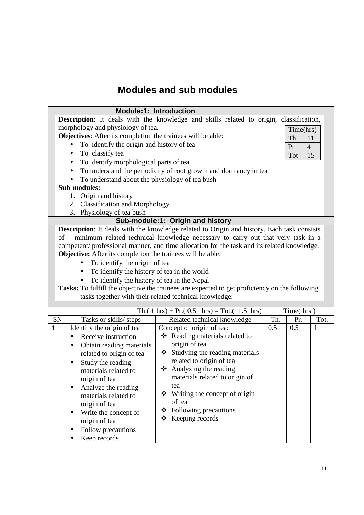## **Modules and sub modules**

|    | <b>Module:1: Introduction</b>                                                                                                                                                                                                                                                                                                                                                                                                                                                                                                                                                                                                                   |                                                                                               |     |           |              |  |  |
|----|-------------------------------------------------------------------------------------------------------------------------------------------------------------------------------------------------------------------------------------------------------------------------------------------------------------------------------------------------------------------------------------------------------------------------------------------------------------------------------------------------------------------------------------------------------------------------------------------------------------------------------------------------|-----------------------------------------------------------------------------------------------|-----|-----------|--------------|--|--|
|    |                                                                                                                                                                                                                                                                                                                                                                                                                                                                                                                                                                                                                                                 | <b>Description:</b> It deals with the knowledge and skills related to origin, classification, |     |           |              |  |  |
|    | morphology and physiology of tea.                                                                                                                                                                                                                                                                                                                                                                                                                                                                                                                                                                                                               |                                                                                               |     | Time(hrs) |              |  |  |
|    | Objectives: After its completion the trainees will be able:<br>Th<br>11                                                                                                                                                                                                                                                                                                                                                                                                                                                                                                                                                                         |                                                                                               |     |           |              |  |  |
|    | To identify the origin and history of tea<br>$\overline{4}$<br>Pr                                                                                                                                                                                                                                                                                                                                                                                                                                                                                                                                                                               |                                                                                               |     |           |              |  |  |
|    | To classify tea<br>$\bullet$                                                                                                                                                                                                                                                                                                                                                                                                                                                                                                                                                                                                                    |                                                                                               |     | Tot       | 15           |  |  |
|    | To identify morphological parts of tea<br>$\bullet$                                                                                                                                                                                                                                                                                                                                                                                                                                                                                                                                                                                             |                                                                                               |     |           |              |  |  |
|    | $\bullet$                                                                                                                                                                                                                                                                                                                                                                                                                                                                                                                                                                                                                                       | To understand the periodicity of root growth and dormancy in tea                              |     |           |              |  |  |
|    | To understand about the physiology of tea bush                                                                                                                                                                                                                                                                                                                                                                                                                                                                                                                                                                                                  |                                                                                               |     |           |              |  |  |
|    | <b>Sub-modules:</b>                                                                                                                                                                                                                                                                                                                                                                                                                                                                                                                                                                                                                             |                                                                                               |     |           |              |  |  |
|    | Origin and history<br>1.                                                                                                                                                                                                                                                                                                                                                                                                                                                                                                                                                                                                                        |                                                                                               |     |           |              |  |  |
|    | 2. Classification and Morphology                                                                                                                                                                                                                                                                                                                                                                                                                                                                                                                                                                                                                |                                                                                               |     |           |              |  |  |
|    | 3. Physiology of tea bush                                                                                                                                                                                                                                                                                                                                                                                                                                                                                                                                                                                                                       |                                                                                               |     |           |              |  |  |
|    |                                                                                                                                                                                                                                                                                                                                                                                                                                                                                                                                                                                                                                                 | Sub-module:1: Origin and history                                                              |     |           |              |  |  |
|    | <b>Description:</b> It deals with the knowledge related to Origin and history. Each task consists<br>minimum related technical knowledge necessary to carry out that very task in a<br>of<br>competent/professional manner, and time allocation for the task and its related knowledge.<br>Objective: After its completion the trainees will be able:<br>To identify the origin of tea<br>To identify the history of tea in the world<br>To identify the history of tea in the Nepal<br>Tasks: To fulfill the objective the trainees are expected to get proficiency on the following<br>tasks together with their related technical knowledge: |                                                                                               |     |           |              |  |  |
|    |                                                                                                                                                                                                                                                                                                                                                                                                                                                                                                                                                                                                                                                 |                                                                                               |     |           |              |  |  |
|    |                                                                                                                                                                                                                                                                                                                                                                                                                                                                                                                                                                                                                                                 | Th.( 1 hrs) + Pr.( $0.5$ hrs) = Tot.( 1.5 hrs)                                                |     | Time(hrs) |              |  |  |
| SN | Tasks or skills/ steps                                                                                                                                                                                                                                                                                                                                                                                                                                                                                                                                                                                                                          | Related technical knowledge                                                                   | Th. | Pr.       | Tot.         |  |  |
| 1. | Identify the origin of tea                                                                                                                                                                                                                                                                                                                                                                                                                                                                                                                                                                                                                      | Concept of origin of tea:                                                                     | 0.5 | 0.5       | $\mathbf{1}$ |  |  |
|    | Receive instruction<br>$\bullet$                                                                                                                                                                                                                                                                                                                                                                                                                                                                                                                                                                                                                | ❖ Reading materials related to                                                                |     |           |              |  |  |
|    | Obtain reading materials<br>$\bullet$                                                                                                                                                                                                                                                                                                                                                                                                                                                                                                                                                                                                           | origin of tea                                                                                 |     |           |              |  |  |
|    | related to origin of tea                                                                                                                                                                                                                                                                                                                                                                                                                                                                                                                                                                                                                        | Studying the reading materials<br>❖                                                           |     |           |              |  |  |
|    | Study the reading                                                                                                                                                                                                                                                                                                                                                                                                                                                                                                                                                                                                                               | related to origin of tea                                                                      |     |           |              |  |  |
|    | materials related to                                                                                                                                                                                                                                                                                                                                                                                                                                                                                                                                                                                                                            | Analyzing the reading<br>❖<br>materials related to origin of                                  |     |           |              |  |  |
|    | origin of tea                                                                                                                                                                                                                                                                                                                                                                                                                                                                                                                                                                                                                                   | tea                                                                                           |     |           |              |  |  |
|    | Analyze the reading                                                                                                                                                                                                                                                                                                                                                                                                                                                                                                                                                                                                                             | Writing the concept of origin<br>❖                                                            |     |           |              |  |  |
|    | materials related to                                                                                                                                                                                                                                                                                                                                                                                                                                                                                                                                                                                                                            | of tea                                                                                        |     |           |              |  |  |
|    | origin of tea                                                                                                                                                                                                                                                                                                                                                                                                                                                                                                                                                                                                                                   | Following precautions<br>❖                                                                    |     |           |              |  |  |
|    | Write the concept of                                                                                                                                                                                                                                                                                                                                                                                                                                                                                                                                                                                                                            | Keeping records<br>❖                                                                          |     |           |              |  |  |
|    | origin of tea                                                                                                                                                                                                                                                                                                                                                                                                                                                                                                                                                                                                                                   |                                                                                               |     |           |              |  |  |
|    | Follow precautions                                                                                                                                                                                                                                                                                                                                                                                                                                                                                                                                                                                                                              |                                                                                               |     |           |              |  |  |
|    | Keep records                                                                                                                                                                                                                                                                                                                                                                                                                                                                                                                                                                                                                                    |                                                                                               |     |           |              |  |  |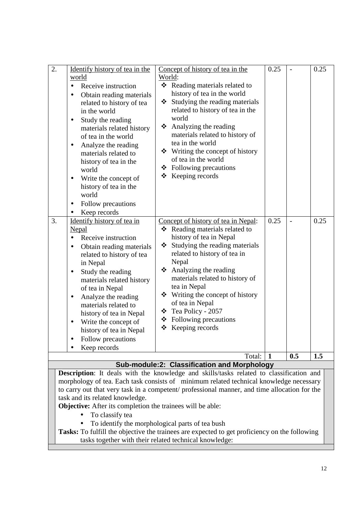| $\overline{2}$ . | Identify history of tea in the<br>world<br>Receive instruction<br>$\bullet$<br>Obtain reading materials<br>$\bullet$<br>related to history of tea<br>in the world<br>Study the reading<br>materials related history<br>of tea in the world<br>Analyze the reading<br>٠<br>materials related to<br>history of tea in the<br>world<br>Write the concept of<br>history of tea in the<br>world<br>Follow precautions<br>$\bullet$<br>Keep records<br>$\bullet$ | Concept of history of tea in the<br>World:<br>❖ Reading materials related to<br>history of tea in the world<br>Studying the reading materials<br>❖<br>related to history of tea in the<br>world<br>$\triangleleft$ Analyzing the reading<br>materials related to history of<br>tea in the world<br>$\div$ Writing the concept of history<br>of tea in the world<br>❖ Following precautions<br>$\div$ Keeping records  | 0.25      |                                 | 0.25        |
|------------------|------------------------------------------------------------------------------------------------------------------------------------------------------------------------------------------------------------------------------------------------------------------------------------------------------------------------------------------------------------------------------------------------------------------------------------------------------------|-----------------------------------------------------------------------------------------------------------------------------------------------------------------------------------------------------------------------------------------------------------------------------------------------------------------------------------------------------------------------------------------------------------------------|-----------|---------------------------------|-------------|
| 3.               | Identify history of tea in<br>Nepal<br>Receive instruction<br>$\bullet$<br>Obtain reading materials<br>$\bullet$<br>related to history of tea<br>in Nepal<br>Study the reading<br>materials related history<br>of tea in Nepal<br>Analyze the reading<br>$\bullet$<br>materials related to<br>history of tea in Nepal<br>Write the concept of<br>$\bullet$<br>history of tea in Nepal<br>Follow precautions<br>$\bullet$<br>Keep records<br>$\bullet$      | Concept of history of tea in Nepal:<br>❖ Reading materials related to<br>history of tea in Nepal<br>Studying the reading materials<br>related to history of tea in<br>Nepal<br>❖ Analyzing the reading<br>materials related to history of<br>tea in Nepal<br>$\div$ Writing the concept of history<br>of tea in Nepal<br>$\div$ Tea Policy - 2057<br>$\div$ Following precautions<br>$\div$ Keeping records<br>Total: | 0.25<br>1 | $\overline{\phantom{a}}$<br>0.5 | 0.25<br>1.5 |
|                  |                                                                                                                                                                                                                                                                                                                                                                                                                                                            | Sub-module:2: Classification and Morphology                                                                                                                                                                                                                                                                                                                                                                           |           |                                 |             |

**Description**: It deals with the knowledge and skills/tasks related to classification and morphology of tea. Each task consists of minimum related technical knowledge necessary to carry out that very task in a competent/ professional manner, and time allocation for the task and its related knowledge.

**Objective:** After its completion the trainees will be able:

- To classify tea
- To identify the morphological parts of tea bush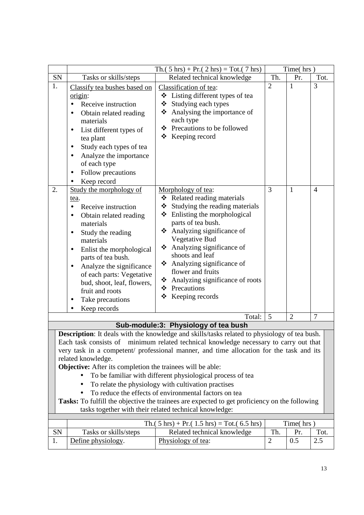|                                                                                                                                                                                                                                                                                                                                                                                                                                                                                                                                                                                                                                                                                                                                                                     |                                                                                                                                                                                                                                                                                                                                                                                          | Th.( $5 \text{ hrs}$ ) + Pr.( $2 \text{ hrs}$ ) = Tot.( $7 \text{ hrs}$ )                                                                                                                                                                                                                                                                                                                              |                | Time(hrs)      |                |  |
|---------------------------------------------------------------------------------------------------------------------------------------------------------------------------------------------------------------------------------------------------------------------------------------------------------------------------------------------------------------------------------------------------------------------------------------------------------------------------------------------------------------------------------------------------------------------------------------------------------------------------------------------------------------------------------------------------------------------------------------------------------------------|------------------------------------------------------------------------------------------------------------------------------------------------------------------------------------------------------------------------------------------------------------------------------------------------------------------------------------------------------------------------------------------|--------------------------------------------------------------------------------------------------------------------------------------------------------------------------------------------------------------------------------------------------------------------------------------------------------------------------------------------------------------------------------------------------------|----------------|----------------|----------------|--|
| SN                                                                                                                                                                                                                                                                                                                                                                                                                                                                                                                                                                                                                                                                                                                                                                  | Tasks or skills/steps                                                                                                                                                                                                                                                                                                                                                                    | Related technical knowledge                                                                                                                                                                                                                                                                                                                                                                            | Th.            | Pr.            | Tot.           |  |
| 1.                                                                                                                                                                                                                                                                                                                                                                                                                                                                                                                                                                                                                                                                                                                                                                  | Classify tea bushes based on<br>origin:<br>Receive instruction<br>Obtain related reading<br>٠<br>materials<br>List different types of<br>$\bullet$<br>tea plant<br>Study each types of tea<br>$\bullet$<br>Analyze the importance<br>$\bullet$<br>of each type<br>Follow precautions<br>$\bullet$<br>Keep record                                                                         | Classification of tea:<br>Listing different types of tea<br>❖<br>Studying each types<br>❖<br>Analysing the importance of<br>❖<br>each type<br>Precautions to be followed<br>❖<br>Keeping record<br>❖                                                                                                                                                                                                   | $\overline{2}$ | 1              | 3              |  |
| 2.                                                                                                                                                                                                                                                                                                                                                                                                                                                                                                                                                                                                                                                                                                                                                                  | Study the morphology of<br>tea.<br>Receive instruction<br>Obtain related reading<br>$\bullet$<br>materials<br>Study the reading<br>$\bullet$<br>materials<br>Enlist the morphological<br>$\bullet$<br>parts of tea bush.<br>Analyze the significance<br>$\bullet$<br>of each parts: Vegetative<br>bud, shoot, leaf, flowers,<br>fruit and roots<br>Take precautions<br>٠<br>Keep records | Morphology of tea:<br>❖ Related reading materials<br>Studying the reading materials<br>❖<br>Enlisting the morphological<br>❖<br>parts of tea bush.<br>Analyzing significance of<br>❖<br>Vegetative Bud<br>Analyzing significance of<br>❖<br>shoots and leaf<br>Analyzing significance of<br>❖<br>flower and fruits<br>Analyzing significance of roots<br>❖<br>Precautions<br>❖<br>Keeping records<br>❖ | 3              | 1              | $\overline{4}$ |  |
|                                                                                                                                                                                                                                                                                                                                                                                                                                                                                                                                                                                                                                                                                                                                                                     |                                                                                                                                                                                                                                                                                                                                                                                          | Total:                                                                                                                                                                                                                                                                                                                                                                                                 | 5              | $\overline{2}$ | $\overline{7}$ |  |
|                                                                                                                                                                                                                                                                                                                                                                                                                                                                                                                                                                                                                                                                                                                                                                     |                                                                                                                                                                                                                                                                                                                                                                                          |                                                                                                                                                                                                                                                                                                                                                                                                        |                |                |                |  |
| Sub-module:3: Physiology of tea bush<br><b>Description:</b> It deals with the knowledge and skills/tasks related to physiology of tea bush.<br>Each task consists of minimum related technical knowledge necessary to carry out that<br>very task in a competent/ professional manner, and time allocation for the task and its<br>related knowledge.<br><b>Objective:</b> After its completion the trainees will be able:<br>To be familiar with different physiological process of tea<br>To relate the physiology with cultivation practises<br>To reduce the effects of environmental factors on tea<br>Tasks: To fulfill the objective the trainees are expected to get proficiency on the following<br>tasks together with their related technical knowledge: |                                                                                                                                                                                                                                                                                                                                                                                          |                                                                                                                                                                                                                                                                                                                                                                                                        |                |                |                |  |
|                                                                                                                                                                                                                                                                                                                                                                                                                                                                                                                                                                                                                                                                                                                                                                     |                                                                                                                                                                                                                                                                                                                                                                                          | Th. $(5 \text{ hrs}) + Pr. (1.5 \text{ hrs}) = Tot. (6.5 \text{ hrs})$                                                                                                                                                                                                                                                                                                                                 |                | Time(hrs)      |                |  |
| SN                                                                                                                                                                                                                                                                                                                                                                                                                                                                                                                                                                                                                                                                                                                                                                  | Tasks or skills/steps                                                                                                                                                                                                                                                                                                                                                                    | Related technical knowledge                                                                                                                                                                                                                                                                                                                                                                            | Th.            | Pr.            | Tot.           |  |
| 1.                                                                                                                                                                                                                                                                                                                                                                                                                                                                                                                                                                                                                                                                                                                                                                  | Define physiology.                                                                                                                                                                                                                                                                                                                                                                       | Physiology of tea:                                                                                                                                                                                                                                                                                                                                                                                     | $\mathbf{2}$   | 0.5            | 2.5            |  |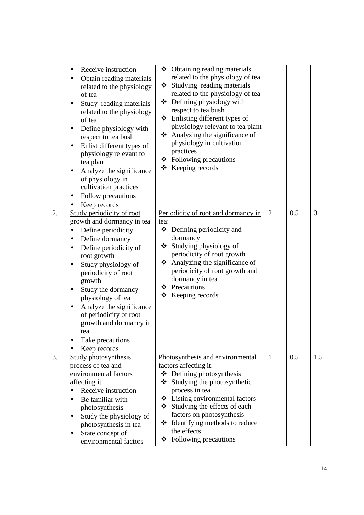|    | Receive instruction<br>$\bullet$<br>Obtain reading materials<br>related to the physiology<br>of tea<br>Study reading materials<br>٠<br>related to the physiology<br>of tea<br>Define physiology with<br>respect to tea bush<br>Enlist different types of<br>$\bullet$<br>physiology relevant to<br>tea plant<br>Analyze the significance<br>$\bullet$<br>of physiology in<br>cultivation practices<br>Follow precautions<br>٠<br>Keep records<br>$\bullet$ | $\div$ Obtaining reading materials<br>related to the physiology of tea<br>❖ Studying reading materials<br>related to the physiology of tea<br>❖ Defining physiology with<br>respect to tea bush<br>Enlisting different types of<br>❖<br>physiology relevant to tea plant<br>Analyzing the significance of<br>❖<br>physiology in cultivation<br>practices<br>$\div$ Following precautions<br>$\triangleleft$ Keeping records |                |     |     |
|----|------------------------------------------------------------------------------------------------------------------------------------------------------------------------------------------------------------------------------------------------------------------------------------------------------------------------------------------------------------------------------------------------------------------------------------------------------------|-----------------------------------------------------------------------------------------------------------------------------------------------------------------------------------------------------------------------------------------------------------------------------------------------------------------------------------------------------------------------------------------------------------------------------|----------------|-----|-----|
| 2. | Study periodicity of root<br>growth and dormancy in tea<br>Define periodicity<br>$\bullet$<br>Define dormancy<br>$\bullet$<br>Define periodicity of<br>٠<br>root growth<br>Study physiology of<br>periodicity of root<br>growth<br>Study the dormancy<br>$\bullet$<br>physiology of tea<br>Analyze the significance<br>٠<br>of periodicity of root<br>growth and dormancy in<br>tea<br>Take precautions<br>Keep records                                    | Periodicity of root and dormancy in<br>tea:<br>❖<br>Defining periodicity and<br>dormancy<br>❖ Studying physiology of<br>periodicity of root growth<br>Analyzing the significance of<br>❖<br>periodicity of root growth and<br>dormancy in tea<br>❖ Precautions<br>Keeping records<br>❖                                                                                                                                      | $\overline{2}$ | 0.5 | 3   |
| 3. | <b>Study photosynthesis</b><br>process of tea and<br>environmental factors<br>affecting it.<br>Receive instruction<br>Be familiar with<br>photosynthesis<br>Study the physiology of<br>$\bullet$<br>photosynthesis in tea<br>State concept of<br>environmental factors                                                                                                                                                                                     | Photosynthesis and environmental<br>factors affecting it:<br>$\triangleleft$ Defining photosynthesis<br>❖<br>Studying the photosynthetic<br>process in tea<br>Listing environmental factors<br>❖<br>Studying the effects of each<br>factors on photosynthesis<br>Identifying methods to reduce<br>❖<br>the effects<br>Following precautions<br>❖                                                                            | $\mathbf{1}$   | 0.5 | 1.5 |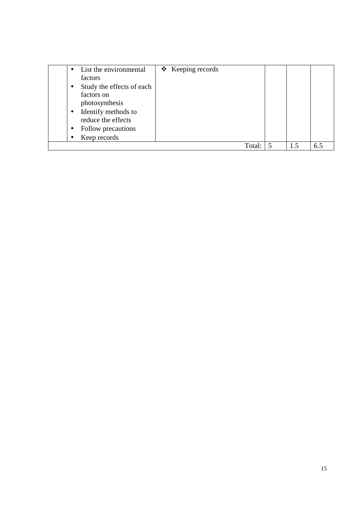|           | List the environmental                    | $\triangleleft$ Keeping records |     |     |  |
|-----------|-------------------------------------------|---------------------------------|-----|-----|--|
|           | factors                                   |                                 |     |     |  |
| $\bullet$ | Study the effects of each                 |                                 |     |     |  |
|           | factors on                                |                                 |     |     |  |
|           | photosynthesis                            |                                 |     |     |  |
| $\bullet$ | Identify methods to<br>reduce the effects |                                 |     |     |  |
|           | Follow precautions                        |                                 |     |     |  |
|           | Keep records                              |                                 |     |     |  |
|           |                                           | Total:                          | 1.5 | 6.5 |  |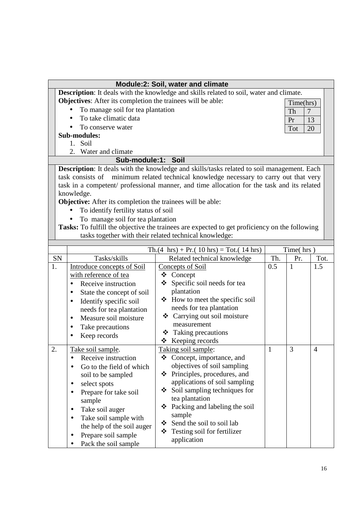| <b>Module:2: Soil, water and climate</b> |                                                                                         |                                                                                                   |              |              |                |  |  |  |
|------------------------------------------|-----------------------------------------------------------------------------------------|---------------------------------------------------------------------------------------------------|--------------|--------------|----------------|--|--|--|
|                                          | Description: It deals with the knowledge and skills related to soil, water and climate. |                                                                                                   |              |              |                |  |  |  |
|                                          | Objectives: After its completion the trainees will be able:<br>Time(hrs)                |                                                                                                   |              |              |                |  |  |  |
|                                          | To manage soil for tea plantation<br>Th<br>$\overline{7}$                               |                                                                                                   |              |              |                |  |  |  |
|                                          | To take climatic data<br>Pr                                                             |                                                                                                   |              |              |                |  |  |  |
|                                          | To conserve water                                                                       |                                                                                                   |              | Tot          | 13<br>20       |  |  |  |
|                                          | <b>Sub-modules:</b>                                                                     |                                                                                                   |              |              |                |  |  |  |
|                                          | 1. Soil                                                                                 |                                                                                                   |              |              |                |  |  |  |
|                                          | 2.<br>Water and climate                                                                 |                                                                                                   |              |              |                |  |  |  |
|                                          | Sub-module:1: Soil                                                                      |                                                                                                   |              |              |                |  |  |  |
|                                          |                                                                                         | <b>Description:</b> It deals with the knowledge and skills/tasks related to soil management. Each |              |              |                |  |  |  |
|                                          | task consists of                                                                        | minimum related technical knowledge necessary to carry out that very                              |              |              |                |  |  |  |
|                                          |                                                                                         | task in a competent/ professional manner, and time allocation for the task and its related        |              |              |                |  |  |  |
|                                          | knowledge.                                                                              |                                                                                                   |              |              |                |  |  |  |
|                                          | <b>Objective:</b> After its completion the trainees will be able:                       |                                                                                                   |              |              |                |  |  |  |
|                                          | To identify fertility status of soil                                                    |                                                                                                   |              |              |                |  |  |  |
|                                          | To manage soil for tea plantation                                                       |                                                                                                   |              |              |                |  |  |  |
|                                          |                                                                                         | Tasks: To fulfill the objective the trainees are expected to get proficiency on the following     |              |              |                |  |  |  |
|                                          |                                                                                         | tasks together with their related technical knowledge:                                            |              |              |                |  |  |  |
|                                          |                                                                                         |                                                                                                   |              |              |                |  |  |  |
|                                          |                                                                                         | $\text{Th.}(4 \text{ hrs}) + \text{Pr.}(10 \text{ hrs}) = \text{Tot.}(14 \text{ hrs})$            |              | Time(hrs)    |                |  |  |  |
| SN                                       | Tasks/skills                                                                            | Related technical knowledge                                                                       | Th.          | Pr.          | Tot.           |  |  |  |
| 1.                                       | Introduce concepts of Soil                                                              | Concepts of Soil                                                                                  | 0.5          | $\mathbf{1}$ | 1.5            |  |  |  |
|                                          | with reference of tea                                                                   | Concept<br>❖                                                                                      |              |              |                |  |  |  |
|                                          | Receive instruction<br>$\bullet$                                                        | Specific soil needs for tea<br>❖                                                                  |              |              |                |  |  |  |
|                                          | State the concept of soil<br>٠                                                          | plantation                                                                                        |              |              |                |  |  |  |
|                                          | Identify specific soil<br>٠                                                             | How to meet the specific soil                                                                     |              |              |                |  |  |  |
|                                          | needs for tea plantation                                                                | needs for tea plantation                                                                          |              |              |                |  |  |  |
|                                          | Measure soil moisture<br>$\bullet$                                                      | ❖ Carrying out soil moisture<br>measurement                                                       |              |              |                |  |  |  |
|                                          | Take precautions<br>٠                                                                   |                                                                                                   |              |              |                |  |  |  |
|                                          | Keep records<br>٠                                                                       | Taking precautions<br>❖<br>Keeping records<br>❖                                                   |              |              |                |  |  |  |
| $\overline{2}$                           |                                                                                         |                                                                                                   | $\mathbf{1}$ | 3            | $\overline{4}$ |  |  |  |
|                                          | Take soil sample.<br>Receive instruction                                                | Taking soil sample:<br>❖ Concept, importance, and                                                 |              |              |                |  |  |  |
|                                          |                                                                                         | objectives of soil sampling                                                                       |              |              |                |  |  |  |
|                                          | Go to the field of which                                                                | ❖ Principles, procedures, and                                                                     |              |              |                |  |  |  |
|                                          | soil to be sampled                                                                      | applications of soil sampling                                                                     |              |              |                |  |  |  |
|                                          | select spots                                                                            | $\div$ Soil sampling techniques for                                                               |              |              |                |  |  |  |
|                                          | Prepare for take soil<br>$\bullet$                                                      | tea plantation                                                                                    |              |              |                |  |  |  |
|                                          | sample                                                                                  | Packing and labeling the soil<br>❖                                                                |              |              |                |  |  |  |
|                                          | Take soil auger<br>٠                                                                    | sample                                                                                            |              |              |                |  |  |  |
|                                          | Take soil sample with                                                                   | Send the soil to soil lab<br>❖                                                                    |              |              |                |  |  |  |
|                                          | the help of the soil auger                                                              | Testing soil for fertilizer<br>❖                                                                  |              |              |                |  |  |  |
|                                          | Prepare soil sample                                                                     | application                                                                                       |              |              |                |  |  |  |
|                                          | Pack the soil sample                                                                    |                                                                                                   |              |              |                |  |  |  |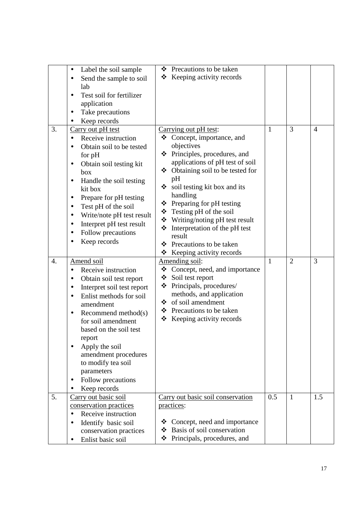|                  | Label the soil sample<br>$\bullet$          | ❖ Precautions to be taken                                           |              |                |                |
|------------------|---------------------------------------------|---------------------------------------------------------------------|--------------|----------------|----------------|
|                  | Send the sample to soil                     | Keeping activity records<br>❖                                       |              |                |                |
|                  | lab                                         |                                                                     |              |                |                |
|                  | Test soil for fertilizer<br>٠               |                                                                     |              |                |                |
|                  | application                                 |                                                                     |              |                |                |
|                  | Take precautions                            |                                                                     |              |                |                |
|                  | Keep records                                |                                                                     |              |                |                |
| 3.               | Carry out pH test                           | Carrying out pH test:                                               | $\mathbf{1}$ | 3              | $\overline{4}$ |
|                  | Receive instruction                         | Concept, importance, and<br>❖                                       |              |                |                |
|                  | $\bullet$                                   |                                                                     |              |                |                |
|                  | Obtain soil to be tested                    | objectives                                                          |              |                |                |
|                  | for pH                                      | ❖ Principles, procedures, and                                       |              |                |                |
|                  | Obtain soil testing kit<br>$\bullet$        | applications of pH test of soil                                     |              |                |                |
|                  | box                                         | Obtaining soil to be tested for<br>❖                                |              |                |                |
|                  | Handle the soil testing<br>٠                | pH                                                                  |              |                |                |
|                  | kit box                                     | Soil testing kit box and its                                        |              |                |                |
|                  | Prepare for pH testing<br>$\bullet$         | handling                                                            |              |                |                |
|                  | Test pH of the soil<br>٠                    | $\div$ Preparing for pH testing                                     |              |                |                |
|                  | Write/note pH test result<br>$\bullet$      | $\div$ Testing pH of the soil                                       |              |                |                |
|                  |                                             | ❖ Writing/noting pH test result                                     |              |                |                |
|                  | Interpret pH test result<br>٠               | ❖<br>Interpretation of the pH test                                  |              |                |                |
|                  | Follow precautions<br>$\bullet$             | result                                                              |              |                |                |
|                  | Keep records                                | Precautions to be taken<br>❖                                        |              |                |                |
|                  |                                             |                                                                     |              |                |                |
|                  |                                             | ❖                                                                   |              |                |                |
| $\overline{4}$ . |                                             | Keeping activity records                                            | $\mathbf{1}$ | $\overline{2}$ | 3              |
|                  | Amend soil                                  | Amending soil:                                                      |              |                |                |
|                  | Receive instruction                         | Concept, need, and importance<br>❖                                  |              |                |                |
|                  | Obtain soil test report<br>$\bullet$        | Soil test report<br>❖                                               |              |                |                |
|                  | Interpret soil test report<br>٠             | Principals, procedures/<br>❖                                        |              |                |                |
|                  | Enlist methods for soil<br>٠                | methods, and application                                            |              |                |                |
|                  | amendment                                   | ❖ of soil amendment                                                 |              |                |                |
|                  | Recommend method $(s)$<br>٠                 | ❖ Precautions to be taken                                           |              |                |                |
|                  | for soil amendment                          | Keeping activity records<br>❖                                       |              |                |                |
|                  | based on the soil test                      |                                                                     |              |                |                |
|                  | report                                      |                                                                     |              |                |                |
|                  | Apply the soil                              |                                                                     |              |                |                |
|                  | amendment procedures                        |                                                                     |              |                |                |
|                  | to modify tea soil                          |                                                                     |              |                |                |
|                  | parameters                                  |                                                                     |              |                |                |
|                  |                                             |                                                                     |              |                |                |
|                  | Follow precautions                          |                                                                     |              |                |                |
|                  | Keep records                                |                                                                     |              |                |                |
| 5.               | Carry out basic soil                        | Carry out basic soil conservation                                   | 0.5          | $\mathbf{1}$   | 1.5            |
|                  | conservation practices                      | practices:                                                          |              |                |                |
|                  | Receive instruction<br>$\bullet$            |                                                                     |              |                |                |
|                  | Identify basic soil<br>$\bullet$            | Concept, need and importance<br>❖                                   |              |                |                |
|                  | conservation practices<br>Enlist basic soil | Basis of soil conservation<br>❖<br>❖<br>Principals, procedures, and |              |                |                |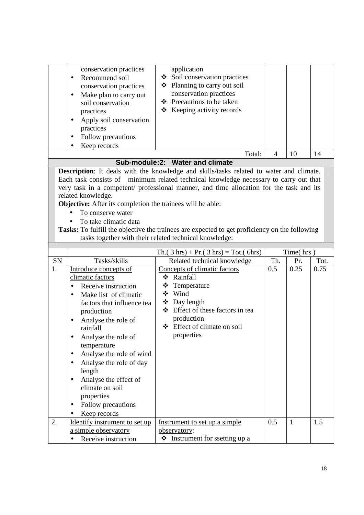|                                                                                                                                                                                                                                                                                                                                                                                                                                                                                                                                                                          | conservation practices<br>Recommend soil<br>$\bullet$<br>conservation practices<br>Make plan to carry out<br>$\bullet$<br>soil conservation<br>practices<br>Apply soil conservation<br>$\bullet$<br>practices<br>Follow precautions<br>$\bullet$<br>Keep records                                                                                                                                               | application<br>Soil conservation practices<br>❖<br>Planning to carry out soil<br>❖<br>conservation practices<br>❖ Precautions to be taken<br>$\triangle$ Keeping activity records<br>Total:   | $\overline{4}$ | 10           | 14   |  |  |  |
|--------------------------------------------------------------------------------------------------------------------------------------------------------------------------------------------------------------------------------------------------------------------------------------------------------------------------------------------------------------------------------------------------------------------------------------------------------------------------------------------------------------------------------------------------------------------------|----------------------------------------------------------------------------------------------------------------------------------------------------------------------------------------------------------------------------------------------------------------------------------------------------------------------------------------------------------------------------------------------------------------|-----------------------------------------------------------------------------------------------------------------------------------------------------------------------------------------------|----------------|--------------|------|--|--|--|
|                                                                                                                                                                                                                                                                                                                                                                                                                                                                                                                                                                          |                                                                                                                                                                                                                                                                                                                                                                                                                | Sub-module:2: Water and climate                                                                                                                                                               |                |              |      |  |  |  |
| Description: It deals with the knowledge and skills/tasks related to water and climate.<br>Each task consists of minimum related technical knowledge necessary to carry out that<br>very task in a competent/ professional manner, and time allocation for the task and its<br>related knowledge.<br>Objective: After its completion the trainees will be able:<br>To conserve water<br>To take climatic data<br>Tasks: To fulfill the objective the trainees are expected to get proficiency on the following<br>tasks together with their related technical knowledge: |                                                                                                                                                                                                                                                                                                                                                                                                                |                                                                                                                                                                                               |                |              |      |  |  |  |
|                                                                                                                                                                                                                                                                                                                                                                                                                                                                                                                                                                          |                                                                                                                                                                                                                                                                                                                                                                                                                | $Th. (3 hrs) + Pr. (3 hrs) = Tot. (6 hrs)$                                                                                                                                                    |                | Time(hrs)    |      |  |  |  |
| SN                                                                                                                                                                                                                                                                                                                                                                                                                                                                                                                                                                       | Tasks/skills                                                                                                                                                                                                                                                                                                                                                                                                   | Related technical knowledge                                                                                                                                                                   | Th.            | Pr.          | Tot. |  |  |  |
| 1.                                                                                                                                                                                                                                                                                                                                                                                                                                                                                                                                                                       | Introduce concepts of<br>climatic factors<br>Receive instruction<br>$\bullet$<br>Make list of climatic<br>factors that influence tea<br>production<br>Analyse the role of<br>rainfall<br>Analyse the role of<br>temperature<br>Analyse the role of wind<br>Analyse the role of day<br>٠<br>length<br>Analyse the effect of<br>climate on soil<br>properties<br>Follow precautions<br>$\bullet$<br>Keep records | Concepts of climatic factors<br>❖ Rainfall<br>Temperature<br>❖<br>❖ Wind<br>❖ Day length<br>Effect of these factors in tea<br>❖<br>production<br>Effect of climate on soil<br>❖<br>properties | 0.5            | 0.25         | 0.75 |  |  |  |
| 2.                                                                                                                                                                                                                                                                                                                                                                                                                                                                                                                                                                       | Identify instrument to set up<br>a simple observatory<br>Receive instruction                                                                                                                                                                                                                                                                                                                                   | Instrument to set up a simple<br>observatory:<br>❖ Instrument for ssetting up a                                                                                                               | 0.5            | $\mathbf{1}$ | 1.5  |  |  |  |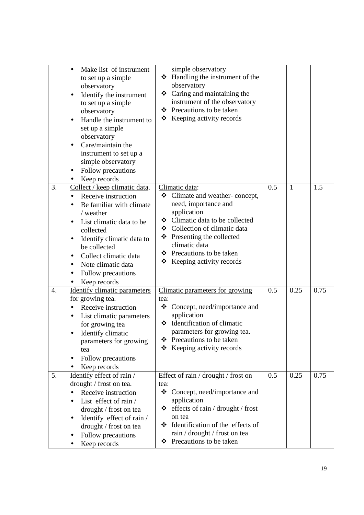|                  | Make list of instrument<br>to set up a simple<br>observatory<br>Identify the instrument<br>٠<br>to set up a simple<br>observatory<br>Handle the instrument to<br>$\bullet$<br>set up a simple<br>observatory<br>Care/maintain the<br>٠<br>instrument to set up a<br>simple observatory<br>Follow precautions<br>٠<br>Keep records                      | simple observatory<br>Handling the instrument of the<br>❖<br>observatory<br>$\div$ Caring and maintaining the<br>instrument of the observatory<br>❖ Precautions to be taken<br>Keeping activity records<br>❖                                                                   |     |              |      |
|------------------|--------------------------------------------------------------------------------------------------------------------------------------------------------------------------------------------------------------------------------------------------------------------------------------------------------------------------------------------------------|--------------------------------------------------------------------------------------------------------------------------------------------------------------------------------------------------------------------------------------------------------------------------------|-----|--------------|------|
| 3.               | Collect / keep climatic data.<br>Receive instruction<br>$\bullet$<br>Be familiar with climate<br>$\bullet$<br>/ weather<br>List climatic data to be<br>$\bullet$<br>collected<br>Identify climatic data to<br>$\bullet$<br>be collected<br>Collect climatic data<br>$\bullet$<br>Note climatic data<br>$\bullet$<br>Follow precautions<br>Keep records | Climatic data:<br>Climate and weather-concept,<br>❖<br>need, importance and<br>application<br>❖ Climatic data to be collected<br>❖ Collection of climatic data<br>Presenting the collected<br>❖<br>climatic data<br>❖ Precautions to be taken<br>Keeping activity records<br>❖ | 0.5 | $\mathbf{1}$ | 1.5  |
| $\overline{4}$ . | <b>Identify climatic parameters</b><br><u>for growing tea.</u><br>Receive instruction<br>$\bullet$<br>List climatic parameters<br>for growing tea<br>Identify climatic<br>parameters for growing<br>tea<br>Follow precautions<br>Keep records                                                                                                          | Climatic parameters for growing<br>tea:<br>Concept, need/importance and<br>❖<br>application<br>❖ Identification of climatic<br>parameters for growing tea.<br>Precautions to be taken<br>❖<br>Keeping activity records<br>❖                                                    | 0.5 | 0.25         | 0.75 |
| 5.               | Identify effect of rain /<br>drought / frost on tea.<br>Receive instruction<br>$\bullet$<br>List effect of rain /<br>drought / frost on tea<br>Identify effect of rain /<br>$\bullet$<br>drought / frost on tea<br>Follow precautions<br>$\bullet$<br>Keep records                                                                                     | Effect of rain / drought / frost on<br>tea:<br>❖<br>Concept, need/importance and<br>application<br>effects of rain / drought / frost<br>❖<br>on tea<br>Identification of the effects of<br>❖<br>rain / drought / frost on tea<br>Precautions to be taken<br>❖                  | 0.5 | 0.25         | 0.75 |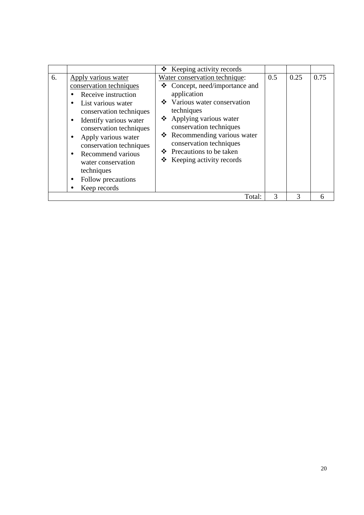|    |                                                                                                                                                                                                                                                                                                                                                | $\triangle$ Keeping activity records                                                                                                                                                                                                                                                                                              |               |      |      |
|----|------------------------------------------------------------------------------------------------------------------------------------------------------------------------------------------------------------------------------------------------------------------------------------------------------------------------------------------------|-----------------------------------------------------------------------------------------------------------------------------------------------------------------------------------------------------------------------------------------------------------------------------------------------------------------------------------|---------------|------|------|
| 6. | Apply various water<br>conservation techniques<br>Receive instruction<br>List various water<br>conservation techniques<br>Identify various water<br>٠<br>conservation techniques<br>Apply various water<br>conservation techniques<br>Recommend various<br>$\bullet$<br>water conservation<br>techniques<br>Follow precautions<br>Keep records | Water conservation technique:<br>$\triangleleft$ Concept, need/importance and<br>application<br>❖ Various water conservation<br>techniques<br>❖ Applying various water<br>conservation techniques<br>❖ Recommending various water<br>conservation techniques<br>❖ Precautions to be taken<br>$\triangle$ Keeping activity records | 0.5           | 0.25 | 0.75 |
|    |                                                                                                                                                                                                                                                                                                                                                | Total:                                                                                                                                                                                                                                                                                                                            | $\mathcal{R}$ | 3    | 6    |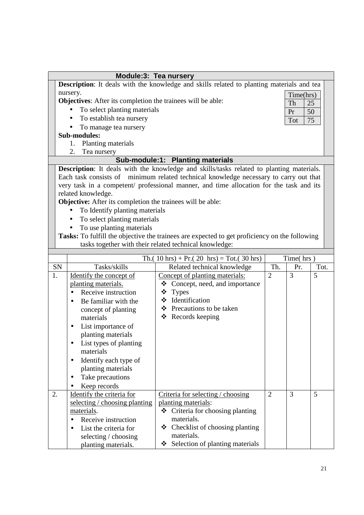|                              | Module:3: Tea nursery                                                                                                               |                                                                                               |                |           |      |  |  |  |
|------------------------------|-------------------------------------------------------------------------------------------------------------------------------------|-----------------------------------------------------------------------------------------------|----------------|-----------|------|--|--|--|
|                              |                                                                                                                                     | Description: It deals with the knowledge and skills related to planting materials and tea     |                |           |      |  |  |  |
|                              | nursery.                                                                                                                            |                                                                                               |                | Time(hrs) |      |  |  |  |
|                              | <b>Objectives:</b> After its completion the trainees will be able:                                                                  |                                                                                               |                | Th        | 25   |  |  |  |
|                              | To select planting materials                                                                                                        |                                                                                               |                | Pr        | 50   |  |  |  |
|                              | To establish tea nursery                                                                                                            |                                                                                               |                | Tot       | 75   |  |  |  |
|                              | To manage tea nursery<br>$\bullet$                                                                                                  |                                                                                               |                |           |      |  |  |  |
|                              | Sub-modules:                                                                                                                        |                                                                                               |                |           |      |  |  |  |
|                              | Planting materials<br>1.                                                                                                            |                                                                                               |                |           |      |  |  |  |
|                              | 2.<br>Tea nursery                                                                                                                   |                                                                                               |                |           |      |  |  |  |
|                              | Sub-module:1: Planting materials<br><b>Description:</b> It deals with the knowledge and skills/tasks related to planting materials. |                                                                                               |                |           |      |  |  |  |
|                              |                                                                                                                                     |                                                                                               |                |           |      |  |  |  |
|                              | Each task consists of minimum related technical knowledge necessary to carry out that                                               |                                                                                               |                |           |      |  |  |  |
|                              | very task in a competent/ professional manner, and time allocation for the task and its                                             |                                                                                               |                |           |      |  |  |  |
|                              | related knowledge.<br><b>Objective:</b> After its completion the trainees will be able:                                             |                                                                                               |                |           |      |  |  |  |
|                              | To Identify planting materials<br>$\bullet$                                                                                         |                                                                                               |                |           |      |  |  |  |
| To select planting materials |                                                                                                                                     |                                                                                               |                |           |      |  |  |  |
| To use planting materials    |                                                                                                                                     |                                                                                               |                |           |      |  |  |  |
|                              |                                                                                                                                     | Tasks: To fulfill the objective the trainees are expected to get proficiency on the following |                |           |      |  |  |  |
|                              |                                                                                                                                     | tasks together with their related technical knowledge:                                        |                |           |      |  |  |  |
|                              |                                                                                                                                     |                                                                                               |                |           |      |  |  |  |
|                              |                                                                                                                                     | Th. $(10 \text{ hrs}) + Pr. (20 \text{ hrs}) = Tot. (30 \text{ hrs})$                         |                | Time(hrs) |      |  |  |  |
| SN                           | Tasks/skills                                                                                                                        | Related technical knowledge                                                                   | Th.            | Pr.       | Tot. |  |  |  |
| 1.                           | Identify the concept of                                                                                                             | Concept of planting materials:                                                                | $\overline{2}$ | 3         | 5    |  |  |  |
|                              | planting materials.                                                                                                                 | Concept, need, and importance<br>❖                                                            |                |           |      |  |  |  |
|                              | Receive instruction<br>$\bullet$                                                                                                    | ❖<br><b>Types</b><br>Identification<br>❖                                                      |                |           |      |  |  |  |
|                              | Be familiar with the                                                                                                                | ❖ Precautions to be taken                                                                     |                |           |      |  |  |  |
|                              | concept of planting                                                                                                                 | Records keeping<br>❖                                                                          |                |           |      |  |  |  |
|                              | materials                                                                                                                           |                                                                                               |                |           |      |  |  |  |
|                              | List importance of<br>planting materials                                                                                            |                                                                                               |                |           |      |  |  |  |
|                              |                                                                                                                                     |                                                                                               |                |           |      |  |  |  |
|                              | List types of planting<br>materials                                                                                                 |                                                                                               |                |           |      |  |  |  |
|                              | Identify each type of<br>$\bullet$                                                                                                  |                                                                                               |                |           |      |  |  |  |
|                              | planting materials                                                                                                                  |                                                                                               |                |           |      |  |  |  |
|                              | Take precautions<br>$\bullet$                                                                                                       |                                                                                               |                |           |      |  |  |  |
|                              | Keep records                                                                                                                        |                                                                                               |                |           |      |  |  |  |
| 2.                           | Identify the criteria for                                                                                                           | Criteria for selecting / choosing                                                             | 2              | 3         | 5    |  |  |  |
|                              | selecting / choosing planting                                                                                                       | planting materials:                                                                           |                |           |      |  |  |  |
|                              | materials.                                                                                                                          | Criteria for choosing planting<br>❖                                                           |                |           |      |  |  |  |
|                              | Receive instruction<br>$\bullet$                                                                                                    | materials.                                                                                    |                |           |      |  |  |  |
|                              | List the criteria for<br>$\bullet$                                                                                                  | Checklist of choosing planting<br>❖                                                           |                |           |      |  |  |  |
|                              | selecting / choosing                                                                                                                | materials.                                                                                    |                |           |      |  |  |  |
|                              | planting materials.                                                                                                                 | Selection of planting materials<br>❖                                                          |                |           |      |  |  |  |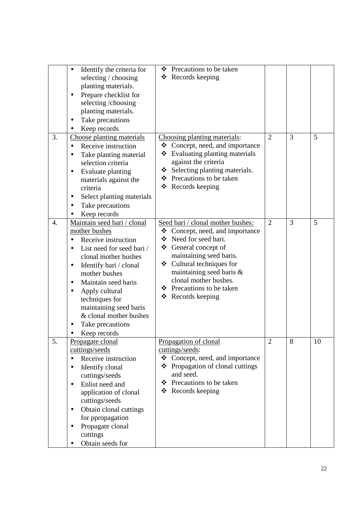|    | Identify the criteria for<br>$\bullet$<br>selecting / choosing<br>planting materials.<br>Prepare checklist for<br>selecting/choosing<br>planting materials.<br>Take precautions<br>٠<br>Keep records                                                                                                                                                               | ❖ Precautions to be taken<br>$\triangleleft$ Records keeping                                                                                                                                                                                                                                             |                |   |    |
|----|--------------------------------------------------------------------------------------------------------------------------------------------------------------------------------------------------------------------------------------------------------------------------------------------------------------------------------------------------------------------|----------------------------------------------------------------------------------------------------------------------------------------------------------------------------------------------------------------------------------------------------------------------------------------------------------|----------------|---|----|
| 3. | Choose planting materials<br>Receive instruction<br>$\bullet$<br>Take planting material<br>٠<br>selection criteria<br>Evaluate planting<br>$\bullet$<br>materials against the<br>criteria<br>Select planting materials<br>٠<br>Take precautions<br>٠<br>Keep records                                                                                               | Choosing planting materials:<br>Concept, need, and importance<br>❖<br>Evaluating planting materials<br>❖<br>against the criteria<br>$\div$ Selecting planting materials.<br>Precautions to be taken<br>❖<br>Records keeping<br>❖                                                                         | $\overline{2}$ | 3 | 5  |
| 4. | Maintain seed bari / clonal<br>mother bushes<br>Receive instruction<br>List need for seed bari /<br>$\bullet$<br>clonal mother bushes<br>Identify bari / clonal<br>$\bullet$<br>mother bushes<br>Maintain seed baris<br>$\bullet$<br>Apply cultural<br>٠<br>techniques for<br>maintaining seed baris<br>& clonal mother bushes<br>Take precautions<br>Keep records | Seed bari / clonal mother bushes:<br>$\triangleleft$ Concept, need, and importance<br>❖ Need for seed bari.<br>❖ General concept of<br>maintaining seed baris.<br>❖ Cultural techniques for<br>maintaining seed baris &<br>clonal mother bushes.<br>Precautions to be taken<br>❖<br>Records keeping<br>❖ | $\overline{2}$ | 3 | 5  |
| 5. | Propagate clonal<br>cuttings/seeds<br>Receive instruction<br>$\bullet$<br>Identify clonal<br>$\bullet$<br>cuttings/seeds<br>Enlist need and<br>$\bullet$<br>application of clonal<br>cuttings/seeds<br>Obtain clonal cuttings<br>$\bullet$<br>for ppropagation<br>Propagate clonal<br>٠<br>cuttings<br>Obtain seeds for                                            | Propagation of clonal<br>cuttings/seeds:<br>Concept, need, and importance<br>❖<br>❖<br>Propagation of clonal cuttings<br>and seed.<br>Precautions to be taken<br>❖<br>❖<br>Records keeping                                                                                                               | $\overline{2}$ | 8 | 10 |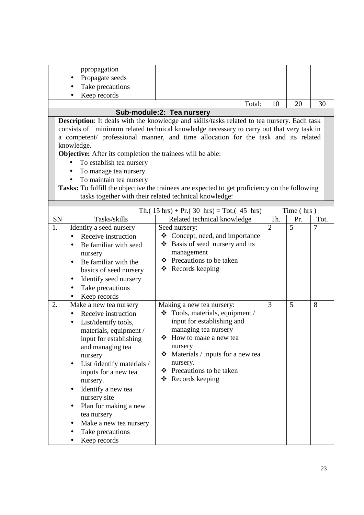|    | ppropagation                                                                       |                                                                                                    |                |            |      |  |  |  |
|----|------------------------------------------------------------------------------------|----------------------------------------------------------------------------------------------------|----------------|------------|------|--|--|--|
|    | Propagate seeds                                                                    |                                                                                                    |                |            |      |  |  |  |
|    | Take precautions                                                                   |                                                                                                    |                |            |      |  |  |  |
|    | Keep records                                                                       |                                                                                                    |                |            |      |  |  |  |
|    |                                                                                    | Total:                                                                                             | 10             | 20         | 30   |  |  |  |
|    |                                                                                    | Sub-module:2: Tea nursery                                                                          |                |            |      |  |  |  |
|    |                                                                                    | <b>Description:</b> It deals with the knowledge and skills/tasks related to tea nursery. Each task |                |            |      |  |  |  |
|    |                                                                                    | consists of minimum related technical knowledge necessary to carry out that very task in           |                |            |      |  |  |  |
|    | a competent/ professional manner, and time allocation for the task and its related |                                                                                                    |                |            |      |  |  |  |
|    | knowledge.                                                                         |                                                                                                    |                |            |      |  |  |  |
|    | <b>Objective:</b> After its completion the trainees will be able:                  |                                                                                                    |                |            |      |  |  |  |
|    | To establish tea nursery<br>$\bullet$                                              |                                                                                                    |                |            |      |  |  |  |
|    | To manage tea nursery                                                              |                                                                                                    |                |            |      |  |  |  |
|    | To maintain tea nursery                                                            |                                                                                                    |                |            |      |  |  |  |
|    |                                                                                    | Tasks: To fulfill the objective the trainees are expected to get proficiency on the following      |                |            |      |  |  |  |
|    |                                                                                    | tasks together with their related technical knowledge:                                             |                |            |      |  |  |  |
|    |                                                                                    |                                                                                                    |                |            |      |  |  |  |
|    |                                                                                    | Th. $(15 \text{ hrs}) + Pr. (30 \text{ hrs}) = Tot. (45 \text{ hrs})$                              |                | Time (hrs) |      |  |  |  |
| SN | Tasks/skills                                                                       | Related technical knowledge                                                                        | Th.            | Pr.        | Tot. |  |  |  |
| 1. | Identity a seed nursery                                                            | Seed nursery:                                                                                      | $\overline{2}$ | 5          | 7    |  |  |  |
|    | Receive instruction<br>$\bullet$                                                   | $\triangleleft$ Concept, need, and importance                                                      |                |            |      |  |  |  |
|    | Be familiar with seed                                                              | ❖ Basis of seed nursery and its                                                                    |                |            |      |  |  |  |
|    | nursery                                                                            | management<br>Precautions to be taken                                                              |                |            |      |  |  |  |
|    | Be familiar with the<br>$\bullet$                                                  | ❖                                                                                                  |                |            |      |  |  |  |
|    | basics of seed nursery                                                             | ❖ Records keeping                                                                                  |                |            |      |  |  |  |
|    | Identify seed nursery<br>$\bullet$                                                 |                                                                                                    |                |            |      |  |  |  |
|    | Take precautions<br>$\bullet$                                                      |                                                                                                    |                |            |      |  |  |  |
|    | Keep records                                                                       |                                                                                                    |                |            |      |  |  |  |
| 2. | Make a new tea nursery                                                             | Making a new tea nursery:                                                                          | 3              | 5          | 8    |  |  |  |
|    | Receive instruction<br>$\bullet$                                                   | $\div$ Tools, materials, equipment /                                                               |                |            |      |  |  |  |
|    | List/identify tools,<br>$\bullet$                                                  | input for establishing and                                                                         |                |            |      |  |  |  |
|    | materials, equipment /                                                             | managing tea nursery                                                                               |                |            |      |  |  |  |
|    | input for establishing                                                             | ❖ How to make a new tea                                                                            |                |            |      |  |  |  |
|    | and managing tea                                                                   | nursery                                                                                            |                |            |      |  |  |  |
|    | nursery                                                                            | $\div$ Materials / inputs for a new tea                                                            |                |            |      |  |  |  |
|    | List /identify materials /<br>$\bullet$                                            | nursery.                                                                                           |                |            |      |  |  |  |
|    | inputs for a new tea                                                               | ❖ Precautions to be taken                                                                          |                |            |      |  |  |  |
|    | nursery.                                                                           | ❖ Records keeping                                                                                  |                |            |      |  |  |  |
|    | Identify a new tea<br>$\bullet$                                                    |                                                                                                    |                |            |      |  |  |  |
|    | nursery site                                                                       |                                                                                                    |                |            |      |  |  |  |
|    | Plan for making a new<br>$\bullet$                                                 |                                                                                                    |                |            |      |  |  |  |
|    | tea nursery                                                                        |                                                                                                    |                |            |      |  |  |  |
|    | Make a new tea nursery<br>$\bullet$                                                |                                                                                                    |                |            |      |  |  |  |
|    | Take precautions                                                                   |                                                                                                    |                |            |      |  |  |  |
|    | Keep records                                                                       |                                                                                                    |                |            |      |  |  |  |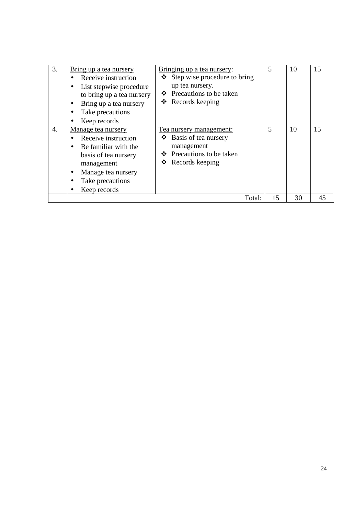| 3.               | Bring up a tea nursery<br>Receive instruction<br>List stepwise procedure<br>$\bullet$<br>to bring up a tea nursery<br>Bring up a tea nursery<br>$\bullet$<br>Take precautions<br>Keep records | Bringing up a tea nursery:<br>Step wise procedure to bring<br>❖<br>up tea nursery.<br>❖ Precautions to be taken<br>$\triangleleft$ Records keeping |        | 5  | 10 | 15 |
|------------------|-----------------------------------------------------------------------------------------------------------------------------------------------------------------------------------------------|----------------------------------------------------------------------------------------------------------------------------------------------------|--------|----|----|----|
| $\overline{4}$ . | Manage tea nursery<br>Receive instruction<br>Be familiar with the<br>basis of tea nursery<br>management<br>Manage tea nursery<br>٠<br>Take precautions<br>Keep records                        | Tea nursery management:<br>Basis of tea nursery<br>❖<br>management<br>Precautions to be taken<br>❖<br>Records keeping<br>❖                         |        | 5  | 10 | 15 |
|                  |                                                                                                                                                                                               |                                                                                                                                                    | Total: | 15 | 30 | 45 |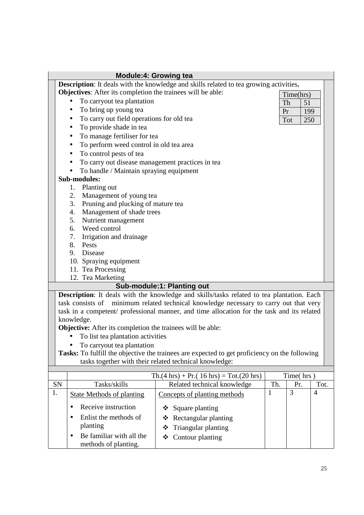|    | <b>Module:4: Growing tea</b>                                      |                                                                                               |              |                   |                |  |
|----|-------------------------------------------------------------------|-----------------------------------------------------------------------------------------------|--------------|-------------------|----------------|--|
|    |                                                                   | <b>Description:</b> It deals with the knowledge and skills related to tea growing activities. |              |                   |                |  |
|    | Objectives: After its completion the trainees will be able:       |                                                                                               |              | Time(hrs)         |                |  |
|    | To carryout tea plantation                                        |                                                                                               | Th           | 51                |                |  |
|    | To bring up young tea                                             |                                                                                               | Pr           | 199               |                |  |
|    | To carry out field operations for old tea<br>$\bullet$            |                                                                                               |              | <b>Tot</b><br>250 |                |  |
|    | To provide shade in tea<br>$\bullet$                              |                                                                                               |              |                   |                |  |
|    | To manage fertiliser for tea<br>$\bullet$                         |                                                                                               |              |                   |                |  |
|    | To perform weed control in old tea area<br>$\bullet$              |                                                                                               |              |                   |                |  |
|    | To control pests of tea<br>$\bullet$                              |                                                                                               |              |                   |                |  |
|    | To carry out disease management practices in tea<br>$\bullet$     |                                                                                               |              |                   |                |  |
|    | To handle / Maintain spraying equipment                           |                                                                                               |              |                   |                |  |
|    | <b>Sub-modules:</b>                                               |                                                                                               |              |                   |                |  |
|    | Planting out<br>1.                                                |                                                                                               |              |                   |                |  |
|    | Management of young tea<br>2.                                     |                                                                                               |              |                   |                |  |
|    | 3. Pruning and plucking of mature tea                             |                                                                                               |              |                   |                |  |
|    | Management of shade trees<br>4.                                   |                                                                                               |              |                   |                |  |
|    | Nutrient management<br>5.                                         |                                                                                               |              |                   |                |  |
|    | 6. Weed control                                                   |                                                                                               |              |                   |                |  |
|    | 7. Irrigation and drainage                                        |                                                                                               |              |                   |                |  |
|    | 8. Pests                                                          |                                                                                               |              |                   |                |  |
|    | 9. Disease                                                        |                                                                                               |              |                   |                |  |
|    | 10. Spraying equipment                                            |                                                                                               |              |                   |                |  |
|    | 11. Tea Processing                                                |                                                                                               |              |                   |                |  |
|    | 12. Tea Marketing                                                 |                                                                                               |              |                   |                |  |
|    |                                                                   | Sub-module:1: Planting out                                                                    |              |                   |                |  |
|    |                                                                   | Description: It deals with the knowledge and skills/tasks related to tea plantation. Each     |              |                   |                |  |
|    | task consists of                                                  | minimum related technical knowledge necessary to carry out that very                          |              |                   |                |  |
|    |                                                                   | task in a competent/ professional manner, and time allocation for the task and its related    |              |                   |                |  |
|    | knowledge.                                                        |                                                                                               |              |                   |                |  |
|    | <b>Objective:</b> After its completion the trainees will be able: |                                                                                               |              |                   |                |  |
|    | To list tea plantation activities                                 |                                                                                               |              |                   |                |  |
|    | To carryout tea plantation                                        |                                                                                               |              |                   |                |  |
|    |                                                                   | Tasks: To fulfill the objective the trainees are expected to get proficiency on the following |              |                   |                |  |
|    |                                                                   | tasks together with their related technical knowledge:                                        |              |                   |                |  |
|    |                                                                   | $\text{Th.}(4 \text{ hrs}) + \text{Pr.}(16 \text{ hrs}) = \text{Tot.}(20 \text{ hrs})$        |              | Time(hrs)         |                |  |
| SN | Tasks/skills                                                      | Related technical knowledge                                                                   | Th.          | Pr.               | Tot.           |  |
| 1. | <b>State Methods of planting</b>                                  | Concepts of planting methods                                                                  | $\mathbf{1}$ | 3                 | $\overline{4}$ |  |
|    | Receive instruction                                               | Square planting<br>❖                                                                          |              |                   |                |  |
|    | Enlist the methods of                                             | Rectangular planting<br>❖                                                                     |              |                   |                |  |
|    | planting                                                          | Triangular planting<br>❖                                                                      |              |                   |                |  |
|    | Be familiar with all the                                          | Contour planting<br>❖                                                                         |              |                   |                |  |
|    | methods of planting.                                              |                                                                                               |              |                   |                |  |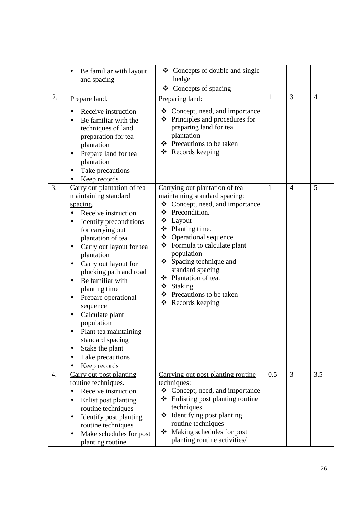|    | Be familiar with layout<br>and spacing                                                                                                                                                                                                                                                                                                                                                                                                                                                                                              | ❖ Concepts of double and single<br>hedge<br>Concepts of spacing<br>❖                                                                                                                                                                                                                                                                                                       |              |                |                |
|----|-------------------------------------------------------------------------------------------------------------------------------------------------------------------------------------------------------------------------------------------------------------------------------------------------------------------------------------------------------------------------------------------------------------------------------------------------------------------------------------------------------------------------------------|----------------------------------------------------------------------------------------------------------------------------------------------------------------------------------------------------------------------------------------------------------------------------------------------------------------------------------------------------------------------------|--------------|----------------|----------------|
| 2. | Prepare land.<br>Receive instruction<br>Be familiar with the<br>techniques of land<br>preparation for tea<br>plantation<br>Prepare land for tea<br>plantation<br>Take precautions<br>Keep records                                                                                                                                                                                                                                                                                                                                   | Preparing land:<br>$\triangleleft$ Concept, need, and importance<br>Principles and procedures for<br>❖<br>preparing land for tea<br>plantation<br>❖ Precautions to be taken<br>Records keeping<br>❖                                                                                                                                                                        | $\mathbf{1}$ | $\overline{3}$ | $\overline{4}$ |
| 3. | Carry out plantation of tea<br>maintaining standard<br>spacing.<br>Receive instruction<br>$\bullet$<br>Identify preconditions<br>for carrying out<br>plantation of tea<br>Carry out layout for tea<br>$\bullet$<br>plantation<br>Carry out layout for<br>$\bullet$<br>plucking path and road<br>Be familiar with<br>$\bullet$<br>planting time<br>Prepare operational<br>sequence<br>Calculate plant<br>$\bullet$<br>population<br>Plant tea maintaining<br>standard spacing<br>Stake the plant<br>Take precautions<br>Keep records | Carrying out plantation of tea<br>maintaining standard spacing:<br>❖<br>Concept, need, and importance<br>❖ Precondition.<br>❖ Layout<br>❖ Planting time.<br>❖ Operational sequence.<br>❖ Formula to calculate plant<br>population<br>❖ Spacing technique and<br>standard spacing<br>❖ Plantation of tea.<br>❖ Staking<br>❖ Precautions to be taken<br>❖<br>Records keeping | $\mathbf{1}$ | $\overline{4}$ | 5              |
| 4. | Carry out post planting<br>routine techniques.<br>Receive instruction<br>$\bullet$<br>Enlist post planting<br>$\bullet$<br>routine techniques<br>Identify post planting<br>$\bullet$<br>routine techniques<br>Make schedules for post<br>$\bullet$<br>planting routine                                                                                                                                                                                                                                                              | Carrying out post planting routine<br>techniques:<br>❖<br>Concept, need, and importance<br>❖<br>Enlisting post planting routine<br>techniques<br>Identifying post planting<br>❖<br>routine techniques<br>Making schedules for post<br>❖<br>planting routine activities/                                                                                                    | 0.5          | $\overline{3}$ | 3.5            |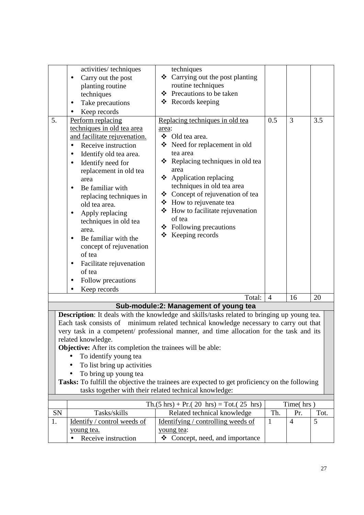|           | activities/techniques                                             | techniques                                                                                    |                |                |      |
|-----------|-------------------------------------------------------------------|-----------------------------------------------------------------------------------------------|----------------|----------------|------|
|           | Carry out the post                                                | ❖ Carrying out the post planting                                                              |                |                |      |
|           | planting routine                                                  | routine techniques<br>Precautions to be taken<br>❖                                            |                |                |      |
|           | techniques                                                        | $\triangleleft$ Records keeping                                                               |                |                |      |
|           | Take precautions<br>٠                                             |                                                                                               |                |                |      |
|           | Keep records                                                      |                                                                                               |                |                |      |
| 5.        | Perform replacing                                                 | Replacing techniques in old tea                                                               | 0.5            | $\overline{3}$ | 3.5  |
|           | techniques in old tea area                                        | area:                                                                                         |                |                |      |
|           | and facilitate rejuvenation.                                      | ❖ Old tea area.                                                                               |                |                |      |
|           | Receive instruction<br>$\bullet$                                  | ❖ Need for replacement in old                                                                 |                |                |      |
|           | Identify old tea area.<br>٠                                       | tea area                                                                                      |                |                |      |
|           | Identify need for                                                 | $\triangleleft$ Replacing techniques in old tea                                               |                |                |      |
|           | replacement in old tea                                            | area                                                                                          |                |                |      |
|           | area                                                              | Application replacing<br>❖                                                                    |                |                |      |
|           | Be familiar with                                                  | techniques in old tea area<br>Concept of rejuvenation of tea<br>❖                             |                |                |      |
|           | replacing techniques in                                           |                                                                                               |                |                |      |
|           | old tea area.                                                     | ❖ How to rejuvenate tea<br>How to facilitate rejuvenation<br>❖                                |                |                |      |
|           | Apply replacing                                                   | of tea                                                                                        |                |                |      |
|           | techniques in old tea                                             | Following precautions<br>❖                                                                    |                |                |      |
|           | area.                                                             | $\triangleleft$ Keeping records                                                               |                |                |      |
|           | Be familiar with the<br>$\bullet$                                 |                                                                                               |                |                |      |
|           | concept of rejuvenation                                           |                                                                                               |                |                |      |
|           | of tea                                                            |                                                                                               |                |                |      |
|           | Facilitate rejuvenation<br>٠                                      |                                                                                               |                |                |      |
|           | of tea                                                            |                                                                                               |                |                |      |
|           | Follow precautions                                                |                                                                                               |                |                |      |
|           | Keep records                                                      |                                                                                               |                |                |      |
|           |                                                                   | Total:                                                                                        | $\overline{4}$ | 16             | 20   |
|           |                                                                   | Sub-module:2: Management of young tea                                                         |                |                |      |
|           |                                                                   | Description: It deals with the knowledge and skills/tasks related to bringing up young tea.   |                |                |      |
|           |                                                                   | Each task consists of minimum related technical knowledge necessary to carry out that         |                |                |      |
|           |                                                                   | very task in a competent/ professional manner, and time allocation for the task and its       |                |                |      |
|           | related knowledge.                                                |                                                                                               |                |                |      |
|           | <b>Objective:</b> After its completion the trainees will be able: |                                                                                               |                |                |      |
|           | To identify young tea                                             |                                                                                               |                |                |      |
|           | To list bring up activities                                       |                                                                                               |                |                |      |
|           | To bring up young tea                                             |                                                                                               |                |                |      |
|           |                                                                   | Tasks: To fulfill the objective the trainees are expected to get proficiency on the following |                |                |      |
|           |                                                                   | tasks together with their related technical knowledge:                                        |                |                |      |
|           |                                                                   | $\text{Th.}(5 \text{ hrs}) + \text{Pr.}(20 \text{ hrs}) = \text{Tot.}(25 \text{ hrs})$        |                | Time(hrs)      |      |
| <b>SN</b> | Tasks/skills                                                      | Related technical knowledge                                                                   | Th.            | Pr.            | Tot. |
| 1.        | Identify / control weeds of                                       | Identifying / controlling weeds of                                                            | $\mathbf{1}$   | $\overline{4}$ | 5    |
|           |                                                                   | young tea:                                                                                    |                |                |      |
|           | young tea.<br>Receive instruction                                 | Concept, need, and importance<br>❖                                                            |                |                |      |
|           |                                                                   |                                                                                               |                |                |      |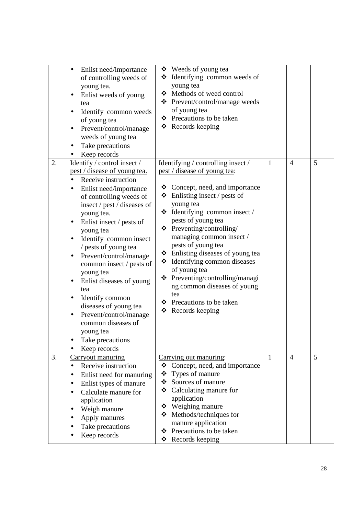|    | Enlist need/importance<br>$\bullet$<br>of controlling weeds of<br>young tea.<br>Enlist weeds of young<br>tea<br>Identify common weeds<br>٠<br>of young tea<br>Prevent/control/manage<br>weeds of young tea<br>Take precautions<br>$\bullet$<br>Keep records                                                                                                                                                                                                                                                                                                                                 | ❖ Weeds of young tea<br>$\triangleleft$ Identifying common weeds of<br>young tea<br>❖ Methods of weed control<br>❖ Prevent/control/manage weeds<br>of young tea<br>❖ Precautions to be taken<br>❖ Records keeping                                                                                                                                                                                                                                                                                                                                         |              |                |   |
|----|---------------------------------------------------------------------------------------------------------------------------------------------------------------------------------------------------------------------------------------------------------------------------------------------------------------------------------------------------------------------------------------------------------------------------------------------------------------------------------------------------------------------------------------------------------------------------------------------|-----------------------------------------------------------------------------------------------------------------------------------------------------------------------------------------------------------------------------------------------------------------------------------------------------------------------------------------------------------------------------------------------------------------------------------------------------------------------------------------------------------------------------------------------------------|--------------|----------------|---|
| 2. | Identify / control insect /<br>pest / disease of young tea.<br>Receive instruction<br>$\bullet$<br>Enlist need/importance<br>of controlling weeds of<br>insect / pest / diseases of<br>young tea.<br>Enlist insect / pests of<br>$\bullet$<br>young tea<br>Identify common insect<br>٠<br>/ pests of young tea<br>Prevent/control/manage<br>common insect / pests of<br>young tea<br>Enlist diseases of young<br>tea<br>Identify common<br>$\bullet$<br>diseases of young tea<br>Prevent/control/manage<br>$\bullet$<br>common diseases of<br>young tea<br>Take precautions<br>Keep records | Identifying / controlling insect /<br><u>pest / disease of young tea</u> :<br>$\triangleleft$ Concept, need, and importance<br>$\div$ Enlisting insect / pests of<br>young tea<br>$\triangleleft$ Identifying common insect /<br>pests of young tea<br>Preventing/controlling/<br>❖<br>managing common insect /<br>pests of young tea<br>❖ Enlisting diseases of young tea<br>* Identifying common diseases<br>of young tea<br>❖ Preventing/controlling/managi<br>ng common diseases of young<br>tea<br>Precautions to be taken<br>❖<br>❖ Records keeping | $\mathbf{1}$ | $\overline{4}$ | 5 |
| 3. | Carryout manuring<br>Receive instruction<br>$\bullet$<br>Enlist need for manuring<br>$\bullet$<br>Enlist types of manure<br>Calculate manure for<br>application<br>Weigh manure<br>$\bullet$<br>Apply manures<br>Take precautions<br>Keep records                                                                                                                                                                                                                                                                                                                                           | Carrying out manuring:<br>❖ Concept, need, and importance<br>❖<br>Types of manure<br>❖ Sources of manure<br>Calculating manure for<br>❖<br>application<br>❖ Weighing manure<br>❖ Methods/techniques for<br>manure application<br>Precautions to be taken<br>❖<br>Records keeping<br>❖                                                                                                                                                                                                                                                                     | $\mathbf{1}$ | $\overline{4}$ | 5 |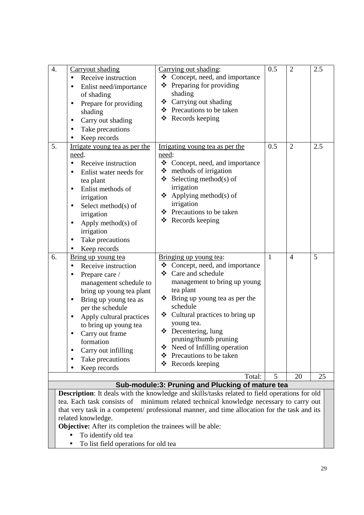| 5.<br>0.5<br>$\overline{2}$<br>2.5<br>Irrigating young tea as per the<br>Irrigate young tea as per the<br>need.<br>need:<br>❖ Concept, need, and importance<br>Receive instruction<br>$\bullet$<br>$\triangleleft$ methods of irrigation<br>Enlist water needs for<br>$\bullet$<br>$\div$ Selecting method(s) of                                                                                                                                                                                                                                                                                                                                                                                                                                                                             |           |
|----------------------------------------------------------------------------------------------------------------------------------------------------------------------------------------------------------------------------------------------------------------------------------------------------------------------------------------------------------------------------------------------------------------------------------------------------------------------------------------------------------------------------------------------------------------------------------------------------------------------------------------------------------------------------------------------------------------------------------------------------------------------------------------------|-----------|
| irrigation<br>Enlist methods of<br>$\bullet$<br>$\triangle$ Applying method(s) of<br>irrigation<br>irrigation<br>Select method(s) of<br>$\bullet$<br>❖ Precautions to be taken<br>irrigation<br>❖ Records keeping<br>Apply method $(s)$ of<br>$\bullet$<br>irrigation<br>Take precautions<br>$\bullet$<br>Keep records<br>$\bullet$                                                                                                                                                                                                                                                                                                                                                                                                                                                          | tea plant |
| $\mathbf{1}$<br>5<br>6.<br>$\overline{4}$<br>Bringing up young tea:<br>Bring up young tea<br>$\triangleleft$ Concept, need, and importance<br>Receive instruction<br>Care and schedule<br>❖<br>Prepare care /<br>$\bullet$<br>management to bring up young<br>management schedule to<br>tea plant<br>bring up young tea plant<br>❖ Bring up young tea as per the<br>Bring up young tea as<br>$\bullet$<br>schedule<br>per the schedule<br>❖ Cultural practices to bring up<br>Apply cultural practices<br>young tea.<br>to bring up young tea<br>$\bullet$ Decentering, lung<br>Carry out frame<br>pruning/thumb pruning<br>formation<br>Need of Infilling operation<br>❖<br>Carry out infilling<br>Precautions to be taken<br>❖<br>Take precautions<br>❖<br>Records keeping<br>Keep records |           |
| Total:<br>5<br>20<br>25<br>Sub-module:3: Pruning and Plucking of mature tea                                                                                                                                                                                                                                                                                                                                                                                                                                                                                                                                                                                                                                                                                                                  |           |

**Description**: It deals with the knowledge and skills/tasks related to field operations for old tea. Each task consists of minimum related technical knowledge necessary to carry out that very task in a competent/ professional manner, and time allocation for the task and its related knowledge.

**Objective:** After its completion the trainees will be able:

- To identify old tea
- To list field operations for old tea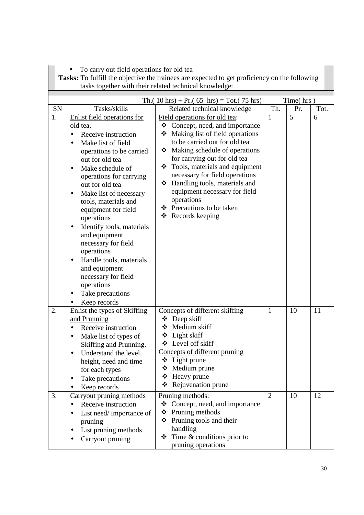|          | To carry out field operations for old tea                                                                                                                                                                                                                                                                                                                                                                                                                                                                                                        | Tasks: To fulfill the objective the trainees are expected to get proficiency on the following<br>tasks together with their related technical knowledge:                                                                                                                                                                                                                                                                   |                                |           |          |
|----------|--------------------------------------------------------------------------------------------------------------------------------------------------------------------------------------------------------------------------------------------------------------------------------------------------------------------------------------------------------------------------------------------------------------------------------------------------------------------------------------------------------------------------------------------------|---------------------------------------------------------------------------------------------------------------------------------------------------------------------------------------------------------------------------------------------------------------------------------------------------------------------------------------------------------------------------------------------------------------------------|--------------------------------|-----------|----------|
|          |                                                                                                                                                                                                                                                                                                                                                                                                                                                                                                                                                  | Th. $(10 \text{ hrs}) + Pr. (65 \text{ hrs}) = Tot. (75 \text{ hrs})$                                                                                                                                                                                                                                                                                                                                                     |                                | Time(hrs) |          |
| SN       | Tasks/skills                                                                                                                                                                                                                                                                                                                                                                                                                                                                                                                                     | Related technical knowledge                                                                                                                                                                                                                                                                                                                                                                                               | Th.                            | Pr.       | Tot.     |
| 1.       | Enlist field operations for<br>old tea.<br>Receive instruction<br>Make list of field<br>operations to be carried<br>out for old tea<br>Make schedule of<br>$\bullet$<br>operations for carrying<br>out for old tea<br>Make list of necessary<br>$\bullet$<br>tools, materials and<br>equipment for field<br>operations<br>Identify tools, materials<br>٠<br>and equipment<br>necessary for field<br>operations<br>Handle tools, materials<br>$\bullet$<br>and equipment<br>necessary for field<br>operations<br>Take precautions<br>Keep records | Field operations for old tea:<br>❖ Concept, need, and importance<br>❖ Making list of field operations<br>to be carried out for old tea<br>Making schedule of operations<br>❖<br>for carrying out for old tea<br>❖ Tools, materials and equipment<br>necessary for field operations<br>❖ Handling tools, materials and<br>equipment necessary for field<br>operations<br>❖ Precautions to be taken<br>❖<br>Records keeping | 1                              | 5         | 6        |
| 2.<br>3. | Enlist the types of Skiffing<br>and Prunning<br>Receive instruction<br>Make list of types of<br>Skiffing and Prunning.<br>Understand the level,<br>$\bullet$<br>height, need and time<br>for each types<br>Take precautions<br>Keep records<br>Carryout pruning methods<br>Receive instruction<br>$\bullet$<br>List need/importance of                                                                                                                                                                                                           | Concepts of different skiffing<br>Deep skiff<br>Medium skiff<br>❖ Light skiff<br>❖ Level off skiff<br>Concepts of different pruning<br>$\div$ Light prune<br>❖ Medium prune<br>Heavy prune<br>❖<br>❖<br>Rejuvenation prune<br>Pruning methods:<br>Concept, need, and importance<br>❖<br>Pruning methods<br>❖                                                                                                              | $\mathbf{1}$<br>$\overline{2}$ | 10<br>10  | 11<br>12 |
|          | pruning<br>List pruning methods<br>Carryout pruning                                                                                                                                                                                                                                                                                                                                                                                                                                                                                              | $\triangle$ Pruning tools and their<br>handling<br>Time $&$ conditions prior to<br>❖<br>pruning operations                                                                                                                                                                                                                                                                                                                |                                |           |          |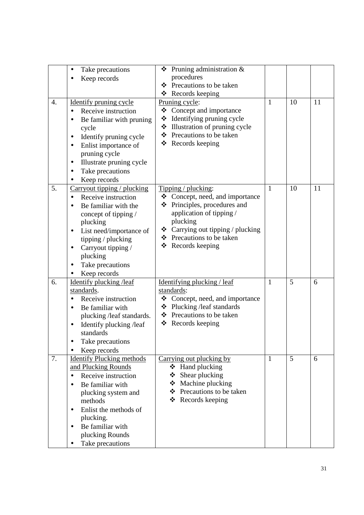|    | Take precautions<br>$\bullet$           | Pruning administration &<br>❖                                   |              |    |    |
|----|-----------------------------------------|-----------------------------------------------------------------|--------------|----|----|
|    | Keep records                            | procedures                                                      |              |    |    |
|    |                                         | ❖ Precautions to be taken                                       |              |    |    |
|    |                                         | $\triangleleft$ Records keeping                                 |              |    |    |
| 4. | Identify pruning cycle                  | Pruning cycle:                                                  | $\mathbf{1}$ | 10 | 11 |
|    | Receive instruction<br>$\bullet$        | ❖ Concept and importance                                        |              |    |    |
|    | Be familiar with pruning                | Identifying pruning cycle<br>❖                                  |              |    |    |
|    | cycle                                   | Illustration of pruning cycle<br>❖<br>❖ Precautions to be taken |              |    |    |
|    | Identify pruning cycle<br>$\bullet$     | Records keeping<br>❖                                            |              |    |    |
|    | Enlist importance of<br>٠               |                                                                 |              |    |    |
|    | pruning cycle                           |                                                                 |              |    |    |
|    | Illustrate pruning cycle                |                                                                 |              |    |    |
|    | Take precautions                        |                                                                 |              |    |    |
|    | Keep records<br>$\bullet$               |                                                                 |              |    |    |
| 5. | Carryout tipping / plucking             | Tipping / plucking:                                             | $\mathbf{1}$ | 10 | 11 |
|    | Receive instruction<br>$\bullet$        | Concept, need, and importance<br>❖                              |              |    |    |
|    | Be familiar with the                    | ❖ Principles, procedures and                                    |              |    |    |
|    | concept of tipping /                    | application of tipping /<br>plucking                            |              |    |    |
|    | plucking                                | Carrying out tipping / plucking<br>❖                            |              |    |    |
|    | List need/importance of                 | ❖ Precautions to be taken                                       |              |    |    |
|    | tipping / plucking                      | Records keeping<br>❖                                            |              |    |    |
|    | Carryout tipping /<br>$\bullet$         |                                                                 |              |    |    |
|    | plucking                                |                                                                 |              |    |    |
|    | Take precautions                        |                                                                 |              |    |    |
| 6. | Keep records<br>Identify plucking /leaf |                                                                 | $\mathbf{1}$ | 5  | 6  |
|    | standards.                              | Identifying plucking / leaf<br>standards:                       |              |    |    |
|    | Receive instruction<br>$\bullet$        | Concept, need, and importance<br>❖                              |              |    |    |
|    | Be familiar with<br>$\bullet$           | $\triangleleft$ Plucking / leaf standards                       |              |    |    |
|    | plucking /leaf standards.               | ❖ Precautions to be taken                                       |              |    |    |
|    | Identify plucking /leaf<br>٠            | $\triangleleft$ Records keeping                                 |              |    |    |
|    | standards                               |                                                                 |              |    |    |
|    | Take precautions                        |                                                                 |              |    |    |
|    | Keep records                            |                                                                 |              |    |    |
| 7. | <b>Identify Plucking methods</b>        | Carrying out plucking by                                        | $\mathbf{1}$ | 5  | 6  |
|    | and Plucking Rounds                     | $\div$ Hand plucking                                            |              |    |    |
|    | Receive instruction                     | ❖ Shear plucking                                                |              |    |    |
|    | Be familiar with<br>$\bullet$           | ❖ Machine plucking                                              |              |    |    |
|    | plucking system and                     | ❖ Precautions to be taken                                       |              |    |    |
|    | methods                                 | ❖ Records keeping                                               |              |    |    |
|    | Enlist the methods of<br>$\bullet$      |                                                                 |              |    |    |
|    | plucking.                               |                                                                 |              |    |    |
|    | Be familiar with                        |                                                                 |              |    |    |
|    | plucking Rounds                         |                                                                 |              |    |    |
|    | Take precautions                        |                                                                 |              |    |    |
|    |                                         |                                                                 |              |    |    |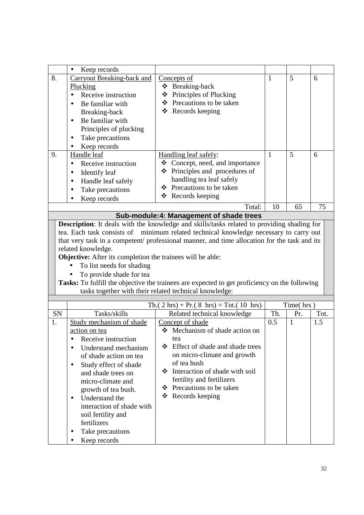|    | Keep records<br>$\bullet$                                                                                                                 |                                                                                                                                                         |              |              |      |
|----|-------------------------------------------------------------------------------------------------------------------------------------------|---------------------------------------------------------------------------------------------------------------------------------------------------------|--------------|--------------|------|
| 8. | <b>Carryout Breaking-back and</b>                                                                                                         | Concepts of                                                                                                                                             | $\mathbf{1}$ | 5            | 6    |
|    | Plucking                                                                                                                                  | ❖ Breaking-back                                                                                                                                         |              |              |      |
|    | Receive instruction<br>$\bullet$                                                                                                          | ❖ Principles of Plucking                                                                                                                                |              |              |      |
|    | Be familiar with<br>$\bullet$                                                                                                             | ❖ Precautions to be taken                                                                                                                               |              |              |      |
|    | Breaking-back                                                                                                                             | $\triangleleft$ Records keeping                                                                                                                         |              |              |      |
|    | Be familiar with<br>$\bullet$                                                                                                             |                                                                                                                                                         |              |              |      |
|    | Principles of plucking                                                                                                                    |                                                                                                                                                         |              |              |      |
|    | Take precautions<br>٠                                                                                                                     |                                                                                                                                                         |              |              |      |
|    | Keep records<br>٠                                                                                                                         |                                                                                                                                                         |              |              |      |
| 9. | Handle leaf                                                                                                                               | Handling leaf safely:                                                                                                                                   | $\mathbf{1}$ | 5            | 6    |
|    | Receive instruction<br>$\bullet$                                                                                                          | ❖ Concept, need, and importance                                                                                                                         |              |              |      |
|    | Identify leaf<br>$\bullet$                                                                                                                | Principles and procedures of<br>❖                                                                                                                       |              |              |      |
|    | Handle leaf safely<br>$\bullet$                                                                                                           | handling tea leaf safely                                                                                                                                |              |              |      |
|    | Take precautions                                                                                                                          | Precautions to be taken<br>❖                                                                                                                            |              |              |      |
|    | Keep records                                                                                                                              | ❖ Records keeping                                                                                                                                       |              |              |      |
|    |                                                                                                                                           | Total:                                                                                                                                                  | 10           | 65           | 75   |
|    |                                                                                                                                           | Sub-module:4: Management of shade trees                                                                                                                 |              |              |      |
|    |                                                                                                                                           | Description: It deals with the knowledge and skills/tasks related to providing shading for                                                              |              |              |      |
|    | related knowledge.<br>Objective: After its completion the trainees will be able:<br>To list needs for shading<br>To provide shade for tea | Tasks: To fulfill the objective the trainees are expected to get proficiency on the following<br>tasks together with their related technical knowledge: |              |              |      |
|    |                                                                                                                                           |                                                                                                                                                         |              |              |      |
|    |                                                                                                                                           | Th.( $2 \text{ hrs}$ ) + Pr.( $8 \text{ hrs}$ ) = Tot.( $10 \text{ hrs}$ )                                                                              |              | Time(hrs)    |      |
| SN | Tasks/skills                                                                                                                              | Related technical knowledge                                                                                                                             | Th.          | Pr.          | Tot. |
| 1. | Study mechanism of shade                                                                                                                  | Concept of shade                                                                                                                                        | 0.5          | $\mathbf{1}$ | 1.5  |
|    | action on tea                                                                                                                             | ❖ Mechanism of shade action on                                                                                                                          |              |              |      |
|    | Receive instruction                                                                                                                       | tea                                                                                                                                                     |              |              |      |
|    | Understand mechanism<br>$\bullet$                                                                                                         | ❖<br>Effect of shade and shade trees                                                                                                                    |              |              |      |
|    |                                                                                                                                           |                                                                                                                                                         |              |              |      |
|    | of shade action on tea                                                                                                                    | on micro-climate and growth                                                                                                                             |              |              |      |
|    | Study effect of shade<br>$\bullet$                                                                                                        | of tea bush                                                                                                                                             |              |              |      |
|    | and shade trees on                                                                                                                        | ❖ Interaction of shade with soil                                                                                                                        |              |              |      |
|    | micro-climate and                                                                                                                         | fertility and fertilizers                                                                                                                               |              |              |      |
|    | growth of tea bush.                                                                                                                       | ❖ Precautions to be taken                                                                                                                               |              |              |      |
|    | Understand the<br>٠                                                                                                                       | $\triangleleft$ Records keeping                                                                                                                         |              |              |      |
|    | interaction of shade with                                                                                                                 |                                                                                                                                                         |              |              |      |
|    | soil fertility and                                                                                                                        |                                                                                                                                                         |              |              |      |
|    | fertilizers                                                                                                                               |                                                                                                                                                         |              |              |      |
|    | Take precautions<br>Keep records                                                                                                          |                                                                                                                                                         |              |              |      |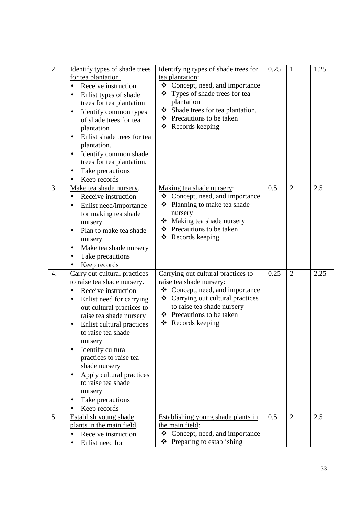| 2.               | Identify types of shade trees<br>for tea plantation.<br>Receive instruction<br>$\bullet$<br>Enlist types of shade<br>$\bullet$<br>trees for tea plantation<br>Identify common types<br>$\bullet$<br>of shade trees for tea<br>plantation<br>Enlist shade trees for tea<br>plantation.<br>Identify common shade<br>$\bullet$<br>trees for tea plantation.<br>Take precautions<br>$\bullet$<br>Keep records                                                              | Identifying types of shade trees for<br>tea plantation:<br>❖<br>Concept, need, and importance<br>❖ Types of shade trees for tea<br>plantation<br>Shade trees for tea plantation.<br>❖ Precautions to be taken<br>❖ Records keeping      | 0.25 | $\mathbf{1}$   | 1.25 |
|------------------|------------------------------------------------------------------------------------------------------------------------------------------------------------------------------------------------------------------------------------------------------------------------------------------------------------------------------------------------------------------------------------------------------------------------------------------------------------------------|-----------------------------------------------------------------------------------------------------------------------------------------------------------------------------------------------------------------------------------------|------|----------------|------|
| 3.               | Make tea shade nursery.<br>Receive instruction<br>$\bullet$<br>Enlist need/importance<br>for making tea shade<br>nursery<br>Plan to make tea shade<br>$\bullet$<br>nursery<br>Make tea shade nursery<br>$\bullet$<br>Take precautions<br>Keep records                                                                                                                                                                                                                  | Making tea shade nursery:<br>❖ Concept, need, and importance<br>❖ Planning to make tea shade<br>nursery<br>Making tea shade nursery<br>❖<br>Precautions to be taken<br>❖<br>Records keeping<br>❖                                        | 0.5  | $\overline{2}$ | 2.5  |
| $\overline{4}$ . | Carry out cultural practices<br>to raise tea shade nursery.<br>Receive instruction<br>$\bullet$<br>Enlist need for carrying<br>$\bullet$<br>out cultural practices to<br>raise tea shade nursery<br>Enlist cultural practices<br>$\bullet$<br>to raise tea shade<br>nursery<br>Identify cultural<br>$\bullet$<br>practices to raise tea<br>shade nursery<br>Apply cultural practices<br>$\bullet$<br>to raise tea shade<br>nursery<br>Take precautions<br>Keep records | Carrying out cultural practices to<br>raise tea shade nursery:<br>Concept, need, and importance<br>❖<br>❖ Carrying out cultural practices<br>to raise tea shade nursery<br>❖ Precautions to be taken<br>$\triangleleft$ Records keeping | 0.25 | $\overline{2}$ | 2.25 |
| 5.               | Establish young shade<br>plants in the main field.<br>Receive instruction<br>Enlist need for<br>$\bullet$                                                                                                                                                                                                                                                                                                                                                              | Establishing young shade plants in<br>the main field:<br>❖<br>Concept, need, and importance<br>❖<br>Preparing to establishing                                                                                                           | 0.5  | $\overline{2}$ | 2.5  |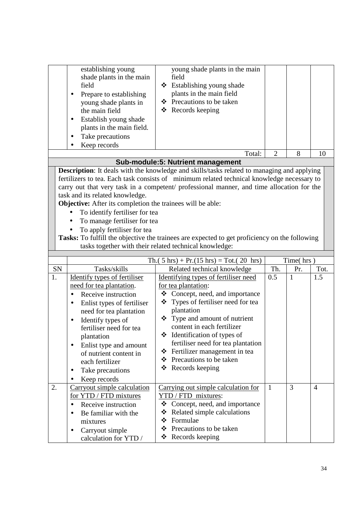|                                                                                                                                                                                                                                                                                                                                                                                                                                                                                                                                                                                                                                                           | establishing young<br>shade plants in the main<br>field<br>Prepare to establishing<br>٠<br>young shade plants in<br>the main field<br>Establish young shade<br>$\bullet$           | young shade plants in the main<br>field<br>❖ Establishing young shade<br>plants in the main field<br>❖ Precautions to be taken<br>$\triangleleft$ Records keeping                                                                   |                |              |      |
|-----------------------------------------------------------------------------------------------------------------------------------------------------------------------------------------------------------------------------------------------------------------------------------------------------------------------------------------------------------------------------------------------------------------------------------------------------------------------------------------------------------------------------------------------------------------------------------------------------------------------------------------------------------|------------------------------------------------------------------------------------------------------------------------------------------------------------------------------------|-------------------------------------------------------------------------------------------------------------------------------------------------------------------------------------------------------------------------------------|----------------|--------------|------|
|                                                                                                                                                                                                                                                                                                                                                                                                                                                                                                                                                                                                                                                           | plants in the main field.<br>Take precautions                                                                                                                                      |                                                                                                                                                                                                                                     |                |              |      |
|                                                                                                                                                                                                                                                                                                                                                                                                                                                                                                                                                                                                                                                           | Keep records                                                                                                                                                                       |                                                                                                                                                                                                                                     |                |              |      |
|                                                                                                                                                                                                                                                                                                                                                                                                                                                                                                                                                                                                                                                           |                                                                                                                                                                                    | Total:                                                                                                                                                                                                                              | $\overline{2}$ | 8            | 10   |
|                                                                                                                                                                                                                                                                                                                                                                                                                                                                                                                                                                                                                                                           |                                                                                                                                                                                    | Sub-module:5: Nutrient management                                                                                                                                                                                                   |                |              |      |
| Description: It deals with the knowledge and skills/tasks related to managing and applying<br>fertilizers to tea. Each task consists of minimum related technical knowledge necessary to<br>carry out that very task in a competent/ professional manner, and time allocation for the<br>task and its related knowledge.<br><b>Objective:</b> After its completion the trainees will be able:<br>To identify fertiliser for tea<br>To manage fertiliser for tea<br>To apply fertiliser for tea<br>Tasks: To fulfill the objective the trainees are expected to get proficiency on the following<br>tasks together with their related technical knowledge: |                                                                                                                                                                                    |                                                                                                                                                                                                                                     |                |              |      |
|                                                                                                                                                                                                                                                                                                                                                                                                                                                                                                                                                                                                                                                           |                                                                                                                                                                                    | Th.( $5 \text{ hrs}$ ) + Pr.( $15 \text{ hrs}$ ) = Tot.( $20 \text{ hrs}$ )                                                                                                                                                         |                | Time(hrs)    |      |
| <b>SN</b>                                                                                                                                                                                                                                                                                                                                                                                                                                                                                                                                                                                                                                                 | Tasks/skills                                                                                                                                                                       | Related technical knowledge                                                                                                                                                                                                         | Th.            | Pr.          | Tot. |
| 1.                                                                                                                                                                                                                                                                                                                                                                                                                                                                                                                                                                                                                                                        | Identify types of fertiliser<br>need for tea plantation.<br>Receive instruction<br>Enlist types of fertiliser<br>$\bullet$<br>need for tea plantation                              | Identifying types of fertiliser need<br>for tea plantation:<br>$\triangleleft$ Concept, need, and importance<br>Types of fertiliser need for tea<br>❖<br>plantation                                                                 | 0.5            | $\mathbf{1}$ | 1.5  |
|                                                                                                                                                                                                                                                                                                                                                                                                                                                                                                                                                                                                                                                           | Identify types of<br>$\bullet$<br>fertiliser need for tea<br>plantation<br>Enlist type and amount<br>of nutrient content in<br>each fertilizer<br>Take precautions<br>Keep records | $\div$ Type and amount of nutrient<br>content in each fertilizer<br>❖ Identification of types of<br>fertiliser need for tea plantation<br>Fertilizer management in tea<br>❖<br>Precautions to be taken<br>❖<br>❖<br>Records keeping |                |              |      |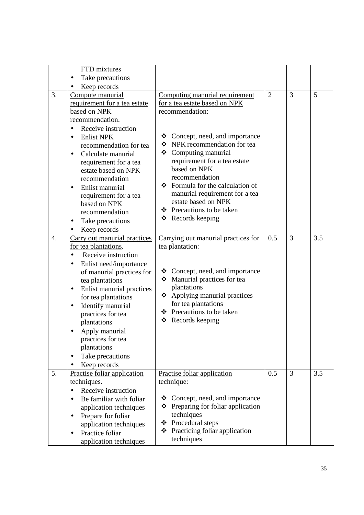|                  | FTD mixtures                                                                                                                                                                                                                                                                                                                                                                                                         |                                                                                                                                                                                                                                                                                                                                                                                                                   |                |                |     |
|------------------|----------------------------------------------------------------------------------------------------------------------------------------------------------------------------------------------------------------------------------------------------------------------------------------------------------------------------------------------------------------------------------------------------------------------|-------------------------------------------------------------------------------------------------------------------------------------------------------------------------------------------------------------------------------------------------------------------------------------------------------------------------------------------------------------------------------------------------------------------|----------------|----------------|-----|
|                  | Take precautions                                                                                                                                                                                                                                                                                                                                                                                                     |                                                                                                                                                                                                                                                                                                                                                                                                                   |                |                |     |
|                  | Keep records                                                                                                                                                                                                                                                                                                                                                                                                         |                                                                                                                                                                                                                                                                                                                                                                                                                   |                |                |     |
| 3.               | Compute manurial<br>requirement for a tea estate<br>based on NPK<br>recommendation.<br>Receive instruction<br>$\bullet$<br><b>Enlist NPK</b><br>$\bullet$<br>recommendation for tea<br>Calculate manurial<br>$\bullet$<br>requirement for a tea<br>estate based on NPK<br>recommendation<br>Enlist manurial<br>٠<br>requirement for a tea<br>based on NPK<br>recommendation<br>Take precautions<br>٠<br>Keep records | Computing manurial requirement<br>for a tea estate based on NPK<br>recommendation:<br>$\triangleleft$ Concept, need, and importance<br>❖ NPK recommendation for tea<br>❖ Computing manurial<br>requirement for a tea estate<br>based on NPK<br>recommendation<br>$\div$ Formula for the calculation of<br>manurial requirement for a tea<br>estate based on NPK<br>❖ Precautions to be taken<br>❖ Records keeping | $\overline{2}$ | 3              | 5   |
| $\overline{4}$ . | Carry out manurial practices<br>for tea plantations.<br>Receive instruction<br>$\bullet$<br>Enlist need/importance<br>٠<br>of manurial practices for<br>tea plantations<br>Enlist manurial practices<br>$\bullet$<br>for tea plantations<br>Identify manurial<br>$\bullet$<br>practices for tea<br>plantations<br>Apply manurial<br>practices for tea<br>plantations<br>Take precautions<br>Keep records             | Carrying out manurial practices for<br>tea plantation:<br>$\triangleleft$ Concept, need, and importance<br>• Manurial practices for tea<br>plantations<br>❖ Applying manurial practices<br>for tea plantations<br>❖ Precautions to be taken<br>❖<br>Records keeping                                                                                                                                               | 0.5            | $\overline{3}$ | 3.5 |
| 5.               | Practise foliar application<br>techniques.<br>Receive instruction<br>Be familiar with foliar<br>$\bullet$<br>application techniques<br>Prepare for foliar<br>$\bullet$<br>application techniques<br>Practice foliar<br>application techniques                                                                                                                                                                        | Practise foliar application<br>technique:<br>Concept, need, and importance<br>❖<br>$\div$ Preparing for foliar application<br>techniques<br>Procedural steps<br>❖<br>Practicing foliar application<br>❖<br>techniques                                                                                                                                                                                             | 0.5            | 3              | 3.5 |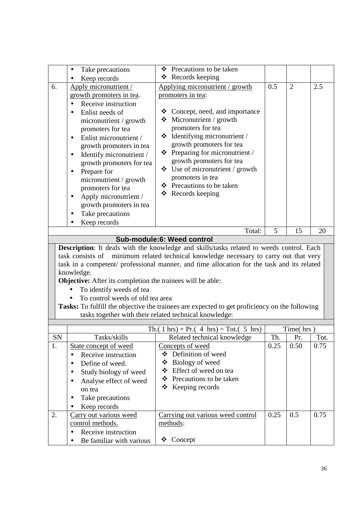|           | Take precautions                                                  | Precautions to be taken<br>❖                                                                                                                                     |      |                |      |
|-----------|-------------------------------------------------------------------|------------------------------------------------------------------------------------------------------------------------------------------------------------------|------|----------------|------|
|           | Keep records                                                      | ❖ Records keeping                                                                                                                                                |      |                |      |
| 6.        | Apply micronutrient /                                             | Applying micronutrient / growth                                                                                                                                  | 0.5  | $\overline{2}$ | 2.5  |
|           | growth promoters in tea.                                          | promoters in tea:                                                                                                                                                |      |                |      |
|           | Receive instruction<br>$\bullet$                                  |                                                                                                                                                                  |      |                |      |
|           | Enlist needs of<br>$\bullet$                                      | Concept, need, and importance<br>❖                                                                                                                               |      |                |      |
|           | micronutrient / growth                                            | Micronutrient / growth<br>❖                                                                                                                                      |      |                |      |
|           | promoters for tea                                                 | promoters for tea                                                                                                                                                |      |                |      |
|           | Enlist micronutrient /<br>$\bullet$                               | Identifying micronutrient /<br>❖                                                                                                                                 |      |                |      |
|           | growth promoters in tea                                           | growth promoters for tea                                                                                                                                         |      |                |      |
|           | Identify micronutrient /<br>$\bullet$                             | $\triangleleft$ Preparing for micronutrient /                                                                                                                    |      |                |      |
|           | growth promoters for tea                                          | growth promoters for tea<br>$\div$ Use of micronutrient / growth                                                                                                 |      |                |      |
|           | Prepare for<br>$\bullet$                                          | promoters in tea                                                                                                                                                 |      |                |      |
|           | micronutrient / growth                                            | ❖ Precautions to be taken                                                                                                                                        |      |                |      |
|           | promoters for tea                                                 | ❖ Records keeping                                                                                                                                                |      |                |      |
|           | Apply micronutrient /<br>$\bullet$                                |                                                                                                                                                                  |      |                |      |
|           | growth promoters in tea                                           |                                                                                                                                                                  |      |                |      |
|           | Take precautions<br>٠                                             |                                                                                                                                                                  |      |                |      |
|           | Keep records                                                      |                                                                                                                                                                  | 5    |                |      |
|           |                                                                   | Total:<br>Sub-module:6: Weed control                                                                                                                             |      | 15             | 20   |
|           |                                                                   |                                                                                                                                                                  |      |                |      |
|           | task consists of                                                  | Description: It deals with the knowledge and skills/tasks related to weeds control. Each<br>minimum related technical knowledge necessary to carry out that very |      |                |      |
|           |                                                                   | task in a competent/ professional manner, and time allocation for the task and its related                                                                       |      |                |      |
|           | knowledge.                                                        |                                                                                                                                                                  |      |                |      |
|           | <b>Objective:</b> After its completion the trainees will be able: |                                                                                                                                                                  |      |                |      |
|           | To identify weeds of tea                                          |                                                                                                                                                                  |      |                |      |
|           | To control weeds of old tea area                                  |                                                                                                                                                                  |      |                |      |
|           |                                                                   | Tasks: To fulfill the objective the trainees are expected to get proficiency on the following                                                                    |      |                |      |
|           |                                                                   | tasks together with their related technical knowledge:                                                                                                           |      |                |      |
|           |                                                                   |                                                                                                                                                                  |      |                |      |
|           |                                                                   | Th.( 1 hrs) + Pr.( 4 hrs) = Tot.( 5 hrs)                                                                                                                         |      | Time(hrs)      |      |
| <b>SN</b> | Tasks/skills                                                      | Related technical knowledge                                                                                                                                      | Th.  | Pr.            | Tot. |
| 1.        | State concept of weed                                             | Concepts of weed                                                                                                                                                 | 0.25 | 0.50           | 0.75 |
|           | Receive instruction                                               | ❖ Definition of weed                                                                                                                                             |      |                |      |
|           | Define of weed.                                                   | Biology of weed<br>❖<br>Effect of weed on tea<br>❖                                                                                                               |      |                |      |
|           | Study biology of weed                                             | Precautions to be taken<br>❖                                                                                                                                     |      |                |      |
|           | Analyse effect of weed                                            | Keeping records<br>❖                                                                                                                                             |      |                |      |
|           | on tea                                                            |                                                                                                                                                                  |      |                |      |
|           | Take precautions                                                  |                                                                                                                                                                  |      |                |      |
|           | Keep records                                                      |                                                                                                                                                                  |      |                |      |
| 2.        | Carry out various weed                                            | Carrying out various weed control                                                                                                                                | 0.25 | 0.5            | 0.75 |
|           | control methods.                                                  | methods:                                                                                                                                                         |      |                |      |
|           | Receive instruction<br>Be familiar with various                   | Concept<br>❖                                                                                                                                                     |      |                |      |
|           |                                                                   |                                                                                                                                                                  |      |                |      |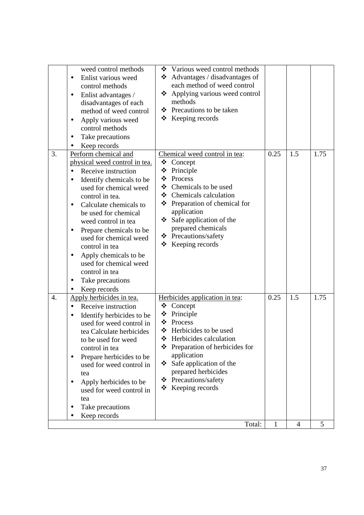|                  | weed control methods<br>Enlist various weed<br>control methods<br>Enlist advantages /<br>$\bullet$<br>disadvantages of each<br>method of weed control<br>Apply various weed<br>$\bullet$<br>control methods<br>Take precautions<br>Keep records<br>٠                                                                                                                                                                                                                                 | Various weed control methods<br>❖<br>Advantages / disadvantages of<br>❖<br>each method of weed control<br>Applying various weed control<br>❖<br>methods<br>❖ Precautions to be taken<br>$\triangle$ Keeping records                                                                                                  |      |     |      |
|------------------|--------------------------------------------------------------------------------------------------------------------------------------------------------------------------------------------------------------------------------------------------------------------------------------------------------------------------------------------------------------------------------------------------------------------------------------------------------------------------------------|----------------------------------------------------------------------------------------------------------------------------------------------------------------------------------------------------------------------------------------------------------------------------------------------------------------------|------|-----|------|
| 3.               | Perform chemical and<br>physical weed control in tea.<br>Receive instruction<br>$\bullet$<br>Identify chemicals to be<br>$\bullet$<br>used for chemical weed<br>control in tea.<br>Calculate chemicals to<br>be used for chemical<br>weed control in tea<br>Prepare chemicals to be<br>$\bullet$<br>used for chemical weed<br>control in tea<br>Apply chemicals to be<br>$\bullet$<br>used for chemical weed<br>control in tea<br>Take precautions<br>$\bullet$<br>Keep records<br>٠ | Chemical weed control in tea:<br>❖<br>Concept<br>Principle<br>❖<br>Process<br>❖<br>❖ Chemicals to be used<br>❖ Chemicals calculation<br>Preparation of chemical for<br>❖<br>application<br>$\div$ Safe application of the<br>prepared chemicals<br>❖ Precautions/safety<br>Keeping records<br>❖                      | 0.25 | 1.5 | 1.75 |
| $\overline{4}$ . | Apply herbicides in tea.<br>Receive instruction<br>$\bullet$<br>Identify herbicides to be<br>$\bullet$<br>used for weed control in<br>tea Calculate herbicides<br>to be used for weed<br>control in tea<br>Prepare herbicides to be<br>٠<br>used for weed control in<br>tea<br>Apply herbicides to be<br>used for weed control in<br>tea<br>Take precautions<br>Keep records                                                                                                         | Herbicides application in tea:<br>❖<br>Concept<br>Principle<br>❖<br>Process<br>❖<br>❖ Herbicides to be used<br>Herbicides calculation<br>❖<br>Preparation of herbicides for<br>❖<br>application<br>Safe application of the<br>❖<br>prepared herbicides<br>Precautions/safety<br>❖<br>$\triangleleft$ Keeping records | 0.25 | 1.5 | 1.75 |
|                  |                                                                                                                                                                                                                                                                                                                                                                                                                                                                                      | Total:                                                                                                                                                                                                                                                                                                               | 1    | 4   | 5    |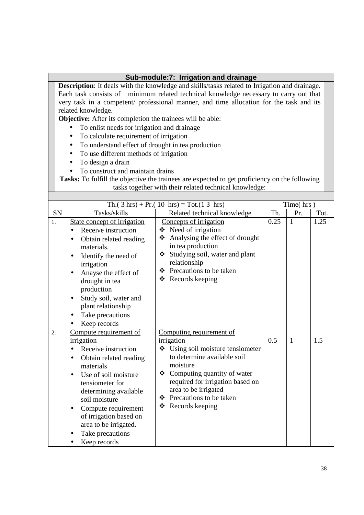#### **Sub-module:7: Irrigation and drainage**

**Description**: It deals with the knowledge and skills/tasks related to Irrigation and drainage. Each task consists of minimum related technical knowledge necessary to carry out that very task in a competent/ professional manner, and time allocation for the task and its related knowledge.

**Objective:** After its completion the trainees will be able:

- To enlist needs for irrigation and drainage
- To calculate requirement of irrigation
- To understand effect of drought in tea production
- To use different methods of irrigation
- To design a drain
- To construct and maintain drains

|    |                                                                                                                                                                                                                                                                                                                                                           | Th.( $3 \text{ hrs}$ ) + Pr.( $10 \text{ hrs}$ ) = Tot.( $13 \text{ hrs}$ )                                                                                                                                                                                                    |      | Time(hrs)    |      |
|----|-----------------------------------------------------------------------------------------------------------------------------------------------------------------------------------------------------------------------------------------------------------------------------------------------------------------------------------------------------------|--------------------------------------------------------------------------------------------------------------------------------------------------------------------------------------------------------------------------------------------------------------------------------|------|--------------|------|
| SN | Tasks/skills                                                                                                                                                                                                                                                                                                                                              | Related technical knowledge                                                                                                                                                                                                                                                    | Th.  | Pr.          | Tot. |
| 1. | State concept of irrigation<br>Receive instruction<br>Obtain related reading<br>$\bullet$<br>materials.<br>Identify the need of<br>$\bullet$<br>irrigation<br>Anayse the effect of<br>$\bullet$<br>drought in tea<br>production<br>Study soil, water and<br>$\bullet$<br>plant relationship<br>Take precautions<br>$\bullet$<br>Keep records              | Concepts of irrigation<br>❖ Need of irrigation<br>Analysing the effect of drought<br>❖<br>in tea production<br>Studying soil, water and plant<br>❖<br>relationship<br>Precautions to be taken<br>❖<br>Records keeping<br>❖                                                     | 0.25 | $\mathbf{1}$ | 1.25 |
| 2. | Compute requirement of<br>irrigation<br>Receive instruction<br>$\bullet$<br>Obtain related reading<br>$\bullet$<br>materials<br>Use of soil moisture<br>$\bullet$<br>tensiometer for<br>determining available<br>soil moisture<br>Compute requirement<br>$\bullet$<br>of irrigation based on<br>area to be irrigated.<br>Take precautions<br>Keep records | Computing requirement of<br>irrigation<br>Using soil moisture tensiometer<br>❖<br>to determine available soil<br>moisture<br>Computing quantity of water<br>❖<br>required for irrigation based on<br>area to be irrigated<br>❖ Precautions to be taken<br>❖<br>Records keeping | 0.5  | $\mathbf{1}$ | 1.5  |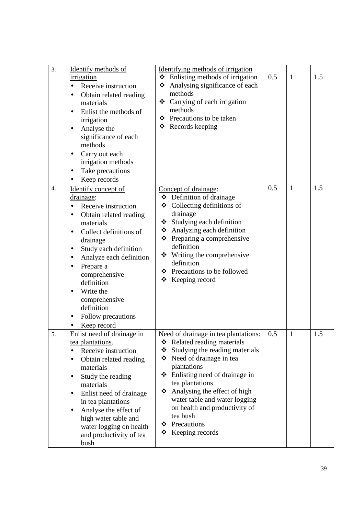| 3.               | Identify methods of<br>irrigation<br>Receive instruction<br>$\bullet$<br>Obtain related reading<br>$\bullet$<br>materials<br>Enlist the methods of<br>$\bullet$<br>irrigation<br>Analyse the<br>significance of each<br>methods<br>Carry out each<br>$\bullet$<br>irrigation methods<br>Take precautions<br>$\bullet$<br>Keep records                        | Identifying methods of irrigation<br>$\div$ Enlisting methods of irrigation<br>Analysing significance of each<br>❖<br>methods<br>❖ Carrying of each irrigation<br>methods<br>Precautions to be taken<br>❖<br>Records keeping<br>❖                                                                                                                                                 | 0.5 | $\mathbf{1}$ | 1.5 |
|------------------|--------------------------------------------------------------------------------------------------------------------------------------------------------------------------------------------------------------------------------------------------------------------------------------------------------------------------------------------------------------|-----------------------------------------------------------------------------------------------------------------------------------------------------------------------------------------------------------------------------------------------------------------------------------------------------------------------------------------------------------------------------------|-----|--------------|-----|
| $\overline{4}$ . | Identify concept of<br>drainage:<br>Receive instruction<br>Obtain related reading<br>$\bullet$<br>materials<br>Collect definitions of<br>$\bullet$<br>drainage<br>Study each definition<br>Analyze each definition<br>Prepare a<br>comprehensive<br>definition<br>Write the<br>$\bullet$<br>comprehensive<br>definition<br>Follow precautions<br>Keep record | Concept of drainage:<br>$\bullet$ Definition of drainage<br>Collecting definitions of<br>❖<br>drainage<br>Studying each definition<br>❖<br>❖ Analyzing each definition<br>$\triangle$ Preparing a comprehensive<br>definition<br>Writing the comprehensive<br>❖<br>definition<br>❖ Precautions to be followed<br>❖<br>Keeping record                                              | 0.5 | $\mathbf{1}$ | 1.5 |
| 5.               | Enlist need of drainage in<br>tea plantations.<br>Receive instruction<br>$\bullet$<br>Obtain related reading<br>materials<br>Study the reading<br>materials<br>Enlist need of drainage<br>$\bullet$<br>in tea plantations<br>Analyse the effect of<br>$\bullet$<br>high water table and<br>water logging on health<br>and productivity of tea<br>bush        | Need of drainage in tea plantations:<br>Related reading materials<br>❖<br>Studying the reading materials<br>❖<br>❖ Need of drainage in tea<br>plantations<br>Enlisting need of drainage in<br>❖<br>tea plantations<br>Analysing the effect of high<br>❖<br>water table and water logging<br>on health and productivity of<br>tea bush<br>Precautions<br>❖<br>Keeping records<br>❖ | 0.5 | $\mathbf{1}$ | 1.5 |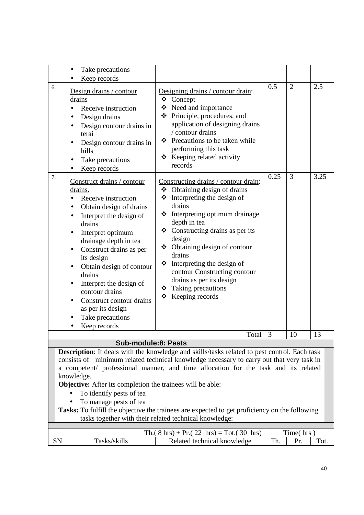|                                                                                                                                                                                                                                                                                                                                                                                                                                                                                                                                                                                    | Take precautions<br>٠                                                                                                                                                                                                                                                                                                                                                                                                                                                                                                                                                                                                                                                                                                    |                                                                                                                                                                                                                                                                                                                                                                                                                                                                                                                                                                                                                                                                                                                         |             |                     |             |  |  |
|------------------------------------------------------------------------------------------------------------------------------------------------------------------------------------------------------------------------------------------------------------------------------------------------------------------------------------------------------------------------------------------------------------------------------------------------------------------------------------------------------------------------------------------------------------------------------------|--------------------------------------------------------------------------------------------------------------------------------------------------------------------------------------------------------------------------------------------------------------------------------------------------------------------------------------------------------------------------------------------------------------------------------------------------------------------------------------------------------------------------------------------------------------------------------------------------------------------------------------------------------------------------------------------------------------------------|-------------------------------------------------------------------------------------------------------------------------------------------------------------------------------------------------------------------------------------------------------------------------------------------------------------------------------------------------------------------------------------------------------------------------------------------------------------------------------------------------------------------------------------------------------------------------------------------------------------------------------------------------------------------------------------------------------------------------|-------------|---------------------|-------------|--|--|
|                                                                                                                                                                                                                                                                                                                                                                                                                                                                                                                                                                                    | Keep records<br>$\bullet$                                                                                                                                                                                                                                                                                                                                                                                                                                                                                                                                                                                                                                                                                                |                                                                                                                                                                                                                                                                                                                                                                                                                                                                                                                                                                                                                                                                                                                         |             |                     |             |  |  |
| 6.<br>7.                                                                                                                                                                                                                                                                                                                                                                                                                                                                                                                                                                           | Design drains / contour<br>drains<br>Receive instruction<br>$\bullet$<br>Design drains<br>$\bullet$<br>Design contour drains in<br>$\bullet$<br>terai<br>Design contour drains in<br>$\bullet$<br>hills<br>Take precautions<br>$\bullet$<br>Keep records<br>$\bullet$<br>Construct drains / contour<br>drains.<br>Receive instruction<br>$\bullet$<br>Obtain design of drains<br>$\bullet$<br>Interpret the design of<br>$\bullet$<br>drains<br>Interpret optimum<br>$\bullet$<br>drainage depth in tea<br>Construct drains as per<br>٠<br>its design<br>Obtain design of contour<br>$\bullet$<br>drains<br>Interpret the design of<br>٠<br>contour drains<br>Construct contour drains<br>$\bullet$<br>as per its design | Designing drains / contour drain:<br>❖ Concept<br>❖ Need and importance<br>❖ Principle, procedures, and<br>application of designing drains<br>/ contour drains<br>Precautions to be taken while<br>❖<br>performing this task<br>❖ Keeping related activity<br>records<br>Constructing drains / contour drain:<br>$\triangleleft$ Obtaining design of drains<br>❖<br>Interpreting the design of<br>drains<br>Interpreting optimum drainage<br>❖<br>depth in tea<br>$\triangleleft$ Constructing drains as per its<br>design<br>❖ Obtaining design of contour<br>drains<br>Interpreting the design of<br>❖<br>contour Constructing contour<br>drains as per its design<br>Taking precautions<br>❖<br>Keeping records<br>❖ | 0.5<br>0.25 | $\overline{2}$<br>3 | 2.5<br>3.25 |  |  |
|                                                                                                                                                                                                                                                                                                                                                                                                                                                                                                                                                                                    | Take precautions                                                                                                                                                                                                                                                                                                                                                                                                                                                                                                                                                                                                                                                                                                         |                                                                                                                                                                                                                                                                                                                                                                                                                                                                                                                                                                                                                                                                                                                         |             |                     |             |  |  |
|                                                                                                                                                                                                                                                                                                                                                                                                                                                                                                                                                                                    | Keep records                                                                                                                                                                                                                                                                                                                                                                                                                                                                                                                                                                                                                                                                                                             |                                                                                                                                                                                                                                                                                                                                                                                                                                                                                                                                                                                                                                                                                                                         |             |                     |             |  |  |
|                                                                                                                                                                                                                                                                                                                                                                                                                                                                                                                                                                                    |                                                                                                                                                                                                                                                                                                                                                                                                                                                                                                                                                                                                                                                                                                                          | Total                                                                                                                                                                                                                                                                                                                                                                                                                                                                                                                                                                                                                                                                                                                   | 3           | 10                  | 13          |  |  |
|                                                                                                                                                                                                                                                                                                                                                                                                                                                                                                                                                                                    | Sub-module:8: Pests                                                                                                                                                                                                                                                                                                                                                                                                                                                                                                                                                                                                                                                                                                      |                                                                                                                                                                                                                                                                                                                                                                                                                                                                                                                                                                                                                                                                                                                         |             |                     |             |  |  |
| <b>Description:</b> It deals with the knowledge and skills/tasks related to pest control. Each task<br>consists of minimum related technical knowledge necessary to carry out that very task in<br>a competent/ professional manner, and time allocation for the task and its related<br>knowledge.<br>Objective: After its completion the trainees will be able:<br>To identify pests of tea<br>To manage pests of tea<br>Tasks: To fulfill the objective the trainees are expected to get proficiency on the following<br>tasks together with their related technical knowledge: |                                                                                                                                                                                                                                                                                                                                                                                                                                                                                                                                                                                                                                                                                                                          |                                                                                                                                                                                                                                                                                                                                                                                                                                                                                                                                                                                                                                                                                                                         |             |                     |             |  |  |
|                                                                                                                                                                                                                                                                                                                                                                                                                                                                                                                                                                                    |                                                                                                                                                                                                                                                                                                                                                                                                                                                                                                                                                                                                                                                                                                                          | Th. $(8 \text{ hrs}) + Pr. (22 \text{ hrs}) = Tot. (30 \text{ hrs})$                                                                                                                                                                                                                                                                                                                                                                                                                                                                                                                                                                                                                                                    |             | Time(hrs)           |             |  |  |
| SN                                                                                                                                                                                                                                                                                                                                                                                                                                                                                                                                                                                 | Tasks/skills                                                                                                                                                                                                                                                                                                                                                                                                                                                                                                                                                                                                                                                                                                             | Related technical knowledge                                                                                                                                                                                                                                                                                                                                                                                                                                                                                                                                                                                                                                                                                             | Th.         | Pr.                 | Tot.        |  |  |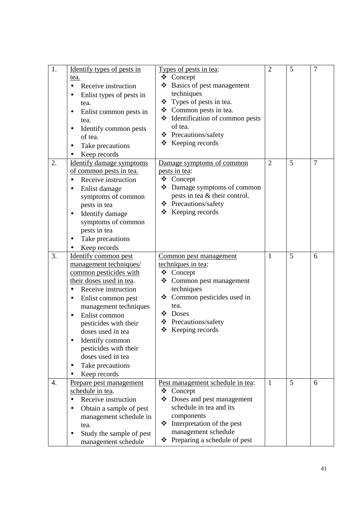| 1.               | Identify types of pests in<br>tea.<br>Receive instruction<br>$\bullet$<br>Enlist types of pests in<br>$\bullet$<br>tea.<br>Enlist common pests in<br>tea.<br>Identify common pests<br>٠<br>of tea.<br>Take precautions<br>٠<br>Keep records                                                                                                                                   | Types of pests in tea:<br>❖ Concept<br>❖ Basics of pest management<br>techniques<br>❖ Types of pests in tea.<br>❖ Common pests in tea.<br>❖ Identification of common pests<br>of tea.<br>❖ Precautions/safety<br>$\div$ Keeping records | $\overline{2}$ | 5 | $\overline{7}$ |
|------------------|-------------------------------------------------------------------------------------------------------------------------------------------------------------------------------------------------------------------------------------------------------------------------------------------------------------------------------------------------------------------------------|-----------------------------------------------------------------------------------------------------------------------------------------------------------------------------------------------------------------------------------------|----------------|---|----------------|
| 2.               | <b>Identify damage symptoms</b><br>of common pests in tea.<br>Receive instruction<br>$\bullet$<br>Enlist damage<br>symptoms of common<br>pests in tea<br>Identify damage<br>symptoms of common<br>pests in tea<br>Take precautions<br>Keep records                                                                                                                            | Damage symptoms of common<br>pests in tea:<br>❖ Concept<br>❖ Damage symptoms of common<br>pests in tea & their control.<br>❖ Precautions/safety<br>$\div$ Keeping records                                                               | $\overline{2}$ | 5 | $\overline{7}$ |
| 3.               | Identify common pest<br>management techniques/<br>common pesticides with<br>their doses used in tea.<br>Receive instruction<br>$\bullet$<br>Enlist common pest<br>٠<br>management techniques<br>Enlist common<br>$\bullet$<br>pesticides with their<br>doses used in tea<br>Identify common<br>pesticides with their<br>doses used in tea<br>Take precautions<br>Keep records | Common pest management<br>techniques in tea:<br>❖ Concept<br>Common pest management<br>❖<br>techniques<br>❖ Common pesticides used in<br>tea.<br>❖ Doses<br>❖ Precautions/safety<br>$\triangleleft$ Keeping records                     | 1              | 5 | 6              |
| $\overline{4}$ . | Prepare pest management<br>schedule in tea.<br>Receive instruction<br>$\bullet$<br>Obtain a sample of pest<br>$\bullet$<br>management schedule in<br>tea.<br>Study the sample of pest<br>management schedule                                                                                                                                                                  | Pest management schedule in tea:<br>Concept<br>❖<br>Doses and pest management<br>❖<br>schedule in tea and its<br>components<br>Interpretation of the pest<br>❖<br>management schedule<br>Preparing a schedule of pest<br>❖              | $\mathbf{1}$   | 5 | 6              |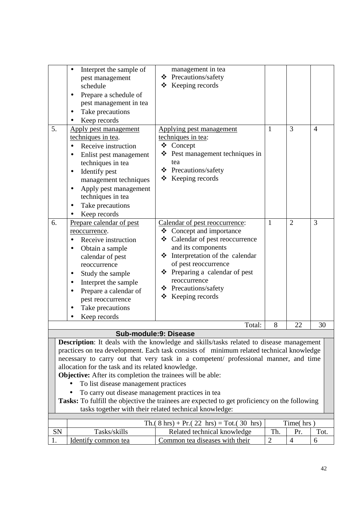| 5.<br>6.                                                                                                                                                                                                                                                                                                                                                                                                                                                                                                                                                                                                                                                                                    | Interpret the sample of<br>pest management<br>schedule<br>Prepare a schedule of<br>$\bullet$<br>pest management in tea<br>Take precautions<br>Keep records<br>Apply pest management<br>techniques in tea.<br>Receive instruction<br>Enlist pest management<br>$\bullet$<br>techniques in tea<br>Identify pest<br>$\bullet$<br>management techniques<br>Apply pest management<br>$\bullet$<br>techniques in tea<br>Take precautions<br>$\bullet$<br>Keep records<br>Prepare calendar of pest | management in tea<br>Precautions/safety<br>❖<br>$\div$ Keeping records<br>Applying pest management<br>techniques in tea:<br>❖<br>Concept<br>Pest management techniques in<br>tea<br>❖ Precautions/safety<br>$\div$ Keeping records<br>Calendar of pest reoccurrence: | 1<br>$\mathbf{1}$ | 3<br>$\overline{2}$ | $\overline{4}$<br>3 |  |  |
|---------------------------------------------------------------------------------------------------------------------------------------------------------------------------------------------------------------------------------------------------------------------------------------------------------------------------------------------------------------------------------------------------------------------------------------------------------------------------------------------------------------------------------------------------------------------------------------------------------------------------------------------------------------------------------------------|---------------------------------------------------------------------------------------------------------------------------------------------------------------------------------------------------------------------------------------------------------------------------------------------------------------------------------------------------------------------------------------------------------------------------------------------------------------------------------------------|----------------------------------------------------------------------------------------------------------------------------------------------------------------------------------------------------------------------------------------------------------------------|-------------------|---------------------|---------------------|--|--|
|                                                                                                                                                                                                                                                                                                                                                                                                                                                                                                                                                                                                                                                                                             | reoccurrence.<br>Receive instruction<br>$\bullet$<br>Obtain a sample<br>٠<br>calendar of pest<br>reoccurrence<br>Study the sample<br>$\bullet$<br>Interpret the sample<br>٠<br>Prepare a calendar of<br>$\bullet$<br>pest reoccurrence<br>Take precautions<br>$\bullet$<br>Keep records                                                                                                                                                                                                     | ❖ Concept and importance<br>❖ Calendar of pest reoccurrence<br>and its components<br>❖ Interpretation of the calendar<br>of pest reoccurrence<br>❖ Preparing a calendar of pest<br>reoccurrence<br>❖ Precautions/safety<br>Keeping records<br>❖                      |                   |                     |                     |  |  |
|                                                                                                                                                                                                                                                                                                                                                                                                                                                                                                                                                                                                                                                                                             |                                                                                                                                                                                                                                                                                                                                                                                                                                                                                             | Total:                                                                                                                                                                                                                                                               | 8                 | 22                  | 30                  |  |  |
|                                                                                                                                                                                                                                                                                                                                                                                                                                                                                                                                                                                                                                                                                             |                                                                                                                                                                                                                                                                                                                                                                                                                                                                                             |                                                                                                                                                                                                                                                                      |                   |                     |                     |  |  |
| Sub-module:9: Disease<br><b>Description:</b> It deals with the knowledge and skills/tasks related to disease management<br>practices on tea development. Each task consists of minimum related technical knowledge<br>necessary to carry out that very task in a competent/ professional manner, and time<br>allocation for the task and its related knowledge.<br><b>Objective:</b> After its completion the trainees will be able:<br>To list disease management practices<br>To carry out disease management practices in tea<br>Tasks: To fulfill the objective the trainees are expected to get proficiency on the following<br>tasks together with their related technical knowledge: |                                                                                                                                                                                                                                                                                                                                                                                                                                                                                             |                                                                                                                                                                                                                                                                      |                   |                     |                     |  |  |
|                                                                                                                                                                                                                                                                                                                                                                                                                                                                                                                                                                                                                                                                                             |                                                                                                                                                                                                                                                                                                                                                                                                                                                                                             | Th. $(8 \text{ hrs}) + Pr. (22 \text{ hrs}) = Tot. (30 \text{ hrs})$                                                                                                                                                                                                 |                   | Time(hrs)           |                     |  |  |
| SN                                                                                                                                                                                                                                                                                                                                                                                                                                                                                                                                                                                                                                                                                          | Tasks/skills                                                                                                                                                                                                                                                                                                                                                                                                                                                                                | Related technical knowledge                                                                                                                                                                                                                                          | Th.               | Pr.                 | Tot.                |  |  |
| 1.                                                                                                                                                                                                                                                                                                                                                                                                                                                                                                                                                                                                                                                                                          | Identify common tea                                                                                                                                                                                                                                                                                                                                                                                                                                                                         | Common tea diseases with their                                                                                                                                                                                                                                       | $\overline{2}$    | $\overline{4}$      | 6                   |  |  |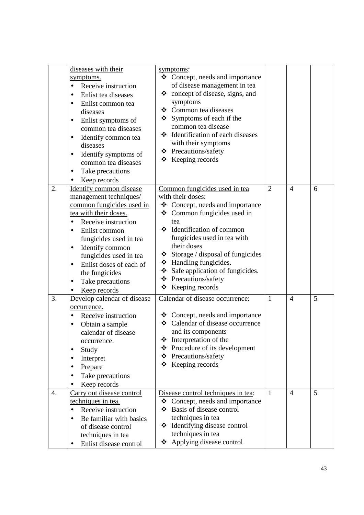|    | diseases with their<br>symptoms.<br>Receive instruction<br>Enlist tea diseases<br>$\bullet$<br>Enlist common tea<br>diseases<br>Enlist symptoms of<br>$\bullet$<br>common tea diseases<br>Identify common tea<br>$\bullet$<br>diseases<br>Identify symptoms of<br>٠<br>common tea diseases<br>Take precautions<br>$\bullet$<br>Keep records                        | symptoms:<br>❖<br>Concept, needs and importance<br>of disease management in tea<br>$\div$ concept of disease, signs, and<br>symptoms<br>❖ Common tea diseases<br>❖<br>Symptoms of each if the<br>common tea disease<br>❖ Identification of each diseases<br>with their symptoms<br>❖ Precautions/safety<br>$\triangleleft$ Keeping records                         |              |                |   |
|----|--------------------------------------------------------------------------------------------------------------------------------------------------------------------------------------------------------------------------------------------------------------------------------------------------------------------------------------------------------------------|--------------------------------------------------------------------------------------------------------------------------------------------------------------------------------------------------------------------------------------------------------------------------------------------------------------------------------------------------------------------|--------------|----------------|---|
| 2. | <b>Identify common disease</b><br>management techniques/<br>common fungicides used in<br>tea with their doses.<br>Receive instruction<br>$\bullet$<br>Enlist common<br>$\bullet$<br>fungicides used in tea<br>Identify common<br>$\bullet$<br>fungicides used in tea<br>Enlist doses of each of<br>the fungicides<br>Take precautions<br>$\bullet$<br>Keep records | Common fungicides used in tea<br>with their doses:<br>❖ Concept, needs and importance<br>Common fungicides used in<br>❖<br>tea<br>❖ Identification of common<br>fungicides used in tea with<br>their doses<br>$\div$ Storage / disposal of fungicides<br>❖ Handling fungicides.<br>Safe application of fungicides.<br>❖ Precautions/safety<br>❖<br>Keeping records | 2            | $\overline{4}$ | 6 |
| 3. | Develop calendar of disease<br>occurrence.<br>Receive instruction<br>Obtain a sample<br>$\bullet$<br>calendar of disease<br>occurrence.<br>Study<br>Interpret<br>Prepare<br>Take precautions<br>Keep records                                                                                                                                                       | Calendar of disease occurrence:<br>$\triangleleft$ Concept, needs and importance<br>Calendar of disease occurrence<br>❖<br>and its components<br>Interpretation of the<br>❖<br>Procedure of its development<br>❖<br>Precautions/safety<br>❖<br>❖<br>Keeping records                                                                                                | $\mathbf{1}$ | $\overline{4}$ | 5 |
| 4. | Carry out disease control<br>techniques in tea.<br>Receive instruction<br>$\bullet$<br>Be familiar with basics<br>of disease control<br>techniques in tea<br>Enlist disease control                                                                                                                                                                                | Disease control techniques in tea:<br>Concept, needs and importance<br>❖<br>Basis of disease control<br>❖<br>techniques in tea<br>Identifying disease control<br>❖<br>techniques in tea<br>Applying disease control<br>❖                                                                                                                                           | $\mathbf{1}$ | $\overline{4}$ | 5 |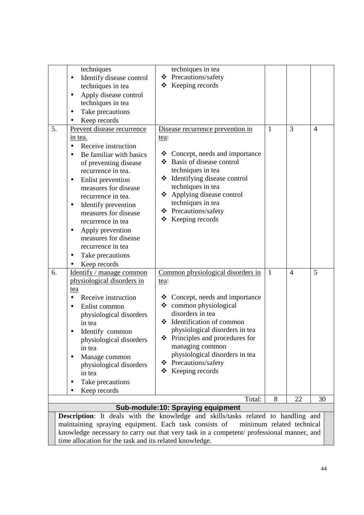|    | techniques                                                 | techniques in tea                                                                                              |              |                |                |
|----|------------------------------------------------------------|----------------------------------------------------------------------------------------------------------------|--------------|----------------|----------------|
|    |                                                            | ❖ Precautions/safety                                                                                           |              |                |                |
|    | Identify disease control<br>$\bullet$<br>techniques in tea | $\div$ Keeping records                                                                                         |              |                |                |
|    |                                                            |                                                                                                                |              |                |                |
|    | Apply disease control<br>$\bullet$                         |                                                                                                                |              |                |                |
|    | techniques in tea                                          |                                                                                                                |              |                |                |
|    | Take precautions<br>$\bullet$                              |                                                                                                                |              |                |                |
|    | Keep records                                               |                                                                                                                |              |                |                |
| 5. | Prevent disease recurrence                                 | Disease recurrence prevention in                                                                               | $\mathbf{1}$ | $\overline{3}$ | $\overline{4}$ |
|    | in tea.                                                    | tea:                                                                                                           |              |                |                |
|    | Receive instruction<br>$\bullet$                           |                                                                                                                |              |                |                |
|    | Be familiar with basics                                    | Concept, needs and importance<br>❖                                                                             |              |                |                |
|    | of preventing disease                                      | Basis of disease control<br>❖                                                                                  |              |                |                |
|    | recurrence in tea.                                         | techniques in tea                                                                                              |              |                |                |
|    | Enlist prevention<br>٠                                     | Identifying disease control<br>❖                                                                               |              |                |                |
|    | measures for disease                                       | techniques in tea                                                                                              |              |                |                |
|    | recurrence in tea.                                         | ❖ Applying disease control<br>techniques in tea                                                                |              |                |                |
|    | Identify prevention                                        | ❖ Precautions/safety                                                                                           |              |                |                |
|    | measures for disease                                       | $\div$ Keeping records                                                                                         |              |                |                |
|    | recurrence in tea                                          |                                                                                                                |              |                |                |
|    | Apply prevention<br>٠                                      |                                                                                                                |              |                |                |
|    | measures for disease                                       |                                                                                                                |              |                |                |
|    | recurrence in tea                                          |                                                                                                                |              |                |                |
|    | Take precautions                                           |                                                                                                                |              |                |                |
|    | Keep records                                               |                                                                                                                |              |                |                |
| 6. | Identify / manage common                                   | Common physiological disorders in                                                                              | $\mathbf{1}$ | $\overline{4}$ | 5              |
|    | physiological disorders in                                 | tea:                                                                                                           |              |                |                |
|    | tea                                                        |                                                                                                                |              |                |                |
|    | Receive instruction                                        | $\triangleleft$ Concept, needs and importance                                                                  |              |                |                |
|    | Enlist common<br>$\bullet$                                 | ❖ common physiological                                                                                         |              |                |                |
|    | physiological disorders                                    | disorders in tea                                                                                               |              |                |                |
|    | in tea                                                     | ❖ Identification of common                                                                                     |              |                |                |
|    | Identify common                                            | physiological disorders in tea                                                                                 |              |                |                |
|    | physiological disorders                                    | ❖ Principles and procedures for                                                                                |              |                |                |
|    | in tea                                                     | managing common<br>physiological disorders in tea                                                              |              |                |                |
|    | Manage common                                              | ❖ Precautions/safety                                                                                           |              |                |                |
|    | physiological disorders                                    | Keeping records<br>❖                                                                                           |              |                |                |
|    | in tea                                                     |                                                                                                                |              |                |                |
|    | Take precautions                                           |                                                                                                                |              |                |                |
|    | Keep records                                               |                                                                                                                |              |                |                |
|    |                                                            | Total:                                                                                                         | 8            | 22             | 30             |
|    |                                                            | Sub-module:10: Spraying equipment                                                                              |              |                |                |
|    |                                                            | Description: It deals with the knowledge and skills/tasks related to handling and<br>minimum related technical |              |                |                |
|    | maintaining spraying equipment. Each task consists of      | knowledge necessary to carry out that very task in a competent/ professional manner, and                       |              |                |                |
|    |                                                            |                                                                                                                |              |                |                |

time allocation for the task and its related knowledge.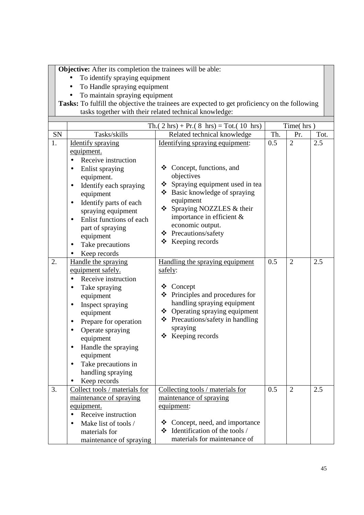**Objective:** After its completion the trainees will be able:

- To identify spraying equipment
- To Handle spraying equipment
- To maintain spraying equipment

|    |                                                                                                                                                                                                                                                                                                                                                         | Th.( $2 \text{ hrs}$ ) + Pr.( $8 \text{ hrs}$ ) = Tot.( 10 hrs)                                                                                                                                                                                                                                              |     | Time(hrs)      |      |
|----|---------------------------------------------------------------------------------------------------------------------------------------------------------------------------------------------------------------------------------------------------------------------------------------------------------------------------------------------------------|--------------------------------------------------------------------------------------------------------------------------------------------------------------------------------------------------------------------------------------------------------------------------------------------------------------|-----|----------------|------|
| SN | Tasks/skills                                                                                                                                                                                                                                                                                                                                            | Related technical knowledge                                                                                                                                                                                                                                                                                  | Th. | Pr.            | Tot. |
| 1. | <b>Identify spraying</b><br>equipment.<br>Receive instruction<br>$\bullet$<br>Enlist spraying<br>equipment.<br>Identify each spraying<br>$\bullet$<br>equipment<br>Identify parts of each<br>$\bullet$<br>spraying equipment<br>Enlist functions of each<br>$\bullet$<br>part of spraying<br>equipment<br>Take precautions<br>$\bullet$<br>Keep records | Identifying spraying equipment:<br>❖ Concept, functions, and<br>objectives<br>Spraying equipment used in tea<br>❖<br>❖ Basic knowledge of spraying<br>equipment<br>Spraying NOZZLES & their<br>❖<br>importance in efficient &<br>economic output.<br>❖ Precautions/safety<br>$\triangleleft$ Keeping records | 0.5 | $\overline{2}$ | 2.5  |
| 2. | Handle the spraying<br>equipment safely.<br>Receive instruction<br>Take spraying<br>equipment<br>Inspect spraying<br>$\bullet$<br>equipment<br>Prepare for operation<br>٠<br>Operate spraying<br>$\bullet$<br>equipment<br>Handle the spraying<br>$\bullet$<br>equipment<br>Take precautions in<br>$\bullet$<br>handling spraying<br>Keep records       | Handling the spraying equipment<br>safely:<br>Concept<br>❖<br>Principles and procedures for<br>❖<br>handling spraying equipment<br>❖ Operating spraying equipment<br>❖ Precautions/safety in handling<br>spraying<br>$\triangleleft$ Keeping records                                                         | 0.5 | $\overline{2}$ | 2.5  |
| 3. | Collect tools / materials for<br>maintenance of spraying<br>equipment.<br>Receive instruction<br>Make list of tools /<br>materials for<br>maintenance of spraying                                                                                                                                                                                       | Collecting tools / materials for<br>maintenance of spraying<br>equipment:<br>Concept, need, and importance<br>❖<br>Identification of the tools /<br>❖<br>materials for maintenance of                                                                                                                        | 0.5 | $\overline{2}$ | 2.5  |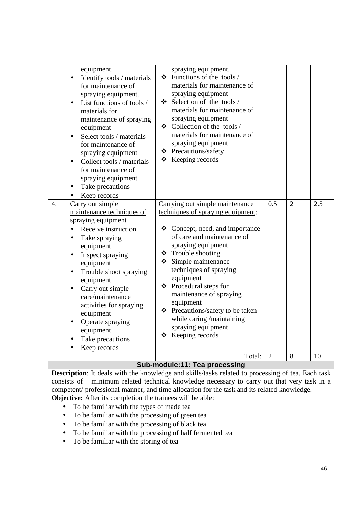|                  | equipment.<br>Identify tools / materials<br>for maintenance of<br>spraying equipment.<br>List functions of tools /<br>materials for<br>maintenance of spraying<br>equipment<br>Select tools / materials<br>$\bullet$<br>for maintenance of<br>spraying equipment<br>Collect tools / materials<br>$\bullet$<br>for maintenance of<br>spraying equipment<br>Take precautions<br>$\bullet$<br>Keep records   | spraying equipment.<br>Functions of the tools /<br>❖<br>materials for maintenance of<br>spraying equipment<br>$\div$ Selection of the tools /<br>materials for maintenance of<br>spraying equipment<br>❖ Collection of the tools /<br>materials for maintenance of<br>spraying equipment<br>❖ Precautions/safety<br>$\div$ Keeping records                                                                                                       |                |                |     |
|------------------|-----------------------------------------------------------------------------------------------------------------------------------------------------------------------------------------------------------------------------------------------------------------------------------------------------------------------------------------------------------------------------------------------------------|--------------------------------------------------------------------------------------------------------------------------------------------------------------------------------------------------------------------------------------------------------------------------------------------------------------------------------------------------------------------------------------------------------------------------------------------------|----------------|----------------|-----|
| $\overline{4}$ . | Carry out simple<br>maintenance techniques of<br>spraying equipment<br>Receive instruction<br>Take spraying<br>$\bullet$<br>equipment<br>Inspect spraying<br>$\bullet$<br>equipment<br>Trouble shoot spraying<br>$\bullet$<br>equipment<br>Carry out simple<br>care/maintenance<br>activities for spraying<br>equipment<br>Operate spraying<br>$\bullet$<br>equipment<br>Take precautions<br>Keep records | Carrying out simple maintenance<br>techniques of spraying equipment:<br>❖<br>Concept, need, and importance<br>of care and maintenance of<br>spraying equipment<br>Trouble shooting<br>❖<br>Simple maintenance<br>❖<br>techniques of spraying<br>equipment<br>Procedural steps for<br>❖<br>maintenance of spraying<br>equipment<br>Precautions/safety to be taken<br>❖<br>while caring /maintaining<br>spraying equipment<br>Keeping records<br>❖ | 0.5            | $\overline{2}$ | 2.5 |
|                  |                                                                                                                                                                                                                                                                                                                                                                                                           | Total:                                                                                                                                                                                                                                                                                                                                                                                                                                           | $\overline{2}$ | 8              | 10  |
|                  |                                                                                                                                                                                                                                                                                                                                                                                                           | Sub modula:44: Too processing                                                                                                                                                                                                                                                                                                                                                                                                                    |                |                |     |

#### **Sub-module:11: Tea processing Description**: It deals with the knowledge and skills/tasks related to processing of tea. Each task consists of minimum related technical knowledge necessary to carry out that very task in a competent/ professional manner, and time allocation for the task and its related knowledge.

**Objective:** After its completion the trainees will be able:

- To be familiar with the types of made tea
- To be familiar with the processing of green tea
- To be familiar with the processing of black tea
- To be familiar with the processing of half fermented tea
- To be familiar with the storing of tea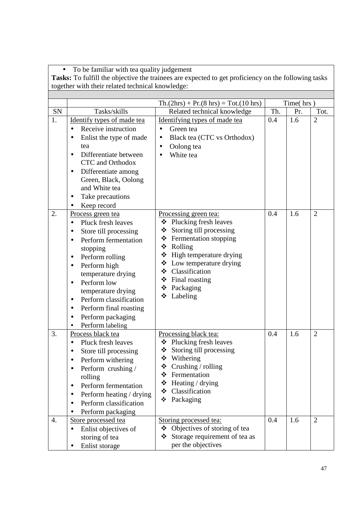• To be familiar with tea quality judgement **Tasks:** To fulfill the objective the trainees are expected to get proficiency on the following tasks together with their related technical knowledge:

|    |                                                                                                                                                                                                                                                                                                                                                                                                 | $Th.(2hrs) + Pr.(8 hrs) = Tot.(10 hrs)$                                                                                                                                                                                                                                        |     | Time(hrs) |                |
|----|-------------------------------------------------------------------------------------------------------------------------------------------------------------------------------------------------------------------------------------------------------------------------------------------------------------------------------------------------------------------------------------------------|--------------------------------------------------------------------------------------------------------------------------------------------------------------------------------------------------------------------------------------------------------------------------------|-----|-----------|----------------|
| SN | Tasks/skills                                                                                                                                                                                                                                                                                                                                                                                    | Related technical knowledge                                                                                                                                                                                                                                                    | Th. | Pr.       | Tot.           |
| 1. | Identify types of made tea<br>Receive instruction<br>Enlist the type of made<br>$\bullet$<br>tea<br>Differentiate between<br>$\bullet$<br><b>CTC</b> and Orthodox<br>Differentiate among<br>$\bullet$<br>Green, Black, Oolong<br>and White tea<br>Take precautions<br>٠<br>Keep record                                                                                                          | Identifying types of made tea<br>Green tea<br>$\bullet$<br>Black tea (CTC vs Orthodox)<br>$\bullet$<br>Oolong tea<br>$\bullet$<br>White tea                                                                                                                                    | 0.4 | 1.6       | $\overline{2}$ |
| 2. | Process green tea<br>Pluck fresh leaves<br>$\bullet$<br>Store till processing<br>Perform fermentation<br>$\bullet$<br>stopping<br>Perform rolling<br>٠<br>Perform high<br>temperature drying<br>Perform low<br>$\bullet$<br>temperature drying<br>Perform classification<br>$\bullet$<br>Perform final roasting<br>$\bullet$<br>Perform packaging<br>$\bullet$<br>Perform labeling<br>$\bullet$ | Processing green tea:<br>❖ Plucking fresh leaves<br>Storing till processing<br>❖<br>❖<br>Fermentation stopping<br>❖<br>Rolling<br>❖<br>High temperature drying<br>❖<br>Low temperature drying<br>❖<br>Classification<br>❖<br>Final roasting<br>❖<br>Packaging<br>❖<br>Labeling | 0.4 | 1.6       | $\overline{2}$ |
| 3. | Process black tea<br>Pluck fresh leaves<br>$\bullet$<br>Store till processing<br>$\bullet$<br>Perform withering<br>Perform crushing /<br>rolling<br>Perform fermentation<br>$\bullet$<br>Perform heating / drying<br>$\bullet$<br>Perform classification<br>Perform packaging                                                                                                                   | Processing black tea:<br>Plucking fresh leaves<br>❖<br>❖<br>Storing till processing<br>$\div$ Withering<br>❖<br>Crushing / rolling<br>Fermentation<br>❖<br>Heating / drying<br>❖<br>❖<br>Classification<br>❖<br>Packaging                                                      | 0.4 | 1.6       | $\overline{2}$ |
| 4. | Store processed tea<br>Enlist objectives of<br>$\bullet$<br>storing of tea<br>Enlist storage                                                                                                                                                                                                                                                                                                    | Storing processed tea:<br>❖ Objectives of storing of tea<br>Storage requirement of tea as<br>❖<br>per the objectives                                                                                                                                                           | 0.4 | 1.6       | $\overline{2}$ |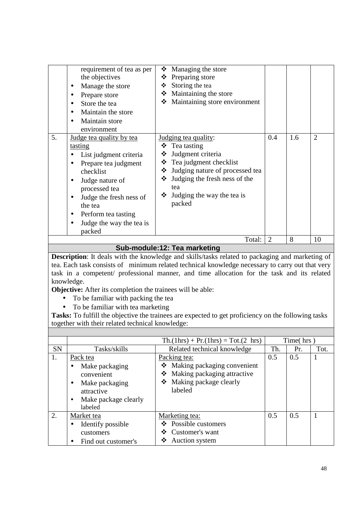| Maintain store<br>environment                                                                                                                                                                                                                                                                                                                                                                                                                                                                                                            |  |  |                |
|------------------------------------------------------------------------------------------------------------------------------------------------------------------------------------------------------------------------------------------------------------------------------------------------------------------------------------------------------------------------------------------------------------------------------------------------------------------------------------------------------------------------------------------|--|--|----------------|
| 5.<br>1.6<br>0.4<br>Judging tea quality:<br><u>Judge tea quality by tea</u><br>$\triangleleft$ Tea tasting<br>tasting<br>Judgment criteria<br>❖<br>List judgment criteria<br>Tea judgment checklist<br>❖<br>Prepare tea judgment<br>$\bullet$<br>Judging nature of processed tea<br>❖<br>checklist<br>Judging the fresh ness of the<br>❖<br>Judge nature of<br>tea<br>processed tea<br>Judging the way the tea is<br>❖<br>Judge the fresh ness of<br>packed<br>the tea<br>Perform tea tasting<br>٠<br>Judge the way the tea is<br>packed |  |  | $\overline{2}$ |
| $\overline{2}$<br>8<br>Total:<br><b>C.J.</b><br>$-1.1 - 40.$<br>بالمصطب                                                                                                                                                                                                                                                                                                                                                                                                                                                                  |  |  | 10             |

#### **Sub-module:12: Tea marketing**

**Description**: It deals with the knowledge and skills/tasks related to packaging and marketing of tea. Each task consists of minimum related technical knowledge necessary to carry out that very task in a competent/ professional manner, and time allocation for the task and its related knowledge.

**Objective:** After its completion the trainees will be able:

- To be familiar with packing the tea
- To be familiar with tea marketing

|           |                                   | $\text{Th.}(1\text{hrs}) + \text{Pr.}(1\text{hrs}) = \text{Tot.}(2 \text{ hrs})$ |     | Time( $\hbar$ rs) |      |
|-----------|-----------------------------------|----------------------------------------------------------------------------------|-----|-------------------|------|
| <b>SN</b> | Tasks/skills                      | Related technical knowledge                                                      | Th. | Pr.               | Tot. |
| 1.        | Pack tea                          | Packing tea:                                                                     | 0.5 | 0.5               |      |
|           | Make packaging                    | Making packaging convenient<br>❖                                                 |     |                   |      |
|           | convenient                        | Making packaging attractive<br>❖                                                 |     |                   |      |
|           | Make packaging<br>$\bullet$       | Making package clearly<br>❖                                                      |     |                   |      |
|           | attractive                        | labeled                                                                          |     |                   |      |
|           | Make package clearly<br>$\bullet$ |                                                                                  |     |                   |      |
|           | labeled                           |                                                                                  |     |                   |      |
| 2.        | Market tea                        | Marketing tea:                                                                   | 0.5 | 0.5               |      |
|           | Identify possible                 | $\div$ Possible customers                                                        |     |                   |      |
|           | customers                         | Customer's want<br>❖                                                             |     |                   |      |
|           | Find out customer's               | ❖<br>Auction system                                                              |     |                   |      |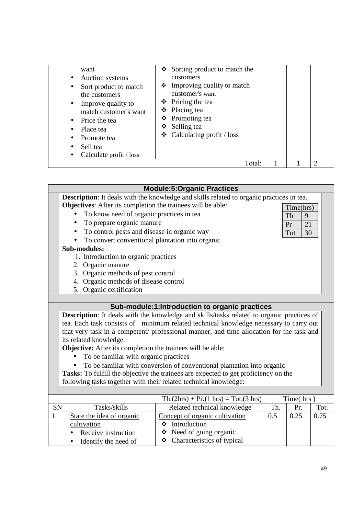| want<br>Auction systems<br>٠<br>Sort product to match<br>the customers<br>Improve quality to<br>٠<br>match customer's want<br>Price the tea<br>$\bullet$<br>Place tea<br>Promote tea<br>Sell tea<br>Calculate profit / loss | $\bullet$ Sorting product to match the<br>customers<br>Improving quality to match<br>❖<br>customer's want<br>$\div$ Pricing the tea<br>$\triangle$ Placing tea<br>❖ Promoting tea<br>Selling tea<br>❖<br>$\triangleleft$ Calculating profit / loss |  |  |
|-----------------------------------------------------------------------------------------------------------------------------------------------------------------------------------------------------------------------------|----------------------------------------------------------------------------------------------------------------------------------------------------------------------------------------------------------------------------------------------------|--|--|
|                                                                                                                                                                                                                             | Total:                                                                                                                                                                                                                                             |  |  |

| <b>Module:5:Organic Practices</b>                                                         |                                                                  |                                                                                                 |     |           |      |  |  |
|-------------------------------------------------------------------------------------------|------------------------------------------------------------------|-------------------------------------------------------------------------------------------------|-----|-----------|------|--|--|
|                                                                                           |                                                                  | <b>Description:</b> It deals with the knowledge and skills related to organic practices in tea. |     |           |      |  |  |
|                                                                                           | Objectives: After its completion the trainees will be able:      |                                                                                                 |     |           |      |  |  |
|                                                                                           | To know need of organic practices in tea                         |                                                                                                 |     | Time(hrs) |      |  |  |
|                                                                                           | To prepare organic manure                                        |                                                                                                 |     | Th<br>9   |      |  |  |
|                                                                                           | To control pests and disease in organic way                      |                                                                                                 |     | 21<br>Pr  |      |  |  |
|                                                                                           | To convert conventional plantation into organic                  |                                                                                                 |     | 30<br>Tot |      |  |  |
|                                                                                           | <b>Sub-modules:</b>                                              |                                                                                                 |     |           |      |  |  |
|                                                                                           | 1. Introduction to organic practices                             |                                                                                                 |     |           |      |  |  |
|                                                                                           | 2. Organic manure                                                |                                                                                                 |     |           |      |  |  |
|                                                                                           | 3. Organic methods of pest control                               |                                                                                                 |     |           |      |  |  |
|                                                                                           | 4. Organic methods of disease control                            |                                                                                                 |     |           |      |  |  |
|                                                                                           | 5. Organic certification                                         |                                                                                                 |     |           |      |  |  |
|                                                                                           |                                                                  |                                                                                                 |     |           |      |  |  |
| Sub-module:1:Introduction to organic practices                                            |                                                                  |                                                                                                 |     |           |      |  |  |
| Description: It deals with the knowledge and skills/tasks related to organic practices of |                                                                  |                                                                                                 |     |           |      |  |  |
|                                                                                           |                                                                  | tea. Each task consists of minimum related technical knowledge necessary to carry out           |     |           |      |  |  |
|                                                                                           |                                                                  | that very task in a competent/ professional manner, and time allocation for the task and        |     |           |      |  |  |
|                                                                                           | its related knowledge.                                           |                                                                                                 |     |           |      |  |  |
|                                                                                           | Objective: After its completion the trainees will be able:       |                                                                                                 |     |           |      |  |  |
|                                                                                           | To be familiar with organic practices                            |                                                                                                 |     |           |      |  |  |
|                                                                                           |                                                                  | To be familiar with conversion of conventional plantation into organic                          |     |           |      |  |  |
|                                                                                           |                                                                  | Tasks: To fulfill the objective the trainees are expected to get proficiency on the             |     |           |      |  |  |
|                                                                                           | following tasks together with their related technical knowledge: |                                                                                                 |     |           |      |  |  |
|                                                                                           |                                                                  |                                                                                                 |     |           |      |  |  |
|                                                                                           |                                                                  | $Th.(2hrs) + Pr.(1 hrs) = Tot.(3 hrs)$                                                          |     | Time(hrs) |      |  |  |
| SN                                                                                        | Tasks/skills                                                     | Related technical knowledge                                                                     | Th. | Pr.       | Tot. |  |  |
| 1.                                                                                        | State the idea of organic                                        | Concept of organic cultivation                                                                  | 0.5 | 0.25      | 0.75 |  |  |
|                                                                                           | cultivation                                                      | ❖ Introduction                                                                                  |     |           |      |  |  |
|                                                                                           | Receive instruction                                              | ❖ Need of going organic                                                                         |     |           |      |  |  |
|                                                                                           | Identify the need of                                             | ❖ Characteristics of typical                                                                    |     |           |      |  |  |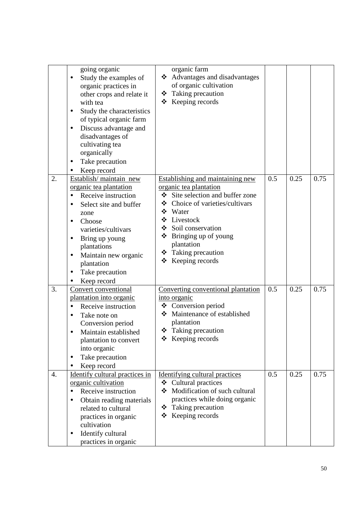|    | going organic<br>Study the examples of<br>organic practices in<br>other crops and relate it<br>with tea<br>Study the characteristics<br>٠<br>of typical organic farm<br>Discuss advantage and<br>$\bullet$<br>disadvantages of<br>cultivating tea<br>organically<br>Take precaution<br>$\bullet$<br>Keep record | organic farm<br>❖ Advantages and disadvantages<br>of organic cultivation<br>❖ Taking precaution<br>❖ Keeping records                                                                                                                                                                            |     |      |      |
|----|-----------------------------------------------------------------------------------------------------------------------------------------------------------------------------------------------------------------------------------------------------------------------------------------------------------------|-------------------------------------------------------------------------------------------------------------------------------------------------------------------------------------------------------------------------------------------------------------------------------------------------|-----|------|------|
| 2. | Establish/maintain new<br>organic tea plantation<br>Receive instruction<br>Select site and buffer<br>$\bullet$<br>zone<br>Choose<br>$\bullet$<br>varieties/cultivars<br>Bring up young<br>$\bullet$<br>plantations<br>Maintain new organic<br>$\bullet$<br>plantation<br>Take precaution<br>Keep record         | <b>Establishing and maintaining new</b><br>organic tea plantation<br>Site selection and buffer zone<br>❖<br>Choice of varieties/cultivars<br>❖<br>❖ Water<br>Livestock<br>❖<br>Soil conservation<br>❖<br>Bringing up of young<br>❖<br>plantation<br>❖ Taking precaution<br>❖<br>Keeping records | 0.5 | 0.25 | 0.75 |
| 3. | Convert conventional<br>plantation into organic<br>Receive instruction<br>Take note on<br>Conversion period<br>Maintain established<br>$\bullet$<br>plantation to convert<br>into organic<br>Take precaution<br>Keep record                                                                                     | Converting conventional plantation<br>into organic<br>❖ Conversion period<br>❖ Maintenance of established<br>plantation<br>❖ Taking precaution<br>$\triangleleft$ Keeping records                                                                                                               | 0.5 | 0.25 | 0.75 |
| 4. | Identify cultural practices in<br>organic cultivation<br>Receive instruction<br>$\bullet$<br>Obtain reading materials<br>$\bullet$<br>related to cultural<br>practices in organic<br>cultivation<br>Identify cultural<br>practices in organic                                                                   | Identifying cultural practices<br>Cultural practices<br>❖<br>Modification of such cultural<br>practices while doing organic<br>❖ Taking precaution<br>Keeping records<br>❖                                                                                                                      | 0.5 | 0.25 | 0.75 |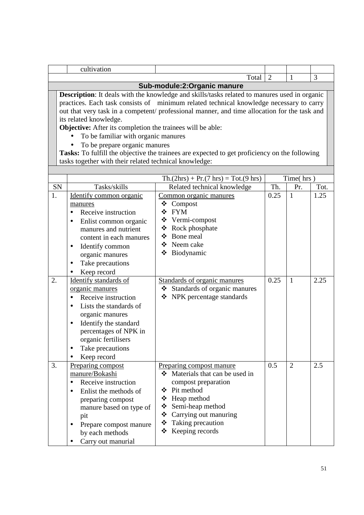|                                                                                                                                                                                                                                                                                                                                                                                                                                                                                                                                                                                                                           | cultivation                                                                                                                                                                                                                             |                                                                                                                           |      |                  |      |  |
|---------------------------------------------------------------------------------------------------------------------------------------------------------------------------------------------------------------------------------------------------------------------------------------------------------------------------------------------------------------------------------------------------------------------------------------------------------------------------------------------------------------------------------------------------------------------------------------------------------------------------|-----------------------------------------------------------------------------------------------------------------------------------------------------------------------------------------------------------------------------------------|---------------------------------------------------------------------------------------------------------------------------|------|------------------|------|--|
|                                                                                                                                                                                                                                                                                                                                                                                                                                                                                                                                                                                                                           |                                                                                                                                                                                                                                         | Total                                                                                                                     | 2    | 1                | 3    |  |
|                                                                                                                                                                                                                                                                                                                                                                                                                                                                                                                                                                                                                           |                                                                                                                                                                                                                                         | Sub-module:2:Organic manure                                                                                               |      |                  |      |  |
| <b>Description:</b> It deals with the knowledge and skills/tasks related to manures used in organic<br>practices. Each task consists of minimum related technical knowledge necessary to carry<br>out that very task in a competent/ professional manner, and time allocation for the task and<br>its related knowledge.<br>Objective: After its completion the trainees will be able:<br>To be familiar with organic manures<br>To be prepare organic manures<br>Tasks: To fulfill the objective the trainees are expected to get proficiency on the following<br>tasks together with their related technical knowledge: |                                                                                                                                                                                                                                         |                                                                                                                           |      |                  |      |  |
|                                                                                                                                                                                                                                                                                                                                                                                                                                                                                                                                                                                                                           |                                                                                                                                                                                                                                         |                                                                                                                           |      |                  |      |  |
| SN                                                                                                                                                                                                                                                                                                                                                                                                                                                                                                                                                                                                                        | Tasks/skills                                                                                                                                                                                                                            | $Th.(2hrs) + Pr.(7 hrs) = Tot.(9 hrs)$                                                                                    | Th.  | Time(hrs)<br>Pr. | Tot. |  |
| 1.                                                                                                                                                                                                                                                                                                                                                                                                                                                                                                                                                                                                                        | Identify common organic                                                                                                                                                                                                                 | Related technical knowledge<br>Common organic manures                                                                     | 0.25 | $\mathbf{1}$     | 1.25 |  |
|                                                                                                                                                                                                                                                                                                                                                                                                                                                                                                                                                                                                                           | manures<br>Receive instruction<br>$\bullet$<br>Enlist common organic<br>$\bullet$<br>manures and nutrient<br>content in each manures<br>Identify common<br>$\bullet$<br>organic manures<br>Take precautions<br>$\bullet$<br>Keep record | Compost<br>❖<br>❖ FYM<br>Vermi-compost<br>❖<br>❖<br>Rock phosphate<br>Bone meal<br>❖<br>Neem cake<br>❖<br>Biodynamic<br>❖ |      |                  |      |  |
| 2.                                                                                                                                                                                                                                                                                                                                                                                                                                                                                                                                                                                                                        | Identify standards of<br>organic manures<br>Receive instruction<br>$\bullet$<br>Lists the standards of<br>organic manures<br>Identify the standard<br>percentages of NPK in<br>organic fertilisers<br>Take precautions<br>Keep record   | Standards of organic manures<br>Standards of organic manures<br>NPK percentage standards<br>❖                             | 0.25 | $\mathbf{1}$     | 2.25 |  |
| 3.                                                                                                                                                                                                                                                                                                                                                                                                                                                                                                                                                                                                                        | Preparing compost<br>manure/Bokashi<br>Receive instruction                                                                                                                                                                              | Preparing compost manure<br>Materials that can be used in<br>compost preparation                                          | 0.5  | $\overline{2}$   | 2.5  |  |

 Pit method Heap method Semi-heap method Carrying out manuring Taking precaution  $\triangle$  Keeping records

• Enlist the methods of preparing compost manure based on type of

• Prepare compost manure by each methods • Carry out manurial

pit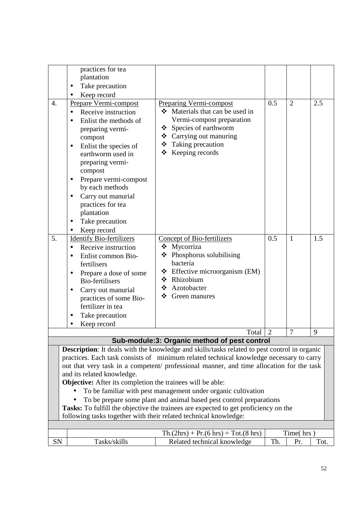|                  | practices for tea                                                 |                                                                                                                                                                                     |                |                |      |
|------------------|-------------------------------------------------------------------|-------------------------------------------------------------------------------------------------------------------------------------------------------------------------------------|----------------|----------------|------|
|                  | plantation                                                        |                                                                                                                                                                                     |                |                |      |
|                  | Take precaution                                                   |                                                                                                                                                                                     |                |                |      |
|                  | Keep record                                                       |                                                                                                                                                                                     |                |                |      |
| $\overline{4}$ . | Prepare Vermi-compost                                             | <b>Preparing Vermi-compost</b>                                                                                                                                                      | 0.5            | 2              | 2.5  |
|                  | Receive instruction                                               | Materials that can be used in                                                                                                                                                       |                |                |      |
|                  | Enlist the methods of                                             | Vermi-compost preparation                                                                                                                                                           |                |                |      |
|                  | preparing vermi-                                                  | ❖ Species of earthworm<br>❖ Carrying out manuring                                                                                                                                   |                |                |      |
|                  | compost                                                           | $\div$ Taking precaution                                                                                                                                                            |                |                |      |
|                  | Enlist the species of<br>$\bullet$<br>earthworm used in           | ❖ Keeping records                                                                                                                                                                   |                |                |      |
|                  | preparing vermi-                                                  |                                                                                                                                                                                     |                |                |      |
|                  | compost                                                           |                                                                                                                                                                                     |                |                |      |
|                  | Prepare vermi-compost<br>$\bullet$                                |                                                                                                                                                                                     |                |                |      |
|                  | by each methods                                                   |                                                                                                                                                                                     |                |                |      |
|                  | Carry out manurial                                                |                                                                                                                                                                                     |                |                |      |
|                  | practices for tea                                                 |                                                                                                                                                                                     |                |                |      |
|                  | plantation                                                        |                                                                                                                                                                                     |                |                |      |
|                  | Take precaution<br>٠                                              |                                                                                                                                                                                     |                |                |      |
| 5.               | Keep record                                                       |                                                                                                                                                                                     | 0.5            | $\mathbf{1}$   |      |
|                  | <b>Identify Bio-fertilizers</b><br>Receive instruction            | <b>Concept of Bio-fertilizers</b><br>❖ Mycorriza                                                                                                                                    |                |                | 1.5  |
|                  | Enlist common Bio-<br>$\bullet$                                   | $\triangleleft$ Phosphorus solubilising                                                                                                                                             |                |                |      |
|                  | fertilisers                                                       | bacteria                                                                                                                                                                            |                |                |      |
|                  | Prepare a dose of some<br>$\bullet$                               | $\div$ Effective microorganism (EM)                                                                                                                                                 |                |                |      |
|                  | <b>Bio-fertilisers</b>                                            | ❖ Rhizobium                                                                                                                                                                         |                |                |      |
|                  | Carry out manurial<br>٠                                           | Azotobacter<br>❖                                                                                                                                                                    |                |                |      |
|                  | practices of some Bio-                                            | ❖<br>Green manures                                                                                                                                                                  |                |                |      |
|                  | fertilizer in tea                                                 |                                                                                                                                                                                     |                |                |      |
|                  | Take precaution                                                   |                                                                                                                                                                                     |                |                |      |
|                  | Keep record                                                       |                                                                                                                                                                                     |                |                |      |
|                  |                                                                   | Total                                                                                                                                                                               | $\overline{2}$ | $\overline{7}$ | 9    |
|                  |                                                                   | Sub-module:3: Organic method of pest control                                                                                                                                        |                |                |      |
|                  |                                                                   | <b>Description:</b> It deals with the knowledge and skills/tasks related to pest control in organic                                                                                 |                |                |      |
|                  |                                                                   | practices. Each task consists of minimum related technical knowledge necessary to carry<br>out that very task in a competent/ professional manner, and time allocation for the task |                |                |      |
|                  | and its related knowledge.                                        |                                                                                                                                                                                     |                |                |      |
|                  | <b>Objective:</b> After its completion the trainees will be able: |                                                                                                                                                                                     |                |                |      |
|                  |                                                                   | To be familiar with pest management under organic cultivation                                                                                                                       |                |                |      |
|                  |                                                                   | To be prepare some plant and animal based pest control preparations                                                                                                                 |                |                |      |
|                  |                                                                   | Tasks: To fulfill the objective the trainees are expected to get proficiency on the                                                                                                 |                |                |      |
|                  | following tasks together with their related technical knowledge:  |                                                                                                                                                                                     |                |                |      |
|                  |                                                                   |                                                                                                                                                                                     |                |                |      |
|                  |                                                                   | $Th.(2hrs) + Pr.(6 hrs) = Tot.(8 hrs)$                                                                                                                                              |                | Time(hrs)      |      |
| <b>SN</b>        | Tasks/skills                                                      | Related technical knowledge                                                                                                                                                         | Th.            | Pr.            | Tot. |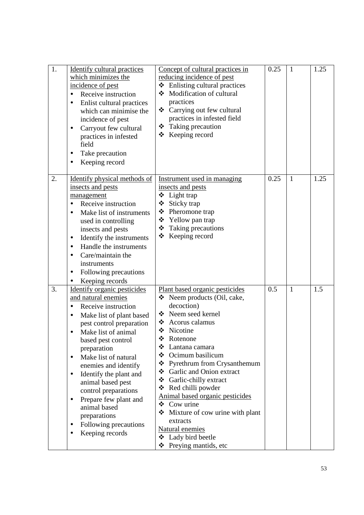| 1. | <b>Identify cultural practices</b><br>which minimizes the<br>incidence of pest<br>Receive instruction<br>$\bullet$<br>Enlist cultural practices<br>which can minimise the<br>incidence of pest<br>Carryout few cultural<br>$\bullet$<br>practices in infested<br>field<br>Take precaution<br>Keeping record                                                                                                                                                                   | Concept of cultural practices in<br>reducing incidence of pest<br>$\div$ Enlisting cultural practices<br>Modification of cultural<br>practices<br>❖ Carrying out few cultural<br>practices in infested field<br>Taking precaution<br>❖<br>Keeping record<br>❖                                                                                                                                                                                                                                                               | 0.25 | $\mathbf{1}$ | 1.25 |
|----|-------------------------------------------------------------------------------------------------------------------------------------------------------------------------------------------------------------------------------------------------------------------------------------------------------------------------------------------------------------------------------------------------------------------------------------------------------------------------------|-----------------------------------------------------------------------------------------------------------------------------------------------------------------------------------------------------------------------------------------------------------------------------------------------------------------------------------------------------------------------------------------------------------------------------------------------------------------------------------------------------------------------------|------|--------------|------|
| 2. | Identify physical methods of<br>insects and pests<br>management<br>Receive instruction<br>Make list of instruments<br>used in controlling<br>insects and pests<br>Identify the instruments<br>$\bullet$<br>Handle the instruments<br>$\bullet$<br>Care/maintain the<br>instruments<br>Following precautions<br>$\bullet$<br>Keeping records<br>$\bullet$                                                                                                                      | Instrument used in managing<br>insects and pests<br>$\div$ Light trap<br>❖<br>Sticky trap<br>❖ Pheromone trap<br>❖ Yellow pan trap<br>Taking precautions<br>Keeping record<br>❖                                                                                                                                                                                                                                                                                                                                             | 0.25 | $\mathbf{1}$ | 1.25 |
| 3. | Identify organic pesticides<br>and natural enemies<br>Receive instruction<br>Make list of plant based<br>$\bullet$<br>pest control preparation<br>Make list of animal<br>based pest control<br>preparation<br>Make list of natural<br>$\bullet$<br>enemies and identify<br>Identify the plant and<br>$\bullet$<br>animal based pest<br>control preparations<br>Prepare few plant and<br>animal based<br>preparations<br>Following precautions<br>$\bullet$<br>Keeping records | Plant based organic pesticides<br>❖ Neem products (Oil, cake,<br>decoction)<br>❖ Neem seed kernel<br>❖ Acorus calamus<br>Nicotine<br>❖<br>❖<br>Rotenone<br>❖<br>Lantana camara<br>Ocimum basilicum<br>❖<br>❖ Pyrethrum from Crysanthemum<br>Garlic and Onion extract<br>❖<br>❖<br>Garlic-chilly extract<br>Red chilli powder<br>❖<br>Animal based organic pesticides<br>$\triangleleft$ Cow urine<br>Mixture of cow urine with plant<br>❖<br>extracts<br>Natural enemies<br>❖ Lady bird beetle<br>Preying mantids, etc<br>❖ | 0.5  | $\mathbf{1}$ | 1.5  |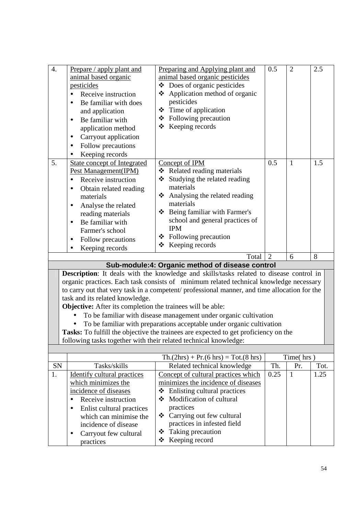| $\overline{4}$ .                                                                                                                                                                                                                                                                                                                                                                                                                                                                                                                                                                                                                                                                                                                              | Prepare / apply plant and<br>animal based organic<br>pesticides<br>Receive instruction<br>Be familiar with does<br>and application<br>Be familiar with<br>$\bullet$<br>application method<br>Carryout application<br>$\bullet$<br>Follow precautions<br>$\bullet$<br>Keeping records | Preparing and Applying plant and<br>animal based organic pesticides<br>$\triangleleft$ Does of organic pesticides<br>❖ Application method of organic<br>pesticides<br>Time of application<br>$\div$ Following precaution<br>❖ Keeping records                                        | 0.5            | $\overline{2}$ | 2.5  |  |
|-----------------------------------------------------------------------------------------------------------------------------------------------------------------------------------------------------------------------------------------------------------------------------------------------------------------------------------------------------------------------------------------------------------------------------------------------------------------------------------------------------------------------------------------------------------------------------------------------------------------------------------------------------------------------------------------------------------------------------------------------|--------------------------------------------------------------------------------------------------------------------------------------------------------------------------------------------------------------------------------------------------------------------------------------|--------------------------------------------------------------------------------------------------------------------------------------------------------------------------------------------------------------------------------------------------------------------------------------|----------------|----------------|------|--|
| 5.                                                                                                                                                                                                                                                                                                                                                                                                                                                                                                                                                                                                                                                                                                                                            | <b>State concept of Integrated</b><br>Pest Management(IPM)<br>Receive instruction<br>Obtain related reading<br>$\bullet$<br>materials<br>Analyse the related<br>$\bullet$<br>reading materials<br>Be familiar with<br>Farmer's school<br>Follow precautions<br>Keeping records       | Concept of IPM<br>❖ Related reading materials<br>Studying the related reading<br>❖<br>materials<br>❖ Analysing the related reading<br>materials<br>❖ Being familiar with Farmer's<br>school and general practices of<br><b>IPM</b><br>❖ Following precaution<br>Keeping records<br>❖ | 0.5            | 1              | 1.5  |  |
|                                                                                                                                                                                                                                                                                                                                                                                                                                                                                                                                                                                                                                                                                                                                               |                                                                                                                                                                                                                                                                                      | Total                                                                                                                                                                                                                                                                                | $\overline{2}$ | 6              | 8    |  |
| Sub-module:4: Organic method of disease control<br>Description: It deals with the knowledge and skills/tasks related to disease control in<br>organic practices. Each task consists of minimum related technical knowledge necessary<br>to carry out that very task in a competent/ professional manner, and time allocation for the<br>task and its related knowledge.<br>Objective: After its completion the trainees will be able:<br>To be familiar with disease management under organic cultivation<br>To be familiar with preparations acceptable under organic cultivation<br>Tasks: To fulfill the objective the trainees are expected to get proficiency on the<br>following tasks together with their related technical knowledge: |                                                                                                                                                                                                                                                                                      |                                                                                                                                                                                                                                                                                      |                |                |      |  |
|                                                                                                                                                                                                                                                                                                                                                                                                                                                                                                                                                                                                                                                                                                                                               |                                                                                                                                                                                                                                                                                      | $Th.(2hrs) + Pr.(6 hrs) = Tot.(8 hrs)$                                                                                                                                                                                                                                               |                | Time(hrs)      |      |  |
| SN                                                                                                                                                                                                                                                                                                                                                                                                                                                                                                                                                                                                                                                                                                                                            | Tasks/skills                                                                                                                                                                                                                                                                         | Related technical knowledge                                                                                                                                                                                                                                                          | Th.            | Pr.            | Tot. |  |
| 1.                                                                                                                                                                                                                                                                                                                                                                                                                                                                                                                                                                                                                                                                                                                                            | Identify cultural practices                                                                                                                                                                                                                                                          | Concept of cultural practices which                                                                                                                                                                                                                                                  | 0.25           | $\mathbf{1}$   | 1.25 |  |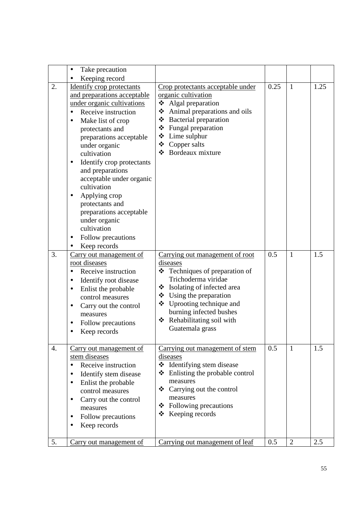|    | Take precaution<br>$\bullet$                                                                                                                                                                                                                                                                                                                                                                                                                                                                                      |                                                                                                                                                                                                                                                                                                      |      |                |      |
|----|-------------------------------------------------------------------------------------------------------------------------------------------------------------------------------------------------------------------------------------------------------------------------------------------------------------------------------------------------------------------------------------------------------------------------------------------------------------------------------------------------------------------|------------------------------------------------------------------------------------------------------------------------------------------------------------------------------------------------------------------------------------------------------------------------------------------------------|------|----------------|------|
| 2. | Keeping record<br><b>Identify crop protectants</b><br>and preparations acceptable<br>under organic cultivations<br>Receive instruction<br>$\bullet$<br>Make list of crop<br>$\bullet$<br>protectants and<br>preparations acceptable<br>under organic<br>cultivation<br>Identify crop protectants<br>and preparations<br>acceptable under organic<br>cultivation<br>Applying crop<br>protectants and<br>preparations acceptable<br>under organic<br>cultivation<br>Follow precautions<br>$\bullet$<br>Keep records | Crop protectants acceptable under<br>organic cultivation<br>Algal preparation<br>Animal preparations and oils<br>❖<br>❖ Bacterial preparation<br>❖ Fungal preparation<br>Lime sulphur<br>❖<br>❖<br>Copper salts<br>Bordeaux mixture<br>❖                                                             | 0.25 | $\mathbf{1}$   | 1.25 |
| 3. | Carry out management of<br>root diseases<br>Receive instruction<br>$\bullet$<br>Identify root disease<br>Enlist the probable<br>$\bullet$<br>control measures<br>Carry out the control<br>measures<br>Follow precautions<br>Keep records                                                                                                                                                                                                                                                                          | Carrying out management of root<br>diseases<br>$\triangleleft$ Techniques of preparation of<br>Trichoderma viridae<br>Isolating of infected area<br>❖<br>$\bullet$ Using the preparation<br>❖ Uprooting technique and<br>burning infected bushes<br>Rehabilitating soil with<br>❖<br>Guatemala grass | 0.5  | $\mathbf{1}$   | 1.5  |
| 4. | Carry out management of<br>stem diseases<br>Receive instruction<br>$\bullet$<br>Identify stem disease<br>Enlist the probable<br>control measures<br>Carry out the control<br>measures<br>Follow precautions<br>Keep records                                                                                                                                                                                                                                                                                       | Carrying out management of stem<br>diseases<br>❖ Identifying stem disease<br>Enlisting the probable control<br>❖<br>measures<br>Carrying out the control<br>❖<br>measures<br>$\div$ Following precautions<br>$\triangleleft$ Keeping records                                                         | 0.5  | $\mathbf{1}$   | 1.5  |
| 5. | Carry out management of                                                                                                                                                                                                                                                                                                                                                                                                                                                                                           | Carrying out management of leaf                                                                                                                                                                                                                                                                      | 0.5  | $\overline{2}$ | 2.5  |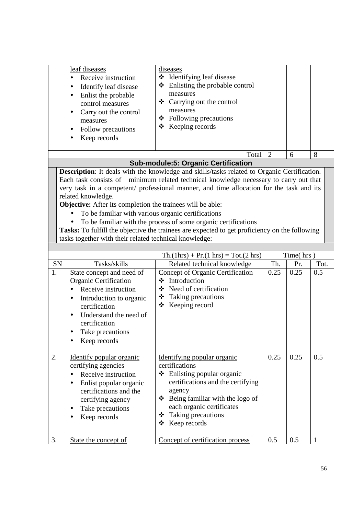| leaf diseases<br>Receive instruction<br>Identify leaf disease<br>Enlist the probable<br>control measures<br>Carry out the control<br>measures<br>Follow precautions<br>Keep records | diseases<br>❖ Identifying leaf disease<br>$\div$ Enlisting the probable control<br>measures<br>❖ Carrying out the control<br>measures<br>$\bullet$ Following precautions<br>$\div$ Keeping records |   |  |
|-------------------------------------------------------------------------------------------------------------------------------------------------------------------------------------|----------------------------------------------------------------------------------------------------------------------------------------------------------------------------------------------------|---|--|
|                                                                                                                                                                                     | Total                                                                                                                                                                                              | h |  |

#### **Sub-module:5: Organic Certification**

**Description**: It deals with the knowledge and skills/tasks related to Organic Certification. Each task consists of minimum related technical knowledge necessary to carry out that very task in a competent/ professional manner, and time allocation for the task and its related knowledge.

**Objective:** After its completion the trainees will be able:

- To be familiar with various organic certifications
- To be familiar with the process of some organic certifications

|    |                                                                                                                                                                                                                                                 | $\text{Th.}(1\text{hrs}) + \text{Pr.}(1\text{ hrs}) = \text{Tot.}(2\text{ hrs})$                                                                                                                                                                      |      | Time(hrs) |      |  |
|----|-------------------------------------------------------------------------------------------------------------------------------------------------------------------------------------------------------------------------------------------------|-------------------------------------------------------------------------------------------------------------------------------------------------------------------------------------------------------------------------------------------------------|------|-----------|------|--|
| SN | Tasks/skills                                                                                                                                                                                                                                    | Related technical knowledge                                                                                                                                                                                                                           | Th.  | Pr.       | Tot. |  |
| 1. | State concept and need of<br><b>Organic Certification</b><br>Receive instruction<br>Introduction to organic<br>٠<br>certification<br>Understand the need of<br>$\bullet$<br>certification<br>Take precautions<br>٠<br>Keep records<br>$\bullet$ | <b>Concept of Organic Certification</b><br>Introduction<br>❖<br>Need of certification<br>Taking precautions<br>❖<br>Keeping record<br>❖                                                                                                               | 0.25 | 0.25      | 0.5  |  |
| 2. | Identify popular organic<br>certifying agencies<br>Receive instruction<br>Enlist popular organic<br>$\bullet$<br>certifications and the<br>certifying agency<br>Take precautions<br>٠<br>Keep records                                           | Identifying popular organic<br>certifications<br>$\div$ Enlisting popular organic<br>certifications and the certifying<br>agency<br>❖<br>Being familiar with the logo of<br>each organic certificates<br>Taking precautions<br>❖<br>Keep records<br>❖ | 0.25 | 0.25      | 0.5  |  |
| 3. | State the concept of                                                                                                                                                                                                                            | Concept of certification process                                                                                                                                                                                                                      | 0.5  | 0.5       |      |  |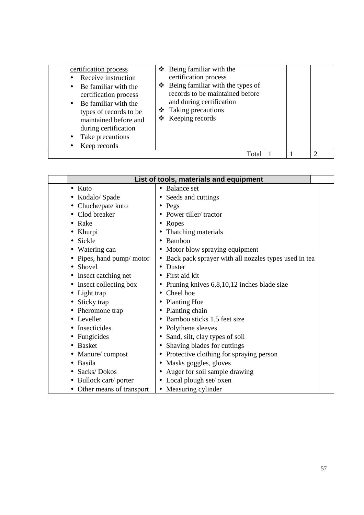| certification process<br>Receive instruction<br>Be familiar with the<br>certification process<br>Be familiar with the<br>types of records to be<br>maintained before and<br>during certification<br>Take precautions<br>Keep records | $\div$ Being familiar with the<br>certification process<br>$\triangle$ Being familiar with the types of<br>records to be maintained before<br>and during certification<br>❖ Taking precautions<br>$\triangleleft$ Keeping records |  |  |
|--------------------------------------------------------------------------------------------------------------------------------------------------------------------------------------------------------------------------------------|-----------------------------------------------------------------------------------------------------------------------------------------------------------------------------------------------------------------------------------|--|--|
|                                                                                                                                                                                                                                      | Tota                                                                                                                                                                                                                              |  |  |

| List of tools, materials and equipment |                                                                   |  |  |  |  |  |
|----------------------------------------|-------------------------------------------------------------------|--|--|--|--|--|
| $\bullet$ Kuto                         | <b>Balance set</b><br>$\bullet$                                   |  |  |  |  |  |
| • Kodalo/ Spade                        | • Seeds and cuttings                                              |  |  |  |  |  |
| • Chuche/pate kuto                     | Pegs<br>$\bullet$                                                 |  |  |  |  |  |
| Clod breaker                           | Power tiller/tractor                                              |  |  |  |  |  |
| $\bullet$ Rake                         | Ropes<br>٠                                                        |  |  |  |  |  |
| Khurpi<br>$\bullet$                    | Thatching materials                                               |  |  |  |  |  |
| • Sickle                               | Bamboo<br>$\bullet$                                               |  |  |  |  |  |
| • Watering can                         | Motor blow spraying equipment                                     |  |  |  |  |  |
| • Pipes, hand pump/ motor              | Back pack sprayer with all nozzles types used in tea<br>$\bullet$ |  |  |  |  |  |
| • Shovel                               | Duster                                                            |  |  |  |  |  |
| • Insect catching net                  | First aid kit                                                     |  |  |  |  |  |
| • Insect collecting box                | Pruning knives $6,8,10,12$ inches blade size                      |  |  |  |  |  |
| • Light trap                           | Cheel hoe<br>$\bullet$                                            |  |  |  |  |  |
| • Sticky trap                          | <b>Planting Hoe</b>                                               |  |  |  |  |  |
| Pheromone trap                         | Planting chain<br>٠                                               |  |  |  |  |  |
| • Leveller                             | Bamboo sticks 1.5 feet size                                       |  |  |  |  |  |
| Insecticides                           | Polythene sleeves                                                 |  |  |  |  |  |
| • Fungicides                           | Sand, silt, clay types of soil                                    |  |  |  |  |  |
| <b>Basket</b>                          | Shaving blades for cuttings                                       |  |  |  |  |  |
| Manure/compost                         | Protective clothing for spraying person                           |  |  |  |  |  |
| Basila                                 | Masks goggles, gloves<br>$\bullet$                                |  |  |  |  |  |
| Sacks/Dokos                            | Auger for soil sample drawing                                     |  |  |  |  |  |
| • Bullock cart/ porter                 | Local plough set/ oxen                                            |  |  |  |  |  |
| • Other means of transport             | • Measuring cylinder                                              |  |  |  |  |  |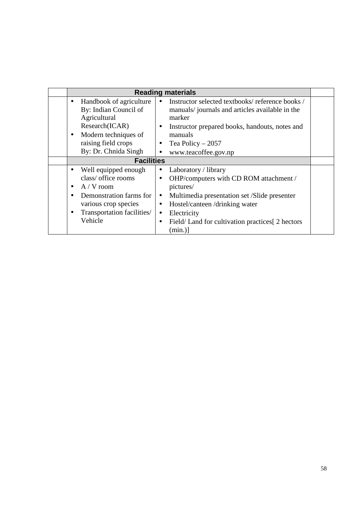|                   |                                                                                                                                                                                                | <b>Reading materials</b>                                                                                                                                                                                                                                                                                                 |  |  |
|-------------------|------------------------------------------------------------------------------------------------------------------------------------------------------------------------------------------------|--------------------------------------------------------------------------------------------------------------------------------------------------------------------------------------------------------------------------------------------------------------------------------------------------------------------------|--|--|
|                   | Handbook of agriculture<br>$\bullet$<br>By: Indian Council of<br>Agricultural<br>Research(ICAR)<br>Modern techniques of<br>raising field crops<br>By: Dr. Chnida Singh                         | Instructor selected textbooks/reference books/<br>$\bullet$<br>manuals/journals and articles available in the<br>marker<br>Instructor prepared books, handouts, notes and<br>٠<br>manuals<br>Tea Policy $-2057$<br>$\bullet$<br>www.teacoffee.gov.np<br>$\bullet$                                                        |  |  |
| <b>Facilities</b> |                                                                                                                                                                                                |                                                                                                                                                                                                                                                                                                                          |  |  |
|                   | Well equipped enough<br>$\bullet$<br>class/ office rooms<br>$A / V$ room<br>$\bullet$<br>Demonstration farms for<br>$\bullet$<br>various crop species<br>Transportation facilities/<br>Vehicle | Laboratory / library<br>$\bullet$<br>OHP/computers with CD ROM attachment /<br>$\bullet$<br>pictures/<br>Multimedia presentation set /Slide presenter<br>$\bullet$<br>Hostel/canteen/drinking water<br>$\bullet$<br>Electricity<br>$\bullet$<br>Field/Land for cultivation practices [2 hectors]<br>$\bullet$<br>(min.)] |  |  |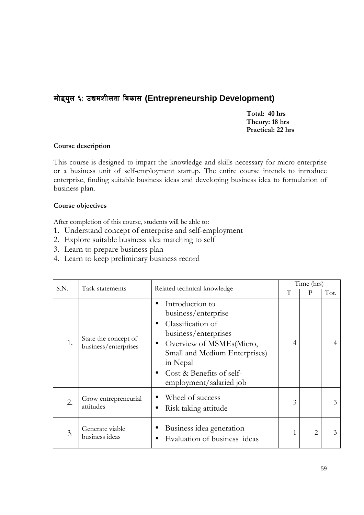## मोड्युल ६: उद्यमशीलता विकास (Entrepreneurship Development)

**Total: 40 hrs Theory: 18 hrs Practical: 22 hrs** 

#### **Course description**

This course is designed to impart the knowledge and skills necessary for micro enterprise or a business unit of self-employment startup. The entire course intends to introduce enterprise, finding suitable business ideas and developing business idea to formulation of business plan.

#### **Course objectives**

After completion of this course, students will be able to:

- 1. Understand concept of enterprise and self-employment
- 2. Explore suitable business idea matching to self
- 3. Learn to prepare business plan
- 4. Learn to keep preliminary business record

| S.N. | Task statements                              |                                                                                                                                                                                                                                               | Time (hrs) |   |                |
|------|----------------------------------------------|-----------------------------------------------------------------------------------------------------------------------------------------------------------------------------------------------------------------------------------------------|------------|---|----------------|
|      |                                              | Related technical knowledge                                                                                                                                                                                                                   | T          | P | Tot.           |
| 1.   | State the concept of<br>business/enterprises | Introduction to<br>$\bullet$<br>business/enterprise<br>Classification of<br>business/enterprises<br>Overview of MSMEs(Micro,<br>$\bullet$<br>Small and Medium Enterprises)<br>in Nepal<br>Cost & Benefits of self-<br>employment/salaried job | 4          |   | $\overline{4}$ |
| 2.   | Grow entrepreneurial<br>attitudes            | Wheel of success<br>Risk taking attitude                                                                                                                                                                                                      | 3          |   | 3              |
| 3.   | Generate viable<br>business ideas            | Business idea generation<br>Evaluation of business ideas                                                                                                                                                                                      |            | 2 | $\mathcal{E}$  |